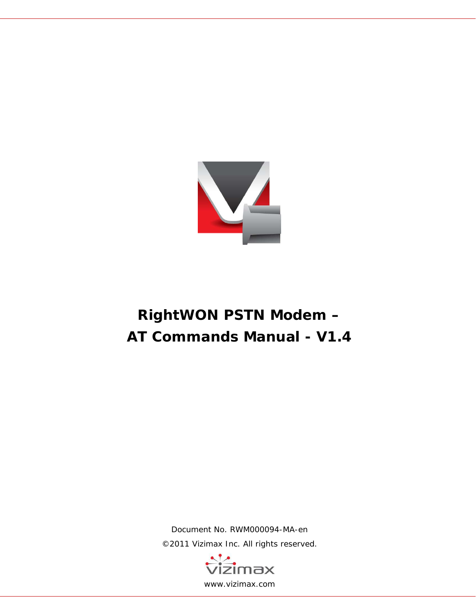

# **RightWON PSTN Modem – AT Commands Manual - V1.4**

Document No. RWM000094-MA-en ©2011 Vizimax Inc. All rights reserved.

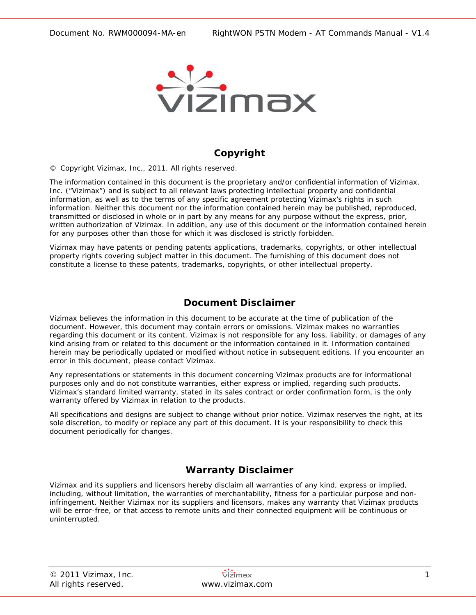

### **Copyright**

© Copyright Vizimax, Inc., 2011. All rights reserved.

The information contained in this document is the proprietary and/or confidential information of Vizimax, Inc. ("Vizimax") and is subject to all relevant laws protecting intellectual property and confidential information, as well as to the terms of any specific agreement protecting Vizimax's rights in such information. Neither this document nor the information contained herein may be published, reproduced, transmitted or disclosed in whole or in part by any means for any purpose without the express, prior, written authorization of Vizimax. In addition, any use of this document or the information contained herein for any purposes other than those for which it was disclosed is strictly forbidden.

Vizimax may have patents or pending patents applications, trademarks, copyrights, or other intellectual property rights covering subject matter in this document. The furnishing of this document does not constitute a license to these patents, trademarks, copyrights, or other intellectual property.

#### **Document Disclaimer**

Vizimax believes the information in this document to be accurate at the time of publication of the document. However, this document may contain errors or omissions. Vizimax makes no warranties regarding this document or its content. Vizimax is not responsible for any loss, liability, or damages of any kind arising from or related to this document or the information contained in it. Information contained herein may be periodically updated or modified without notice in subsequent editions. If you encounter an error in this document, please contact Vizimax.

Any representations or statements in this document concerning Vizimax products are for informational purposes only and do not constitute warranties, either express or implied, regarding such products. Vizimax's standard limited warranty, stated in its sales contract or order confirmation form, is the only warranty offered by Vizimax in relation to the products.

All specifications and designs are subject to change without prior notice. Vizimax reserves the right, at its sole discretion, to modify or replace any part of this document. It is your responsibility to check this document periodically for changes.

### **Warranty Disclaimer**

Vizimax and its suppliers and licensors hereby disclaim all warranties of any kind, express or implied, including, without limitation, the warranties of merchantability, fitness for a particular purpose and noninfringement. Neither Vizimax nor its suppliers and licensors, makes any warranty that Vizimax products will be error-free, or that access to remote units and their connected equipment will be continuous or uninterrupted.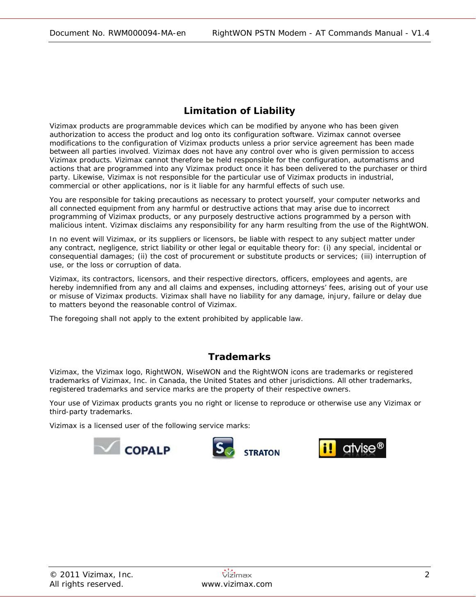## **Limitation of Liability**

Vizimax products are programmable devices which can be modified by anyone who has been given authorization to access the product and log onto its configuration software. Vizimax cannot oversee modifications to the configuration of Vizimax products unless a prior service agreement has been made between all parties involved. Vizimax does not have any control over who is given permission to access Vizimax products. Vizimax cannot therefore be held responsible for the configuration, automatisms and actions that are programmed into any Vizimax product once it has been delivered to the purchaser or third party. Likewise, Vizimax is not responsible for the particular use of Vizimax products in industrial, commercial or other applications, nor is it liable for any harmful effects of such use.

You are responsible for taking precautions as necessary to protect yourself, your computer networks and all connected equipment from any harmful or destructive actions that may arise due to incorrect programming of Vizimax products, or any purposely destructive actions programmed by a person with malicious intent. Vizimax disclaims any responsibility for any harm resulting from the use of the RightWON.

In no event will Vizimax, or its suppliers or licensors, be liable with respect to any subject matter under any contract, negligence, strict liability or other legal or equitable theory for: (i) any special, incidental or consequential damages; (ii) the cost of procurement or substitute products or services; (iii) interruption of use, or the loss or corruption of data.

Vizimax, its contractors, licensors, and their respective directors, officers, employees and agents, are hereby indemnified from any and all claims and expenses, including attorneys' fees, arising out of your use or misuse of Vizimax products. Vizimax shall have no liability for any damage, injury, failure or delay due to matters beyond the reasonable control of Vizimax.

The foregoing shall not apply to the extent prohibited by applicable law.

### **Trademarks**

Vizimax, the Vizimax logo, RightWON, WiseWON and the RightWON icons are trademarks or registered trademarks of Vizimax, Inc. in Canada, the United States and other jurisdictions. All other trademarks, registered trademarks and service marks are the property of their respective owners.

Your use of Vizimax products grants you no right or license to reproduce or otherwise use any Vizimax or third-party trademarks.

Vizimax is a licensed user of the following service marks:



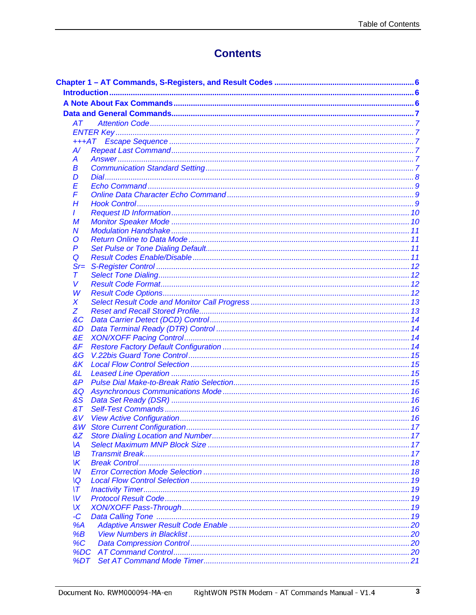## **Contents**

| AT.           |  |  |  |
|---------------|--|--|--|
|               |  |  |  |
|               |  |  |  |
| $A$ /         |  |  |  |
| A             |  |  |  |
| В             |  |  |  |
| D             |  |  |  |
| Ε             |  |  |  |
| F             |  |  |  |
| H             |  |  |  |
| L             |  |  |  |
| M             |  |  |  |
| N             |  |  |  |
| O             |  |  |  |
| P             |  |  |  |
| Q             |  |  |  |
| $Sr=$         |  |  |  |
| Τ             |  |  |  |
| v             |  |  |  |
| W             |  |  |  |
| X             |  |  |  |
| Z             |  |  |  |
| &C            |  |  |  |
| &D            |  |  |  |
| &E            |  |  |  |
| &F            |  |  |  |
| &G            |  |  |  |
| &K            |  |  |  |
| &L            |  |  |  |
| &P            |  |  |  |
| &Q            |  |  |  |
| &S            |  |  |  |
| 8T            |  |  |  |
| &V            |  |  |  |
| &W            |  |  |  |
| <u>&amp;Z</u> |  |  |  |
| M             |  |  |  |
| ۱В            |  |  |  |
| Ж             |  |  |  |
| W             |  |  |  |
| ١Q            |  |  |  |
| ۱T            |  |  |  |
| W             |  |  |  |
| ΙX            |  |  |  |
| -C            |  |  |  |
| %A            |  |  |  |
| %B            |  |  |  |
| $\%C$         |  |  |  |
| %DC           |  |  |  |
| %DT           |  |  |  |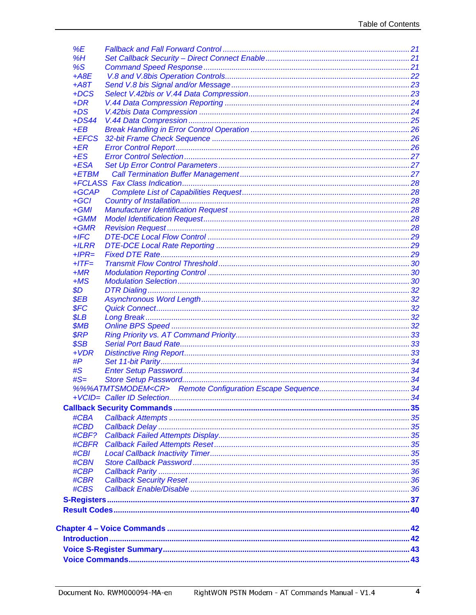| %E               |  |  |  |
|------------------|--|--|--|
| %H               |  |  |  |
| %S               |  |  |  |
| $+$ A8E          |  |  |  |
| $+ A8T$          |  |  |  |
| $+DCS$           |  |  |  |
| $+DR$            |  |  |  |
| $+DS$            |  |  |  |
| $+DS44$          |  |  |  |
| $+EB$            |  |  |  |
| +EFCS            |  |  |  |
| $+ER$            |  |  |  |
| $+ES$            |  |  |  |
| $+ESA$           |  |  |  |
| $+ETBM$          |  |  |  |
|                  |  |  |  |
| $+GCAP$          |  |  |  |
| $+GCI$           |  |  |  |
| $+GMI$           |  |  |  |
| $+GMM$           |  |  |  |
| $+GMR$           |  |  |  |
| $+$ IFC          |  |  |  |
| $+ILRR$          |  |  |  |
|                  |  |  |  |
| $+IPR=$          |  |  |  |
| $+$ <i>ITF</i> = |  |  |  |
| $+MR$            |  |  |  |
| $+MS$            |  |  |  |
| \$D\$            |  |  |  |
| \$EB             |  |  |  |
| \$FC             |  |  |  |
| \$LB             |  |  |  |
| \$MB             |  |  |  |
| <b>\$RP</b>      |  |  |  |
| \$SB             |  |  |  |
| $+VDR$           |  |  |  |
| #P               |  |  |  |
| #S               |  |  |  |
| $#S=$            |  |  |  |
|                  |  |  |  |
|                  |  |  |  |
|                  |  |  |  |
| #CBA             |  |  |  |
| #CBD             |  |  |  |
| #CBF?            |  |  |  |
| #CBFR            |  |  |  |
| #CBI             |  |  |  |
| #CBN             |  |  |  |
| #CBP             |  |  |  |
| #CBR             |  |  |  |
| #CBS             |  |  |  |
|                  |  |  |  |
|                  |  |  |  |
|                  |  |  |  |
|                  |  |  |  |
|                  |  |  |  |
|                  |  |  |  |
|                  |  |  |  |
|                  |  |  |  |
|                  |  |  |  |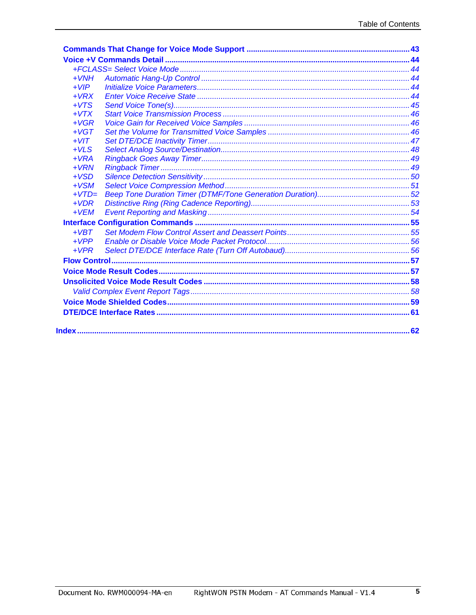| $+VMH$  |  |
|---------|--|
| $+VIP$  |  |
| $+VRX$  |  |
| $+VTS$  |  |
| $+VTX$  |  |
| $+VGR$  |  |
| $+VGT$  |  |
| $+VIT$  |  |
| $+VLS$  |  |
| $+VRA$  |  |
| $+VRN$  |  |
| $+VSD$  |  |
| $+VSM$  |  |
| $+VTD=$ |  |
| $+VDR$  |  |
| $+VEM$  |  |
|         |  |
| $+VBT$  |  |
| $+VPP$  |  |
| $+VPR$  |  |
|         |  |
|         |  |
|         |  |
|         |  |
|         |  |
|         |  |
|         |  |
|         |  |
|         |  |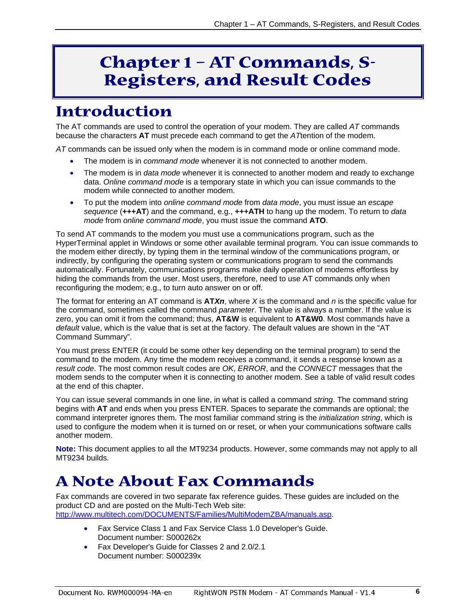# **Chapter 1 – AT Commands, S-Registers, and Result Codes**

# <span id="page-6-1"></span><span id="page-6-0"></span>**Introduction**

The AT commands are used to control the operation of your modem. They are called *AT* commands because the characters **AT** must precede each command to get the *AT*tention of the modem.

*AT* commands can be issued only when the modem is in command mode or online command mode.

- The modem is in *command mode* whenever it is not connected to another modem.
- The modem is in *data mode* whenever it is connected to another modem and ready to exchange data. *Online command mode* is a temporary state in which you can issue commands to the modem while connected to another modem.
- To put the modem into *online command mode* from *data mode*, you must issue an *escape sequence* (**+++AT**) and the command, e.g., **+++ATH** to hang up the modem. To return to *data mode* from *online command mode*, you must issue the command **ATO**.

To send AT commands to the modem you must use a communications program, such as the HyperTerminal applet in Windows or some other available terminal program. You can issue commands to the modem either directly, by typing them in the terminal window of the communications program, or indirectly, by configuring the operating system or communications program to send the commands automatically. Fortunately, communications programs make daily operation of modems effortless by hiding the commands from the user. Most users, therefore, need to use AT commands only when reconfiguring the modem; e.g., to turn auto answer on or off.

The format for entering an AT command is **AT***Xn*, where *X* is the command and *n* is the specific value for the command, sometimes called the command *parameter*. The value is always a number. If the value is zero, you can omit it from the command; thus, **AT&W** is equivalent to **AT&W0**. Most commands have a *default* value, which is the value that is set at the factory. The default values are shown in the "AT Command Summary".

You must press ENTER (it could be some other key depending on the terminal program) to send the command to the modem. Any time the modem receives a command, it sends a response known as a *result code*. The most common result codes are *OK*, *ERROR*, and the *CONNECT* messages that the modem sends to the computer when it is connecting to another modem. See a table of valid result codes at the end of this chapter.

You can issue several commands in one line, in what is called a command *string*. The command string begins with **AT** and ends when you press ENTER. Spaces to separate the commands are optional; the command interpreter ignores them. The most familiar command string is the *initialization string*, which is used to configure the modem when it is turned on or reset, or when your communications software calls another modem.

**Note:** This document applies to all the MT9234 products. However, some commands may not apply to all MT9234 builds.

# <span id="page-6-2"></span>**A Note About Fax Commands**

Fax commands are covered in two separate fax reference guides. These guides are included on the product CD and are posted on the Multi-Tech Web site: [http://www.multitech.com/DOCUMENTS/Families/MultiModemZBA/manuals.asp.](http://www.multitech.com/DOCUMENTS/Families/MultiModemZBA/manuals.asp)

- Fax Service Class 1 and Fax Service Class 1.0 Developer's Guide. Document number: S000262x
- Fax Developer's Guide for Classes 2 and 2.0/2.1 Document number: S000239x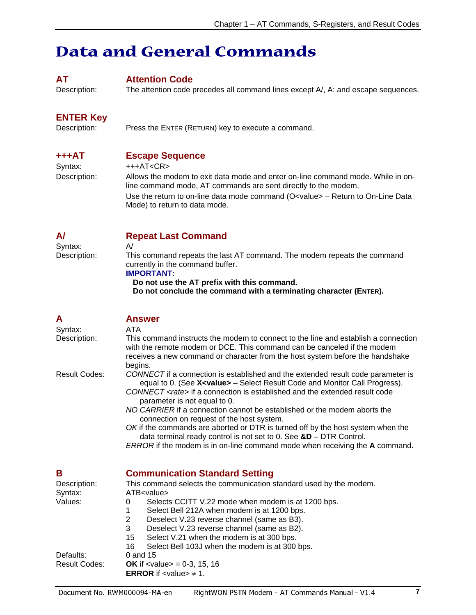# <span id="page-7-0"></span>**Data and General Commands**

#### <span id="page-7-1"></span>**AT Attention Code**

Description: The attention code precedes all command lines except A/, A: and escape sequences.

# <span id="page-7-2"></span>**ENTER Key**<br>Description:

Press the ENTER (RETURN) key to execute a command.

# <span id="page-7-3"></span>**+++AT Escape Sequence**

 $+++AT$ 

Description: Allows the modem to exit data mode and enter on-line command mode. While in online command mode, AT commands are sent directly to the modem. Use the return to on-line data mode command (O<value> - Return to On-Line Data Mode) to return to data mode.

#### <span id="page-7-4"></span>**A/ Repeat Last Command**

Syntax: A/<br>Description: Th

This command repeats the last AT command. The modem repeats the command currently in the command buffer.

#### **IMPORTANT:**

**Do not use the AT prefix with this command.** 

**Do not conclude the command with a terminating character (ENTER).** 

<span id="page-7-6"></span><span id="page-7-5"></span>

| Α                       | <b>Answer</b>                                                                                                                                                                                                                                                                                                                                                               |
|-------------------------|-----------------------------------------------------------------------------------------------------------------------------------------------------------------------------------------------------------------------------------------------------------------------------------------------------------------------------------------------------------------------------|
| Syntax:                 | ATA                                                                                                                                                                                                                                                                                                                                                                         |
| Description:            | This command instructs the modem to connect to the line and establish a connection<br>with the remote modem or DCE. This command can be canceled if the modem<br>receives a new command or character from the host system before the handshake<br>begins.                                                                                                                   |
| Result Codes:           | CONNECT if a connection is established and the extended result code parameter is<br>equal to 0. (See X <value> - Select Result Code and Monitor Call Progress).<br/>CONNECT <rate> if a connection is established and the extended result code<br/>parameter is not equal to 0.<br/>NO CARRIER if a connection cannot be established or the modem aborts the</rate></value> |
|                         | connection on request of the host system.                                                                                                                                                                                                                                                                                                                                   |
|                         | OK if the commands are aborted or DTR is turned off by the host system when the<br>data terminal ready control is not set to 0. See $&D$ – DTR Control.<br><b>ERROR</b> if the modem is in on-line command mode when receiving the <b>A</b> command.                                                                                                                        |
|                         |                                                                                                                                                                                                                                                                                                                                                                             |
| Β                       | <b>Communication Standard Setting</b>                                                                                                                                                                                                                                                                                                                                       |
| Description:<br>Syntax: | This command selects the communication standard used by the modem.<br>ATB <value></value>                                                                                                                                                                                                                                                                                   |
| Values:                 | Selects CCITT V.22 mode when modem is at 1200 bps.<br>0                                                                                                                                                                                                                                                                                                                     |
|                         | Select Bell 212A when modem is at 1200 bps.<br>1                                                                                                                                                                                                                                                                                                                            |
|                         | 2<br>Deselect V.23 reverse channel (same as B3).                                                                                                                                                                                                                                                                                                                            |
|                         | 3<br>Deselect V.23 reverse channel (same as B2).                                                                                                                                                                                                                                                                                                                            |
|                         | Select V.21 when the modem is at 300 bps.<br>15<br>16<br>Select Bell 103J when the modem is at 300 bps.                                                                                                                                                                                                                                                                     |
| Defaults:               | 0 and 15                                                                                                                                                                                                                                                                                                                                                                    |
| <b>Result Codes:</b>    | <b>OK</b> if $\langle$ value $\rangle$ = 0-3, 15, 16                                                                                                                                                                                                                                                                                                                        |
|                         | <b>ERROR</b> if $\leq$ value $\geq \neq 1$ .                                                                                                                                                                                                                                                                                                                                |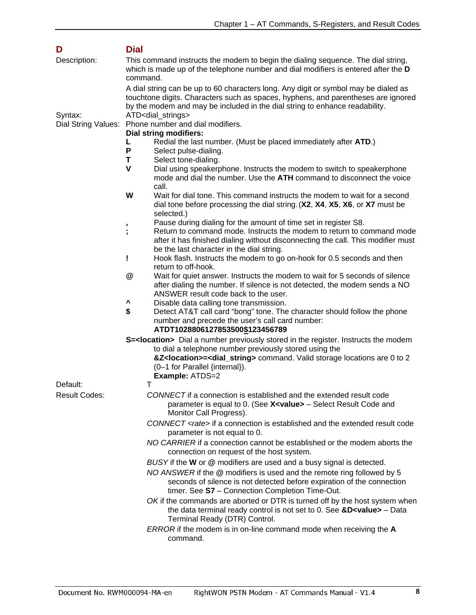<span id="page-8-0"></span>

| D                    | <b>Dial</b>                                                                                                                                                                                                                                             |
|----------------------|---------------------------------------------------------------------------------------------------------------------------------------------------------------------------------------------------------------------------------------------------------|
| Description:         | This command instructs the modem to begin the dialing sequence. The dial string,<br>which is made up of the telephone number and dial modifiers is entered after the D<br>command.                                                                      |
|                      | A dial string can be up to 60 characters long. Any digit or symbol may be dialed as<br>touchtone digits. Characters such as spaces, hyphens, and parentheses are ignored<br>by the modem and may be included in the dial string to enhance readability. |
| Syntax:              | ATD <dial_strings><br/>Phone number and dial modifiers.</dial_strings>                                                                                                                                                                                  |
| Dial String Values:  | <b>Dial string modifiers:</b>                                                                                                                                                                                                                           |
|                      | Redial the last number. (Must be placed immediately after ATD.)<br>L                                                                                                                                                                                    |
|                      | P<br>Select pulse-dialing.                                                                                                                                                                                                                              |
|                      | T<br>Select tone-dialing.                                                                                                                                                                                                                               |
|                      | V<br>Dial using speakerphone. Instructs the modem to switch to speakerphone<br>mode and dial the number. Use the ATH command to disconnect the voice<br>call.                                                                                           |
|                      | W<br>Wait for dial tone. This command instructs the modem to wait for a second<br>dial tone before processing the dial string. (X2, X4, X5, X6, or X7 must be<br>selected.)                                                                             |
|                      | Pause during dialing for the amount of time set in register S8.<br>,                                                                                                                                                                                    |
|                      | Return to command mode. Instructs the modem to return to command mode<br>after it has finished dialing without disconnecting the call. This modifier must<br>be the last character in the dial string.                                                  |
|                      | Hook flash. Instructs the modem to go on-hook for 0.5 seconds and then<br>I<br>return to off-hook.                                                                                                                                                      |
|                      | @<br>Wait for quiet answer. Instructs the modem to wait for 5 seconds of silence<br>after dialing the number. If silence is not detected, the modem sends a NO<br>ANSWER result code back to the user.                                                  |
|                      | ٨<br>Disable data calling tone transmission.                                                                                                                                                                                                            |
|                      | \$<br>Detect AT&T call card "bong" tone. The character should follow the phone<br>number and precede the user's call card number:<br>ATDT1028806127853500\$123456789                                                                                    |
|                      | <b>S=<location></location></b> Dial a number previously stored in the register. Instructs the modem                                                                                                                                                     |
|                      | to dial a telephone number previously stored using the<br>&Z <location>=<dial_string> command. Valid storage locations are 0 to 2<br/>(0-1 for Parallel {internal}).</dial_string></location>                                                           |
|                      | Example: ATDS=2                                                                                                                                                                                                                                         |
| Default:             | Τ                                                                                                                                                                                                                                                       |
| <b>Result Codes:</b> | CONNECT if a connection is established and the extended result code<br>parameter is equal to 0. (See X <value> - Select Result Code and<br/>Monitor Call Progress).</value>                                                                             |
|                      | CONNECT <rate> if a connection is established and the extended result code<br/>parameter is not equal to 0.</rate>                                                                                                                                      |
|                      | NO CARRIER if a connection cannot be established or the modem aborts the<br>connection on request of the host system.                                                                                                                                   |
|                      | BUSY if the W or @ modifiers are used and a busy signal is detected.                                                                                                                                                                                    |
|                      | NO ANSWER if the @ modifiers is used and the remote ring followed by 5<br>seconds of silence is not detected before expiration of the connection<br>timer. See S7 - Connection Completion Time-Out.                                                     |
|                      | OK if the commands are aborted or DTR is turned off by the host system when<br>the data terminal ready control is not set to 0. See $&D$ -value> - Data<br>Terminal Ready (DTR) Control.                                                                |
|                      | ERROR if the modem is in on-line command mode when receiving the A<br>command.                                                                                                                                                                          |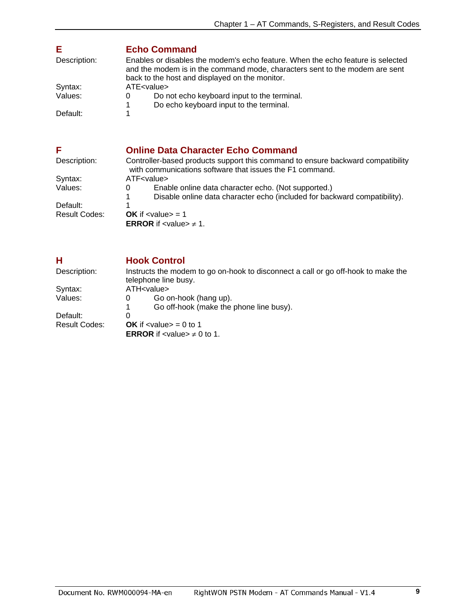### <span id="page-9-0"></span>**E Echo Command**

| Description: | Enables or disables the modem's echo feature. When the echo feature is selected<br>and the modem is in the command mode, characters sent to the modem are sent<br>back to the host and displayed on the monitor. |
|--------------|------------------------------------------------------------------------------------------------------------------------------------------------------------------------------------------------------------------|
| Syntax:      | ATE <value></value>                                                                                                                                                                                              |
| Values:      | Do not echo keyboard input to the terminal.                                                                                                                                                                      |
|              | Do echo keyboard input to the terminal.                                                                                                                                                                          |
| Default:     |                                                                                                                                                                                                                  |

#### <span id="page-9-1"></span>**F CONFIDENTIFY CONFIDENT CONFIDENCE COMMANDER CONFIDENT CONFIDENCE CONFIDENCE CONFIDENCE CONFIDENCE CONFIDENCE CONFIDENCE CONFIDENCE CONFIDENCE CONFIDENCE CONFIDENCE CONFIDENCE CONFIDENCE CONFIDENCE CONFIDENCE CONFIDENC** Controller-based products support this command to ensure backward compatibility with communications software that issues the F1 command. Syntax: ATF<value><br>Values: 0 Enal 0 Enable online data character echo. (Not supported.)<br>1 Disable online data character echo (included for back 1 Disable online data character echo (included for backward compatibility). Default:<br>Result Codes: **OK** if  $\langle$  value $\rangle$  = 1 **ERROR** if <value>  $\neq$  1.

<span id="page-9-2"></span>

| н             | <b>Hook Control</b>                                                                                       |
|---------------|-----------------------------------------------------------------------------------------------------------|
| Description:  | Instructs the modem to go on-hook to disconnect a call or go off-hook to make the<br>telephone line busy. |
| Syntax:       | ATH <value></value>                                                                                       |
| Values:       | Go on-hook (hang up).<br>0                                                                                |
|               | Go off-hook (make the phone line busy).                                                                   |
| Default:      | 0                                                                                                         |
| Result Codes: | <b>OK</b> if $\langle$ value $\rangle$ = 0 to 1                                                           |
|               | <b>ERROR</b> if <value> <math>\neq</math> 0 to 1.</value>                                                 |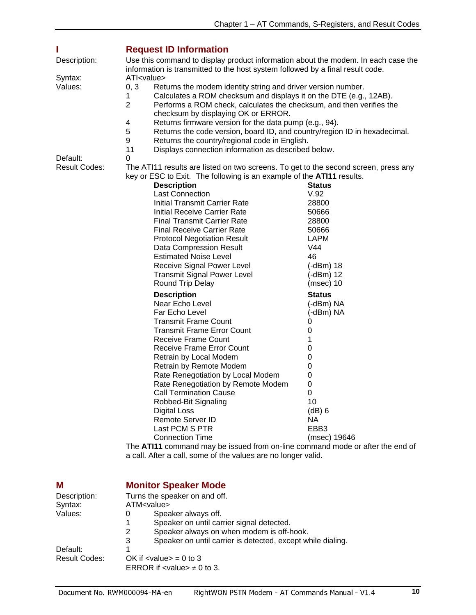<span id="page-10-0"></span>

| Description:         | <b>Request ID Information</b><br>Use this command to display product information about the modem. In each case the                                                                                                                                                                                                                                                                                                                                                                                                                                                                                                                                                                                                                                                                                                                                                                                                                                                                                                                 |                                                                                                                                                                                                                                                                                       |
|----------------------|------------------------------------------------------------------------------------------------------------------------------------------------------------------------------------------------------------------------------------------------------------------------------------------------------------------------------------------------------------------------------------------------------------------------------------------------------------------------------------------------------------------------------------------------------------------------------------------------------------------------------------------------------------------------------------------------------------------------------------------------------------------------------------------------------------------------------------------------------------------------------------------------------------------------------------------------------------------------------------------------------------------------------------|---------------------------------------------------------------------------------------------------------------------------------------------------------------------------------------------------------------------------------------------------------------------------------------|
|                      | information is transmitted to the host system followed by a final result code.                                                                                                                                                                                                                                                                                                                                                                                                                                                                                                                                                                                                                                                                                                                                                                                                                                                                                                                                                     |                                                                                                                                                                                                                                                                                       |
| Syntax:<br>Values:   | ATI <value><br/>Returns the modem identity string and driver version number.<br/>0, 3<br/>Calculates a ROM checksum and displays it on the DTE (e.g., 12AB).<br/>1<br/><math>\overline{2}</math><br/>Performs a ROM check, calculates the checksum, and then verifies the<br/>checksum by displaying OK or ERROR.<br/>4<br/>Returns firmware version for the data pump (e.g., 94).<br/>5<br/>Returns the code version, board ID, and country/region ID in hexadecimal.<br/>9<br/>Returns the country/regional code in English.</value>                                                                                                                                                                                                                                                                                                                                                                                                                                                                                             |                                                                                                                                                                                                                                                                                       |
| Default:             | 11<br>Displays connection information as described below.<br>0                                                                                                                                                                                                                                                                                                                                                                                                                                                                                                                                                                                                                                                                                                                                                                                                                                                                                                                                                                     |                                                                                                                                                                                                                                                                                       |
| <b>Result Codes:</b> | The ATI11 results are listed on two screens. To get to the second screen, press any<br>key or ESC to Exit. The following is an example of the ATI11 results.<br><b>Description</b><br><b>Last Connection</b><br><b>Initial Transmit Carrier Rate</b><br>Initial Receive Carrier Rate<br><b>Final Transmit Carrier Rate</b><br><b>Final Receive Carrier Rate</b><br><b>Protocol Negotiation Result</b><br>Data Compression Result<br><b>Estimated Noise Level</b><br>Receive Signal Power Level<br><b>Transmit Signal Power Level</b><br>Round Trip Delay<br><b>Description</b><br>Near Echo Level<br>Far Echo Level<br><b>Transmit Frame Count</b><br><b>Transmit Frame Error Count</b><br>Receive Frame Count<br><b>Receive Frame Error Count</b><br>Retrain by Local Modem<br>Retrain by Remote Modem<br>Rate Renegotiation by Local Modem<br>Rate Renegotiation by Remote Modem<br><b>Call Termination Cause</b><br>Robbed-Bit Signaling<br><b>Digital Loss</b><br>Remote Server ID<br>Last PCM S PTR<br><b>Connection Time</b> | <b>Status</b><br>V.92<br>28800<br>50666<br>28800<br>50666<br><b>LAPM</b><br>V44<br>46<br>$(-dBm)$ 18<br>$(-dBm)$ 12<br>$(msec)$ 10<br><b>Status</b><br>(-dBm) NA<br>(-dBm) NA<br>0<br>0<br>1<br>0<br>0<br>0<br>0<br>0<br>0<br>10<br>(dB) 6<br>NA.<br>EBB <sub>3</sub><br>(msec) 19646 |
|                      | The ATI11 command may be issued from on-line command mode or after the end of<br>a call. After a call, some of the values are no longer valid.                                                                                                                                                                                                                                                                                                                                                                                                                                                                                                                                                                                                                                                                                                                                                                                                                                                                                     |                                                                                                                                                                                                                                                                                       |
|                      |                                                                                                                                                                                                                                                                                                                                                                                                                                                                                                                                                                                                                                                                                                                                                                                                                                                                                                                                                                                                                                    |                                                                                                                                                                                                                                                                                       |

## <span id="page-10-1"></span>**M Monitor Speaker Mode**

| Description:         | Turns the speaker on and off.                                    |  |
|----------------------|------------------------------------------------------------------|--|
| Syntax:              | ATM <value></value>                                              |  |
| Values:              | Speaker always off.<br>O                                         |  |
|                      | Speaker on until carrier signal detected.                        |  |
|                      | Speaker always on when modem is off-hook.<br>2                   |  |
|                      | Speaker on until carrier is detected, except while dialing.<br>3 |  |
| Default:             |                                                                  |  |
| <b>Result Codes:</b> | OK if $\langle$ value $\rangle$ = 0 to 3                         |  |
|                      | ERROR if $\lt$ value $\neq 0$ to 3.                              |  |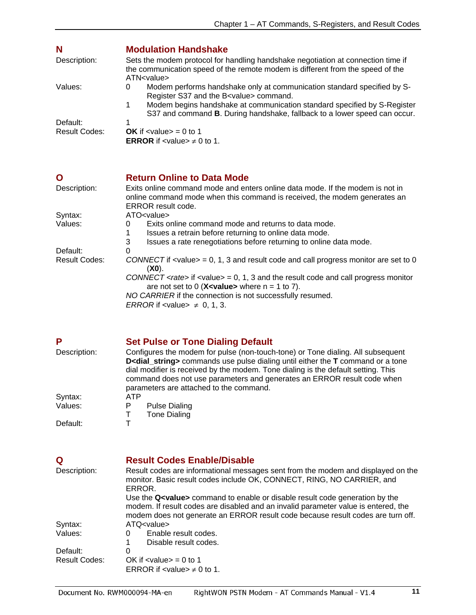<span id="page-11-0"></span>

| N                    | <b>Modulation Handshake</b>                                                                                                                                                                                                                                                                              |
|----------------------|----------------------------------------------------------------------------------------------------------------------------------------------------------------------------------------------------------------------------------------------------------------------------------------------------------|
| Description:         | Sets the modem protocol for handling handshake negotiation at connection time if<br>the communication speed of the remote modem is different from the speed of the<br>ATN <value></value>                                                                                                                |
| Values:              | Modem performs handshake only at communication standard specified by S-<br>0<br>Register S37 and the B <value> command.<br/>Modem begins handshake at communication standard specified by S-Register<br/>1.<br/>S37 and command <b>B</b>. During handshake, fallback to a lower speed can occur.</value> |
| Default:             |                                                                                                                                                                                                                                                                                                          |
| <b>Result Codes:</b> | <b>OK</b> if $\langle$ value $\rangle$ = 0 to 1<br><b>ERROR</b> if $\leq$ value $\neq$ 0 to 1.                                                                                                                                                                                                           |

<span id="page-11-1"></span>

| O                    | <b>Return Online to Data Mode</b>                                                                                                                                                |
|----------------------|----------------------------------------------------------------------------------------------------------------------------------------------------------------------------------|
| Description:         | Exits online command mode and enters online data mode. If the modem is not in<br>online command mode when this command is received, the modem generates an<br>ERROR result code. |
| Syntax:              | ATO < value >                                                                                                                                                                    |
| Values:              | Exits online command mode and returns to data mode.<br>$\Omega$                                                                                                                  |
|                      | Issues a retrain before returning to online data mode.                                                                                                                           |
|                      | Issues a rate renegotiations before returning to online data mode.<br>3                                                                                                          |
| Default:             | 0                                                                                                                                                                                |
| <b>Result Codes:</b> | CONNECT if $\alpha$ -value $>$ = 0, 1, 3 and result code and call progress monitor are set to 0<br>$(X0)$ .                                                                      |
|                      | CONNECT <rate> if <value> = 0, 1, 3 and the result code and call progress monitor<br/>are not set to 0 (X<value> where <math>n = 1</math> to 7).</value></value></rate>          |
|                      | NO CARRIER if the connection is not successfully resumed.                                                                                                                        |
|                      | ERROR if $\langle$ value $\neq$ 0, 1, 3.                                                                                                                                         |

<span id="page-11-2"></span>

|              | <b>Set Pulse or Tone Dialing Default</b>                                                                                                                                                                                                                                                                                                                                                       |
|--------------|------------------------------------------------------------------------------------------------------------------------------------------------------------------------------------------------------------------------------------------------------------------------------------------------------------------------------------------------------------------------------------------------|
| Description: | Configures the modem for pulse (non-touch-tone) or Tone dialing. All subsequent<br>D <dial_string> commands use pulse dialing until either the T command or a tone<br/>dial modifier is received by the modem. Tone dialing is the default setting. This<br/>command does not use parameters and generates an ERROR result code when<br/>parameters are attached to the command.</dial_string> |
| Syntax:      | <b>ATP</b>                                                                                                                                                                                                                                                                                                                                                                                     |
| Values:      | <b>Pulse Dialing</b><br>P                                                                                                                                                                                                                                                                                                                                                                      |
|              | <b>Tone Dialing</b>                                                                                                                                                                                                                                                                                                                                                                            |
| Default:     |                                                                                                                                                                                                                                                                                                                                                                                                |

<span id="page-11-3"></span>

| Q<br>Description: | <b>Result Codes Enable/Disable</b><br>Result codes are informational messages sent from the modem and displayed on the<br>monitor. Basic result codes include OK, CONNECT, RING, NO CARRIER, and<br>ERROR.<br>Use the Q <value> command to enable or disable result code generation by the<br/>modem. If result codes are disabled and an invalid parameter value is entered, the<br/>modem does not generate an ERROR result code because result codes are turn off.</value> |  |  |
|-------------------|-------------------------------------------------------------------------------------------------------------------------------------------------------------------------------------------------------------------------------------------------------------------------------------------------------------------------------------------------------------------------------------------------------------------------------------------------------------------------------|--|--|
| Syntax:           | ATQ <value></value>                                                                                                                                                                                                                                                                                                                                                                                                                                                           |  |  |
| Values:           | Enable result codes.<br>0<br>Disable result codes.                                                                                                                                                                                                                                                                                                                                                                                                                            |  |  |
| Default:          | 0                                                                                                                                                                                                                                                                                                                                                                                                                                                                             |  |  |
| Result Codes:     | OK if $\langle$ value $\rangle$ = 0 to 1<br>ERROR if $\lt$ value $\neq 0$ to 1.                                                                                                                                                                                                                                                                                                                                                                                               |  |  |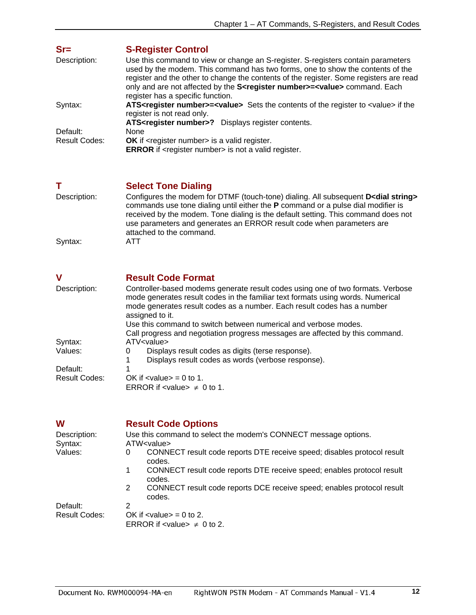<span id="page-12-0"></span>

| $Sr =$        | <b>S-Register Control</b>                                                                                                                                                                                                                                                                                                                                                                              |
|---------------|--------------------------------------------------------------------------------------------------------------------------------------------------------------------------------------------------------------------------------------------------------------------------------------------------------------------------------------------------------------------------------------------------------|
| Description:  | Use this command to view or change an S-register. S-registers contain parameters<br>used by the modem. This command has two forms, one to show the contents of the<br>register and the other to change the contents of the register. Some registers are read<br>only and are not affected by the S <register number="">=<value> command. Each<br/>register has a specific function.</value></register> |
| Syntax:       | ATS <register number="">=<value> Sets the contents of the register to <value> if the<br/>register is not read only.</value></value></register>                                                                                                                                                                                                                                                         |
|               | ATS <register number="">? Displays register contents.</register>                                                                                                                                                                                                                                                                                                                                       |
| Default:      | None                                                                                                                                                                                                                                                                                                                                                                                                   |
| Result Codes: | <b>OK</b> if <register number=""> is a valid register.<br/><b>ERROR</b> if <register number=""> is not a valid register.</register></register>                                                                                                                                                                                                                                                         |

### <span id="page-12-1"></span>**T** Select Tone Dialing

| Description: | Configures the modem for DTMF (touch-tone) dialing. All subsequent D <dial string=""><br/>commands use tone dialing until either the <b>P</b> command or a pulse dial modifier is</dial> |
|--------------|------------------------------------------------------------------------------------------------------------------------------------------------------------------------------------------|
|              | received by the modem. Tone dialing is the default setting. This command does not<br>use parameters and generates an ERROR result code when parameters are                               |
|              | attached to the command.                                                                                                                                                                 |
| Syntax:      | ATT                                                                                                                                                                                      |

<span id="page-12-2"></span>

| V             | <b>Result Code Format</b>                                                                                                                                                                                                                                        |  |  |  |
|---------------|------------------------------------------------------------------------------------------------------------------------------------------------------------------------------------------------------------------------------------------------------------------|--|--|--|
| Description:  | Controller-based modems generate result codes using one of two formats. Verbose<br>mode generates result codes in the familiar text formats using words. Numerical<br>mode generates result codes as a number. Each result codes has a number<br>assigned to it. |  |  |  |
|               | Use this command to switch between numerical and verbose modes.<br>Call progress and negotiation progress messages are affected by this command.                                                                                                                 |  |  |  |
| Syntax:       | ATV <value></value>                                                                                                                                                                                                                                              |  |  |  |
| Values:       | Displays result codes as digits (terse response).<br>0                                                                                                                                                                                                           |  |  |  |
| Default:      | Displays result codes as words (verbose response).                                                                                                                                                                                                               |  |  |  |
| Result Codes: | OK if $\langle$ value $\rangle$ = 0 to 1.                                                                                                                                                                                                                        |  |  |  |
|               | ERROR if $\langle$ value $\rangle \neq 0$ to 1.                                                                                                                                                                                                                  |  |  |  |

<span id="page-12-3"></span>

| W                    | <b>Result Code Options</b>                                                             |  |  |
|----------------------|----------------------------------------------------------------------------------------|--|--|
| Description:         | Use this command to select the modem's CONNECT message options.                        |  |  |
| Syntax:              | ATW <value></value>                                                                    |  |  |
| Values:              | CONNECT result code reports DTE receive speed; disables protocol result<br>0<br>codes. |  |  |
|                      | CONNECT result code reports DTE receive speed; enables protocol result<br>1<br>codes.  |  |  |
|                      | CONNECT result code reports DCE receive speed; enables protocol result<br>2<br>codes.  |  |  |
| Default:             | 2                                                                                      |  |  |
| <b>Result Codes:</b> | OK if $\langle$ value $\rangle$ = 0 to 2.                                              |  |  |
|                      | ERROR if $\langle$ value $\rangle \neq 0$ to 2.                                        |  |  |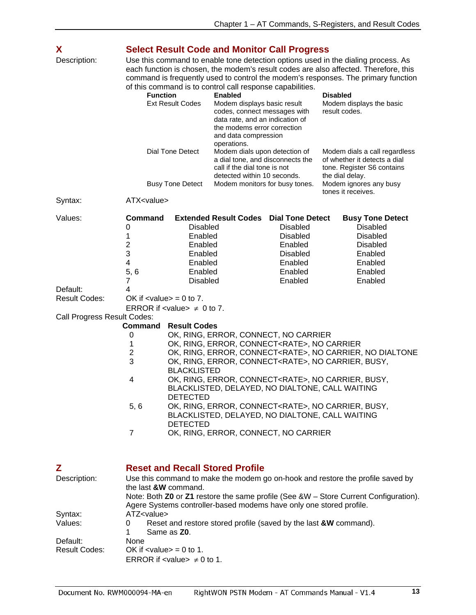<span id="page-13-1"></span><span id="page-13-0"></span>

|                                                                                                                                                                                                                                                                                                                                                                                                                                                                                                                         | Dial Tone Detect            | and data compression<br>operations.                                                    |                                                                                                                                                                                                               |                                                                                               | <b>Select Result Code and Monitor Call Progress</b><br>Use this command to enable tone detection options used in the dialing process. As<br>each function is chosen, the modem's result codes are also affected. Therefore, this<br>command is frequently used to control the modem's responses. The primary function<br>of this command is to control call response capabilities.<br><b>Disabled</b><br><b>Enabled</b><br>Modem displays basic result<br>Modem displays the basic<br>codes, connect messages with<br>result codes.<br>data rate, and an indication of<br>the modems error correction                                                            |  |  |
|-------------------------------------------------------------------------------------------------------------------------------------------------------------------------------------------------------------------------------------------------------------------------------------------------------------------------------------------------------------------------------------------------------------------------------------------------------------------------------------------------------------------------|-----------------------------|----------------------------------------------------------------------------------------|---------------------------------------------------------------------------------------------------------------------------------------------------------------------------------------------------------------|-----------------------------------------------------------------------------------------------|------------------------------------------------------------------------------------------------------------------------------------------------------------------------------------------------------------------------------------------------------------------------------------------------------------------------------------------------------------------------------------------------------------------------------------------------------------------------------------------------------------------------------------------------------------------------------------------------------------------------------------------------------------------|--|--|
|                                                                                                                                                                                                                                                                                                                                                                                                                                                                                                                         |                             | Modem dials upon detection of<br>a dial tone, and disconnects the                      |                                                                                                                                                                                                               |                                                                                               | Modem dials a call regardless<br>of whether it detects a dial<br>tone. Register S6 contains                                                                                                                                                                                                                                                                                                                                                                                                                                                                                                                                                                      |  |  |
|                                                                                                                                                                                                                                                                                                                                                                                                                                                                                                                         |                             |                                                                                        |                                                                                                                                                                                                               |                                                                                               |                                                                                                                                                                                                                                                                                                                                                                                                                                                                                                                                                                                                                                                                  |  |  |
| <b>Command</b><br>0<br>1<br>$\overline{\mathbf{c}}$<br>3<br>4<br>5, 6<br>7                                                                                                                                                                                                                                                                                                                                                                                                                                              |                             |                                                                                        | <b>Disabled</b><br><b>Disabled</b><br>Enabled<br><b>Disabled</b><br>Enabled<br>Enabled<br>Enabled                                                                                                             |                                                                                               | <b>Busy Tone Detect</b><br><b>Disabled</b><br><b>Disabled</b><br><b>Disabled</b><br>Enabled<br>Enabled<br>Enabled<br>Enabled                                                                                                                                                                                                                                                                                                                                                                                                                                                                                                                                     |  |  |
| 4<br>OK if $\langle$ value $\rangle$ = 0 to 7.                                                                                                                                                                                                                                                                                                                                                                                                                                                                          |                             |                                                                                        |                                                                                                                                                                                                               |                                                                                               |                                                                                                                                                                                                                                                                                                                                                                                                                                                                                                                                                                                                                                                                  |  |  |
|                                                                                                                                                                                                                                                                                                                                                                                                                                                                                                                         |                             |                                                                                        |                                                                                                                                                                                                               |                                                                                               |                                                                                                                                                                                                                                                                                                                                                                                                                                                                                                                                                                                                                                                                  |  |  |
| <b>Command</b><br>0<br>1<br>$\overline{c}$<br>3<br>4<br>5, 6<br>$\overline{7}$                                                                                                                                                                                                                                                                                                                                                                                                                                          |                             |                                                                                        |                                                                                                                                                                                                               |                                                                                               |                                                                                                                                                                                                                                                                                                                                                                                                                                                                                                                                                                                                                                                                  |  |  |
| <b>Reset and Recall Stored Profile</b><br>Use this command to make the modem go on-hook and restore the profile saved by<br>the last &W command.<br>Note: Both Z0 or Z1 restore the same profile (See &W - Store Current Configuration).<br>Agere Systems controller-based modems have only one stored profile.<br>ATZ <value><br/>Reset and restore stored profile (saved by the last &amp;W command).<br/>0<br/>Same as <b>Z0</b>.<br/>None<br/>OK if <math>\langle</math>value<math>\rangle</math> = 0 to 1.</value> |                             |                                                                                        |                                                                                                                                                                                                               |                                                                                               |                                                                                                                                                                                                                                                                                                                                                                                                                                                                                                                                                                                                                                                                  |  |  |
|                                                                                                                                                                                                                                                                                                                                                                                                                                                                                                                         | Call Progress Result Codes: | <b>Busy Tone Detect</b><br>ATX <value><br/><b>DETECTED</b><br/><b>DETECTED</b></value> | <b>Extended Result Codes</b><br><b>Disabled</b><br>Enabled<br>Enabled<br>Enabled<br>Enabled<br>Enabled<br><b>Disabled</b><br>ERROR if $\lt$ value $\neq 0$ to 7.<br><b>Result Codes</b><br><b>BLACKLISTED</b> | call if the dial tone is not<br>detected within 10 seconds.<br>Modem monitors for busy tones. | the dial delay.<br>Modem ignores any busy<br>tones it receives.<br><b>Dial Tone Detect</b><br>OK, RING, ERROR, CONNECT, NO CARRIER<br>OK, RING, ERROR, CONNECT <rate>, NO CARRIER<br/>OK, RING, ERROR, CONNECT<rate>, NO CARRIER, NO DIALTONE<br/>OK, RING, ERROR, CONNECT<rate>, NO CARRIER, BUSY,<br/>OK, RING, ERROR, CONNECT<rate>, NO CARRIER, BUSY,<br/>BLACKLISTED, DELAYED, NO DIALTONE, CALL WAITING<br/>OK, RING, ERROR, CONNECT<rate>, NO CARRIER, BUSY,<br/>BLACKLISTED, DELAYED, NO DIALTONE, CALL WAITING<br/>OK, RING, ERROR, CONNECT, NO CARRIER<br/>ERROR if <math>\lt</math>value <math>\neq 0</math> to 1.</rate></rate></rate></rate></rate> |  |  |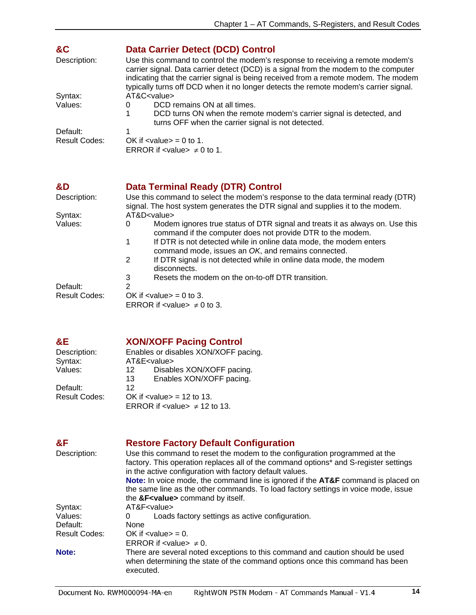<span id="page-14-0"></span>

| &C<br>Description:   | <b>Data Carrier Detect (DCD) Control</b><br>Use this command to control the modem's response to receiving a remote modem's<br>carrier signal. Data carrier detect (DCD) is a signal from the modem to the computer<br>indicating that the carrier signal is being received from a remote modem. The modem<br>typically turns off DCD when it no longer detects the remote modem's carrier signal. |  |  |
|----------------------|---------------------------------------------------------------------------------------------------------------------------------------------------------------------------------------------------------------------------------------------------------------------------------------------------------------------------------------------------------------------------------------------------|--|--|
| Syntax:              | AT&C <value></value>                                                                                                                                                                                                                                                                                                                                                                              |  |  |
| Values:              | DCD remains ON at all times.<br>0                                                                                                                                                                                                                                                                                                                                                                 |  |  |
|                      | DCD turns ON when the remote modem's carrier signal is detected, and<br>turns OFF when the carrier signal is not detected.                                                                                                                                                                                                                                                                        |  |  |
| Default:             |                                                                                                                                                                                                                                                                                                                                                                                                   |  |  |
| <b>Result Codes:</b> | OK if $\langle$ value $\rangle$ = 0 to 1.                                                                                                                                                                                                                                                                                                                                                         |  |  |
|                      | ERROR if $\lt$ value $\neq$ 0 to 1.                                                                                                                                                                                                                                                                                                                                                               |  |  |
| &D                   | <b>Data Terminal Ready (DTR) Control</b>                                                                                                                                                                                                                                                                                                                                                          |  |  |
| Description:         | Use this command to select the modem's response to the data terminal ready (DTR)<br>signal. The host system generates the DTR signal and supplies it to the modem.                                                                                                                                                                                                                                |  |  |
| Syntax:              | AT&D <value></value>                                                                                                                                                                                                                                                                                                                                                                              |  |  |
| Values:              | Modem ignores true status of DTR signal and treats it as always on. Use this<br>0<br>command if the computer does not provide DTR to the modem.                                                                                                                                                                                                                                                   |  |  |
|                      | If DTR is not detected while in online data mode, the modem enters<br>1<br>command mode, issues an OK, and remains connected.                                                                                                                                                                                                                                                                     |  |  |
|                      | $\overline{2}$<br>If DTR signal is not detected while in online data mode, the modem<br>disconnects.                                                                                                                                                                                                                                                                                              |  |  |
|                      | Resets the modem on the on-to-off DTR transition.<br>3                                                                                                                                                                                                                                                                                                                                            |  |  |
| Default:             | $\overline{2}$                                                                                                                                                                                                                                                                                                                                                                                    |  |  |
| <b>Result Codes:</b> | OK if $\langle$ value $\rangle$ = 0 to 3.                                                                                                                                                                                                                                                                                                                                                         |  |  |

<span id="page-14-1"></span>

**ERROR** if <value>  $\neq$  0 to 3.

## <span id="page-14-2"></span>**&E XON/XOFF Pacing Control**

| Description:         | Enables or disables XON/XOFF pacing. |                                                      |  |
|----------------------|--------------------------------------|------------------------------------------------------|--|
| Syntax:              | AT&E <value></value>                 |                                                      |  |
| Values:              | 12                                   | Disables XON/XOFF pacing.                            |  |
|                      | 13                                   | Enables XON/XOFF pacing.                             |  |
| Default:             | 12                                   |                                                      |  |
| <b>Result Codes:</b> |                                      | OK if $\langle$ value $\rangle$ = 12 to 13.          |  |
|                      |                                      | ERROR if <value> <math>\neq</math> 12 to 13.</value> |  |

<span id="page-14-3"></span>

| &F                   | <b>Restore Factory Default Configuration</b>                                                                                                                                                                                   |
|----------------------|--------------------------------------------------------------------------------------------------------------------------------------------------------------------------------------------------------------------------------|
| Description:         | Use this command to reset the modem to the configuration programmed at the<br>factory. This operation replaces all of the command options* and S-register settings<br>in the active configuration with factory default values. |
|                      | Note: In voice mode, the command line is ignored if the AT&F command is placed on<br>the same line as the other commands. To load factory settings in voice mode, issue<br>the &F <value> command by itself.</value>           |
| Syntax:              | AT&F <value></value>                                                                                                                                                                                                           |
| Values:              | Loads factory settings as active configuration.<br>0                                                                                                                                                                           |
| Default:             | None                                                                                                                                                                                                                           |
| <b>Result Codes:</b> | OK if $\langle$ value $\rangle$ = 0.                                                                                                                                                                                           |
|                      | ERROR if $\lt$ value $\neq$ 0.                                                                                                                                                                                                 |
| Note:                | There are several noted exceptions to this command and caution should be used<br>when determining the state of the command options once this command has been<br>executed.                                                     |
|                      |                                                                                                                                                                                                                                |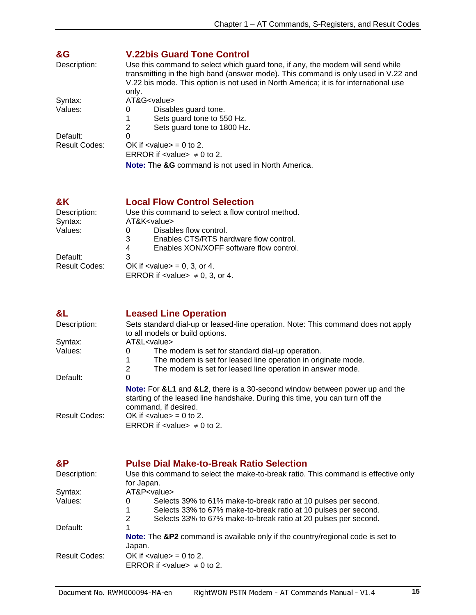<span id="page-15-0"></span>

| &G            | <b>V.22bis Guard Tone Control</b>                                                                                                                                                                                                                            |  |  |  |
|---------------|--------------------------------------------------------------------------------------------------------------------------------------------------------------------------------------------------------------------------------------------------------------|--|--|--|
| Description:  | Use this command to select which guard tone, if any, the modem will send while<br>transmitting in the high band (answer mode). This command is only used in V.22 and<br>V.22 bis mode. This option is not used in North America; it is for international use |  |  |  |
|               | only.                                                                                                                                                                                                                                                        |  |  |  |
| Syntax:       | AT&G <value></value>                                                                                                                                                                                                                                         |  |  |  |
| Values:       | Disables guard tone.<br>0                                                                                                                                                                                                                                    |  |  |  |
|               | Sets guard tone to 550 Hz.                                                                                                                                                                                                                                   |  |  |  |
|               | Sets guard tone to 1800 Hz.<br>2                                                                                                                                                                                                                             |  |  |  |
| Default:      | 0                                                                                                                                                                                                                                                            |  |  |  |
| Result Codes: | OK if $\langle$ value $\rangle$ = 0 to 2.                                                                                                                                                                                                                    |  |  |  |
|               | ERROR if $\lt$ value $\gt \neq 0$ to 2.                                                                                                                                                                                                                      |  |  |  |
|               | <b>Note:</b> The &G command is not used in North America.                                                                                                                                                                                                    |  |  |  |

<span id="page-15-1"></span>

| &K                   | <b>Local Flow Control Selection</b>               |
|----------------------|---------------------------------------------------|
| Description:         | Use this command to select a flow control method. |
| Syntax:              | AT&K <value></value>                              |
| Values:              | Disables flow control.<br>O                       |
|                      | Enables CTS/RTS hardware flow control.<br>3       |
|                      | Enables XON/XOFF software flow control.<br>4      |
| Default:             | 3                                                 |
| <b>Result Codes:</b> | OK if $\langle$ value $\rangle$ = 0, 3, or 4.     |
|                      | ERROR if $\lt$ value $\neq$ 0, 3, or 4.           |

<span id="page-15-2"></span>

| &L                   | <b>Leased Line Operation</b>                                                                                                                                                                |  |  |
|----------------------|---------------------------------------------------------------------------------------------------------------------------------------------------------------------------------------------|--|--|
| Description:         | Sets standard dial-up or leased-line operation. Note: This command does not apply<br>to all models or build options.                                                                        |  |  |
| Syntax:              | AT&L <value></value>                                                                                                                                                                        |  |  |
| Values:              | The modem is set for standard dial-up operation.<br>0                                                                                                                                       |  |  |
|                      | The modem is set for leased line operation in originate mode.                                                                                                                               |  |  |
|                      | The modem is set for leased line operation in answer mode.<br>2                                                                                                                             |  |  |
| Default:             | 0                                                                                                                                                                                           |  |  |
|                      | <b>Note:</b> For &L1 and &L2, there is a 30-second window between power up and the<br>starting of the leased line handshake. During this time, you can turn off the<br>command, if desired. |  |  |
| <b>Result Codes:</b> | OK if $\langle$ value $\rangle$ = 0 to 2.<br>ERROR if $\lt$ value $\neq$ 0 to 2.                                                                                                            |  |  |

<span id="page-15-3"></span>

| &P<br>Description: | <b>Pulse Dial Make-to-Break Ratio Selection</b><br>Use this command to select the make-to-break ratio. This command is effective only<br>for Japan.                                                             |  |
|--------------------|-----------------------------------------------------------------------------------------------------------------------------------------------------------------------------------------------------------------|--|
| Syntax:            | AT&P <value></value>                                                                                                                                                                                            |  |
| Values:            | Selects 39% to 61% make-to-break ratio at 10 pulses per second.<br>0<br>Selects 33% to 67% make-to-break ratio at 10 pulses per second.<br>Selects 33% to 67% make-to-break ratio at 20 pulses per second.<br>2 |  |
| Default:           | Note: The &P2 command is available only if the country/regional code is set to<br>Japan.                                                                                                                        |  |
| Result Codes:      | OK if $\langle$ value $\rangle$ = 0 to 2.<br>ERROR if $\lt$ value $\neq$ 0 to 2.                                                                                                                                |  |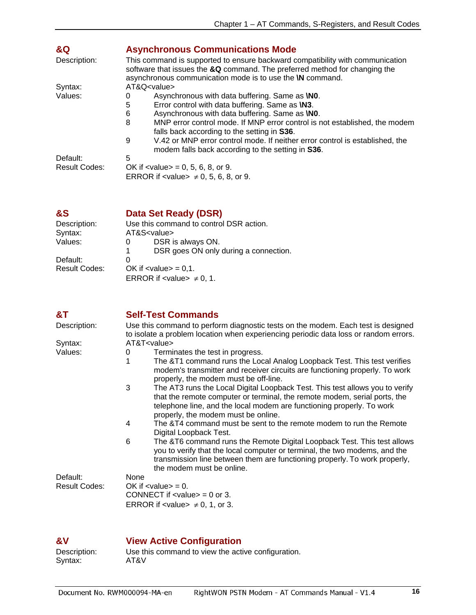<span id="page-16-0"></span>

| &Q            | <b>Asynchronous Communications Mode</b>                                                                                                                                                                                         |  |
|---------------|---------------------------------------------------------------------------------------------------------------------------------------------------------------------------------------------------------------------------------|--|
| Description:  | This command is supported to ensure backward compatibility with communication<br>software that issues the &Q command. The preferred method for changing the<br>asynchronous communication mode is to use the <b>\N</b> command. |  |
| Syntax:       | $AT&Q<$ value>                                                                                                                                                                                                                  |  |
| Values:       | Asynchronous with data buffering. Same as <b>NO</b> .<br>$\Omega$                                                                                                                                                               |  |
|               | 5<br>Error control with data buffering. Same as <b>\N3</b> .                                                                                                                                                                    |  |
|               | Asynchronous with data buffering. Same as <b>NO</b> .<br>6                                                                                                                                                                      |  |
|               | 8<br>MNP error control mode. If MNP error control is not established, the modem<br>falls back according to the setting in S36.                                                                                                  |  |
|               | V.42 or MNP error control mode. If neither error control is established, the<br>9<br>modem falls back according to the setting in S36.                                                                                          |  |
| Default:      | 5                                                                                                                                                                                                                               |  |
| Result Codes: | OK if $\langle$ value $\rangle$ = 0, 5, 6, 8, or 9.                                                                                                                                                                             |  |
|               | ERROR if $\lt$ value $\neq$ 0, 5, 6, 8, or 9.                                                                                                                                                                                   |  |

<span id="page-16-1"></span>

| &S | Data Set Ready (DSR) |
|----|----------------------|
|----|----------------------|

| Description:         | Use this command to control DSR action.     |  |
|----------------------|---------------------------------------------|--|
| Syntax:              | AT&S <value></value>                        |  |
| Values:              | DSR is always ON.<br>0                      |  |
|                      | DSR goes ON only during a connection.<br>1. |  |
| Default:             | $\Omega$                                    |  |
| <b>Result Codes:</b> | OK if $\langle$ value $\rangle$ = 0.1.      |  |
|                      | ERROR if $\lt$ value $\gt \neq 0, 1$ .      |  |

<span id="page-16-2"></span>

| &T                   | <b>Self-Test Commands</b>                                                                                                                                                                                                                                                      |  |  |
|----------------------|--------------------------------------------------------------------------------------------------------------------------------------------------------------------------------------------------------------------------------------------------------------------------------|--|--|
| Description:         | Use this command to perform diagnostic tests on the modem. Each test is designed<br>to isolate a problem location when experiencing periodic data loss or random errors.                                                                                                       |  |  |
| Syntax:              | AT&T <value></value>                                                                                                                                                                                                                                                           |  |  |
| Values:              | Terminates the test in progress.<br>0                                                                                                                                                                                                                                          |  |  |
|                      | 1<br>The &T1 command runs the Local Analog Loopback Test. This test verifies<br>modem's transmitter and receiver circuits are functioning properly. To work<br>properly, the modem must be off-line.                                                                           |  |  |
|                      | 3<br>The AT3 runs the Local Digital Loopback Test. This test allows you to verify<br>that the remote computer or terminal, the remote modem, serial ports, the<br>telephone line, and the local modem are functioning properly. To work<br>properly, the modem must be online. |  |  |
|                      | The &T4 command must be sent to the remote modem to run the Remote<br>4<br>Digital Loopback Test.                                                                                                                                                                              |  |  |
|                      | 6<br>The &T6 command runs the Remote Digital Loopback Test. This test allows<br>you to verify that the local computer or terminal, the two modems, and the<br>transmission line between them are functioning properly. To work properly,<br>the modem must be online.          |  |  |
| Default:             | None                                                                                                                                                                                                                                                                           |  |  |
| <b>Result Codes:</b> | OK if $\langle$ value $\rangle$ = 0.                                                                                                                                                                                                                                           |  |  |
|                      | CONNECT if $\langle$ value $\rangle$ = 0 or 3.                                                                                                                                                                                                                                 |  |  |
|                      | ERROR if $\lt$ value $\neq$ 0, 1, or 3.                                                                                                                                                                                                                                        |  |  |
|                      |                                                                                                                                                                                                                                                                                |  |  |

### <span id="page-16-3"></span>**&V View Active Configuration**

| Description: | Use this command to view the active configuration. |
|--------------|----------------------------------------------------|
| Syntax:      | AT&V                                               |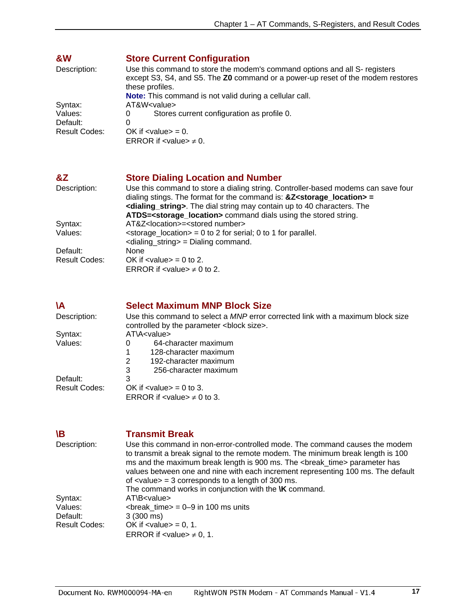<span id="page-17-0"></span>

| &W            | <b>Store Current Configuration</b>                             |                                                                                                                                                                                  |  |
|---------------|----------------------------------------------------------------|----------------------------------------------------------------------------------------------------------------------------------------------------------------------------------|--|
| Description:  |                                                                | Use this command to store the modem's command options and all S- registers<br>except S3, S4, and S5. The Z0 command or a power-up reset of the modem restores<br>these profiles. |  |
|               | <b>Note:</b> This command is not valid during a cellular call. |                                                                                                                                                                                  |  |
| Syntax:       | AT&W <value></value>                                           |                                                                                                                                                                                  |  |
| Values:       | 0                                                              | Stores current configuration as profile 0.                                                                                                                                       |  |
| Default:      | 0                                                              |                                                                                                                                                                                  |  |
| Result Codes: | OK if $\langle$ value $\rangle$ = 0.                           |                                                                                                                                                                                  |  |
|               | ERROR if $\lt$ value $\gt \neq 0$ .                            |                                                                                                                                                                                  |  |

<span id="page-17-1"></span>

| &Z                   | <b>Store Dialing Location and Number</b>                                                                                                                      |
|----------------------|---------------------------------------------------------------------------------------------------------------------------------------------------------------|
| Description:         | Use this command to store a dialing string. Controller-based modems can save four<br>dialing stings. The format for the command is: $&Z<$ storage_location> = |
|                      | <dialing_string>. The dial string may contain up to 40 characters. The</dialing_string>                                                                       |
|                      | ATDS= <storage location=""> command dials using the stored string.</storage>                                                                                  |
| Syntax:              | AT&Z <location>=<stored number=""></stored></location>                                                                                                        |
| Values:              | $\epsilon$ < storage_location $>$ = 0 to 2 for serial; 0 to 1 for parallel.                                                                                   |
|                      | $\alpha$ -dialing_string > = Dialing command.                                                                                                                 |
| Default:             | <b>None</b>                                                                                                                                                   |
| <b>Result Codes:</b> | OK if $\langle$ value $\rangle$ = 0 to 2.                                                                                                                     |
|                      | ERROR if $\lt$ value $\gt \neq 0$ to 2.                                                                                                                       |

<span id="page-17-2"></span>

| ۱A                   | <b>Select Maximum MNP Block Size</b>                                                   |  |  |
|----------------------|----------------------------------------------------------------------------------------|--|--|
| Description:         | Use this command to select a <i>MNP</i> error corrected link with a maximum block size |  |  |
|                      | controlled by the parameter<br>block size>.                                            |  |  |
| Syntax:              | ATA < value >                                                                          |  |  |
| Values:              | 64-character maximum<br>O                                                              |  |  |
|                      | 128-character maximum                                                                  |  |  |
|                      | 192-character maximum<br>2                                                             |  |  |
|                      | 3<br>256-character maximum                                                             |  |  |
| Default:             | 3                                                                                      |  |  |
| <b>Result Codes:</b> | OK if $\langle$ value $\rangle$ = 0 to 3.                                              |  |  |
|                      | ERROR if $\lt$ value $\neq$ 0 to 3.                                                    |  |  |

<span id="page-17-3"></span>

| ۱B                        | <b>Transmit Break</b>                                                                                                                                                                                                                                                                                                                                                                                                                                        |
|---------------------------|--------------------------------------------------------------------------------------------------------------------------------------------------------------------------------------------------------------------------------------------------------------------------------------------------------------------------------------------------------------------------------------------------------------------------------------------------------------|
| Description:              | Use this command in non-error-controlled mode. The command causes the modem<br>to transmit a break signal to the remote modem. The minimum break length is 100<br>ms and the maximum break length is 900 ms. The<br>parameter has<br>values between one and nine with each increment representing 100 ms. The default<br>of $\langle$ value $\rangle$ = 3 corresponds to a length of 300 ms.<br>The command works in conjunction with the <b>\K</b> command. |
| Syntax:<br>Values:        | $AT\$<br>$\leq$ value><br>$\epsilon$ -break time $= 0$ -9 in 100 ms units                                                                                                                                                                                                                                                                                                                                                                                    |
| Default:<br>Result Codes: | $3(300 \text{ ms})$<br>OK if $\langle$ value $\rangle$ = 0, 1.<br>ERROR if $\lt$ value $\gt \neq 0, 1$ .                                                                                                                                                                                                                                                                                                                                                     |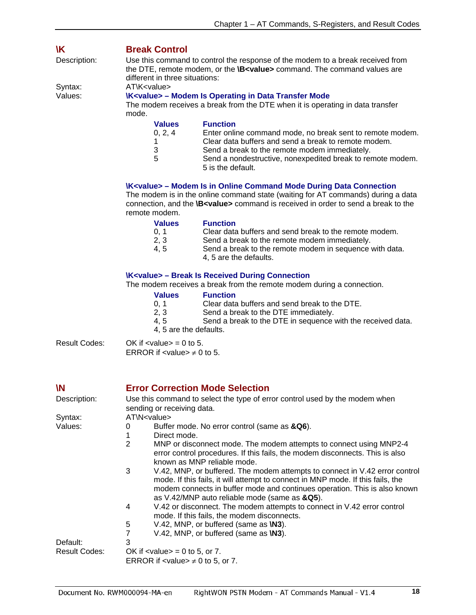<span id="page-18-0"></span>

| <b>Break Control</b>                                                                                                                                                                                       |                                                                                                                                                      |  |
|------------------------------------------------------------------------------------------------------------------------------------------------------------------------------------------------------------|------------------------------------------------------------------------------------------------------------------------------------------------------|--|
| Use this command to control the response of the modem to a break received from<br>the DTE, remote modem, or the <b>\B<value></value></b> command. The command values are<br>different in three situations: |                                                                                                                                                      |  |
| ATK < value>                                                                                                                                                                                               |                                                                                                                                                      |  |
| mode.                                                                                                                                                                                                      | <b>\K<value> - Modem Is Operating in Data Transfer Mode</value></b><br>The modem receives a break from the DTE when it is operating in data transfer |  |
| <b>Values</b>                                                                                                                                                                                              | <b>Function</b>                                                                                                                                      |  |
| 0, 2, 4                                                                                                                                                                                                    | Enter online command mode, no break sent to remote modem.                                                                                            |  |
|                                                                                                                                                                                                            | Clear data buffers and send a break to remote modem.                                                                                                 |  |
| 3                                                                                                                                                                                                          | Send a break to the remote modem immediately.                                                                                                        |  |
| 5                                                                                                                                                                                                          | Send a nondestructive, nonexpedited break to remote modem.<br>5 is the default.                                                                      |  |
|                                                                                                                                                                                                            |                                                                                                                                                      |  |

#### **\K<value> – Modem Is in Online Command Mode During Data Connection**

The modem is in the online command state (waiting for AT commands) during a data connection, and the **\B<value>** command is received in order to send a break to the remote modem.

| <b>Values</b> | <b>Function</b>                                                                   |
|---------------|-----------------------------------------------------------------------------------|
| 0.1           | Clear data buffers and send break to the remote modem.                            |
| 2.3           | Send a break to the remote modem immediately.                                     |
| 4.5           | Send a break to the remote modem in sequence with data.<br>4, 5 are the defaults. |

#### **\K<value> – Break Is Received During Connection**

The modem receives a break from the remote modem during a connection.

|               | <b>Values</b>                                                                        | <b>Function</b>                                             |
|---------------|--------------------------------------------------------------------------------------|-------------------------------------------------------------|
|               | 0.1                                                                                  | Clear data buffers and send break to the DTE.               |
|               | 2, 3                                                                                 | Send a break to the DTE immediately.                        |
|               | 4.5                                                                                  | Send a break to the DTE in sequence with the received data. |
|               | 4, 5 are the defaults.                                                               |                                                             |
| Result Codes: | OK if $\langle$ value $\rangle$ = 0 to 5.<br>ERROR if $\le$ value $\ge \neq 0$ to 5. |                                                             |

<span id="page-18-1"></span>

| W             |                                                 | <b>Error Correction Mode Selection</b>                                                                                                                                                                                                                                                       |
|---------------|-------------------------------------------------|----------------------------------------------------------------------------------------------------------------------------------------------------------------------------------------------------------------------------------------------------------------------------------------------|
| Description:  |                                                 | Use this command to select the type of error control used by the modem when                                                                                                                                                                                                                  |
|               | sending or receiving data.                      |                                                                                                                                                                                                                                                                                              |
| Syntax:       | AT\N <value></value>                            |                                                                                                                                                                                                                                                                                              |
| Values:       | 0                                               | Buffer mode. No error control (same as &Q6).                                                                                                                                                                                                                                                 |
|               | 1                                               | Direct mode.                                                                                                                                                                                                                                                                                 |
|               | $\overline{2}$                                  | MNP or disconnect mode. The modem attempts to connect using MNP2-4<br>error control procedures. If this fails, the modem disconnects. This is also<br>known as MNP reliable mode.                                                                                                            |
|               | 3                                               | V.42, MNP, or buffered. The modem attempts to connect in V.42 error control<br>mode. If this fails, it will attempt to connect in MNP mode. If this fails, the<br>modem connects in buffer mode and continues operation. This is also known<br>as V.42/MNP auto reliable mode (same as &Q5). |
|               | 4                                               | V.42 or disconnect. The modem attempts to connect in V.42 error control<br>mode. If this fails, the modem disconnects.                                                                                                                                                                       |
|               | 5                                               | V.42, MNP, or buffered (same as <b>W3</b> ).                                                                                                                                                                                                                                                 |
|               | 7                                               | V.42, MNP, or buffered (same as <b>\N3</b> ).                                                                                                                                                                                                                                                |
| Default:      | 3                                               |                                                                                                                                                                                                                                                                                              |
| Result Codes: | OK if $\langle$ value $\rangle$ = 0 to 5, or 7. |                                                                                                                                                                                                                                                                                              |
|               |                                                 | ERROR if $\lt$ value $\neq$ 0 to 5, or 7.                                                                                                                                                                                                                                                    |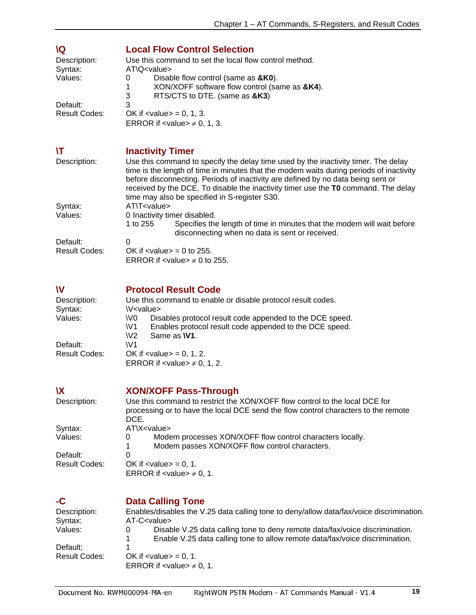<span id="page-19-4"></span><span id="page-19-3"></span><span id="page-19-2"></span><span id="page-19-1"></span><span id="page-19-0"></span>

| <b>IQ</b>            | <b>Local Flow Control Selection</b>                                                                                                                      |
|----------------------|----------------------------------------------------------------------------------------------------------------------------------------------------------|
| Description:         | Use this command to set the local flow control method.                                                                                                   |
| Syntax:              | AT\Q <value></value>                                                                                                                                     |
| Values:              | Disable flow control (same as &K0).<br>0                                                                                                                 |
|                      | XON/XOFF software flow control (same as &K4).<br>1<br>3<br>RTS/CTS to DTE. (same as &K3)                                                                 |
| Default:             | 3                                                                                                                                                        |
| <b>Result Codes:</b> | OK if $\langle$ value $\rangle$ = 0, 1, 3.                                                                                                               |
|                      | ERROR if $\langle$ value $\rangle \neq 0, 1, 3$ .                                                                                                        |
|                      |                                                                                                                                                          |
| ۱T                   |                                                                                                                                                          |
| Description:         | <b>Inactivity Timer</b><br>Use this command to specify the delay time used by the inactivity timer. The delay                                            |
|                      | time is the length of time in minutes that the modem waits during periods of inactivity                                                                  |
|                      | before disconnecting. Periods of inactivity are defined by no data being sent or                                                                         |
|                      | received by the DCE. To disable the inactivity timer use the TO command. The delay                                                                       |
|                      | time may also be specified in S-register S30.                                                                                                            |
| Syntax:              | AT\T <value></value>                                                                                                                                     |
| Values:              | 0 Inactivity timer disabled.<br>Specifies the length of time in minutes that the modem will wait before<br>1 to 255                                      |
|                      | disconnecting when no data is sent or received.                                                                                                          |
| Default:             | 0                                                                                                                                                        |
| <b>Result Codes:</b> | OK if $\langle$ value $\rangle$ = 0 to 255.                                                                                                              |
|                      | ERROR if $\langle$ value $\rangle \neq 0$ to 255.                                                                                                        |
|                      |                                                                                                                                                          |
| W                    | <b>Protocol Result Code</b>                                                                                                                              |
| Description:         | Use this command to enable or disable protocol result codes.                                                                                             |
| Syntax:              | \V <value></value>                                                                                                                                       |
| Values:              | Disables protocol result code appended to the DCE speed.<br>\V <sub>0</sub><br>Enables protocol result code appended to the DCE speed.<br>W <sub>1</sub> |
|                      | Same as W1.<br>W <sub>2</sub>                                                                                                                            |
| Default:             | W1                                                                                                                                                       |
| <b>Result Codes:</b> | OK if $\langle$ value $\rangle$ = 0, 1, 2.                                                                                                               |
|                      | ERROR if $\langle$ value $\rangle \neq 0, 1, 2$ .                                                                                                        |
|                      |                                                                                                                                                          |
| <b>X</b>             | <b>XON/XOFF Pass-Through</b>                                                                                                                             |
| Description:         | Use this command to restrict the XON/XOFF flow control to the local DCE for                                                                              |
|                      | processing or to have the local DCE send the flow control characters to the remote                                                                       |
| Syntax:              | DCE.<br>AT\X <value></value>                                                                                                                             |
| Values:              | Modem processes XON/XOFF flow control characters locally.<br>O                                                                                           |
|                      | Modem passes XON/XOFF flow control characters.<br>1                                                                                                      |
| Default:             | 0                                                                                                                                                        |
| <b>Result Codes:</b> | OK if $\langle$ value $\rangle$ = 0, 1.                                                                                                                  |
|                      | ERROR if $\lt$ value $\neq$ 0, 1.                                                                                                                        |
|                      |                                                                                                                                                          |
| -C                   | <b>Data Calling Tone</b>                                                                                                                                 |
| Description:         | Enables/disables the V.25 data calling tone to deny/allow data/fax/voice discrimination.                                                                 |
| Syntax:<br>Values:   | AT-C <value><br/>Disable V.25 data calling tone to deny remote data/fax/voice discrimination.<br/>0</value>                                              |
|                      | Enable V.25 data calling tone to allow remote data/fax/voice discrimination.                                                                             |
| Default:             |                                                                                                                                                          |
| <b>Result Codes:</b> | OK if $\langle$ value $\rangle$ = 0, 1.                                                                                                                  |
|                      | ERROR if $\lt$ value $\neq$ 0, 1.                                                                                                                        |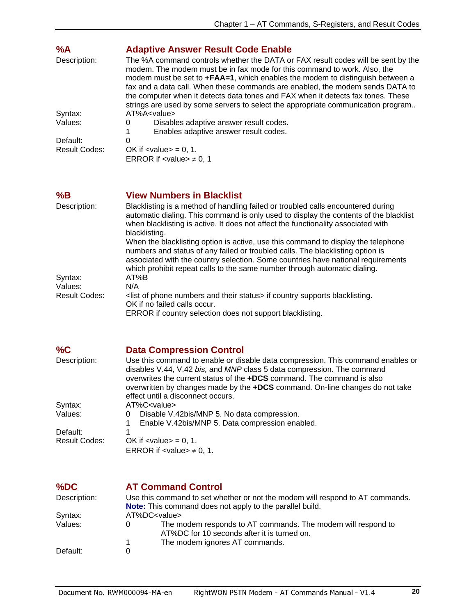<span id="page-20-0"></span>

| %A                   | <b>Adaptive Answer Result Code Enable</b>                                                                                                                                                                                                                                                                                                                                                                                                                                                              |
|----------------------|--------------------------------------------------------------------------------------------------------------------------------------------------------------------------------------------------------------------------------------------------------------------------------------------------------------------------------------------------------------------------------------------------------------------------------------------------------------------------------------------------------|
| Description:         | The %A command controls whether the DATA or FAX result codes will be sent by the<br>modem. The modem must be in fax mode for this command to work. Also, the<br>modem must be set to +FAA=1, which enables the modem to distinguish between a<br>fax and a data call. When these commands are enabled, the modem sends DATA to<br>the computer when it detects data tones and FAX when it detects fax tones. These<br>strings are used by some servers to select the appropriate communication program |
| Syntax:              | AT%A < value>                                                                                                                                                                                                                                                                                                                                                                                                                                                                                          |
| Values:              | Disables adaptive answer result codes.<br>$\Omega$                                                                                                                                                                                                                                                                                                                                                                                                                                                     |
|                      | Enables adaptive answer result codes.                                                                                                                                                                                                                                                                                                                                                                                                                                                                  |
| Default:             | 0                                                                                                                                                                                                                                                                                                                                                                                                                                                                                                      |
| <b>Result Codes:</b> | OK if $\langle$ value $\rangle$ = 0, 1.                                                                                                                                                                                                                                                                                                                                                                                                                                                                |
|                      | ERROR if $\lt$ value $\gt \neq 0, 1$                                                                                                                                                                                                                                                                                                                                                                                                                                                                   |

### <span id="page-20-1"></span>**%B View Numbers in Blacklist**

| Description:  | Blacklisting is a method of handling failed or troubled calls encountered during<br>automatic dialing. This command is only used to display the contents of the blacklist<br>when blacklisting is active. It does not affect the functionality associated with |
|---------------|----------------------------------------------------------------------------------------------------------------------------------------------------------------------------------------------------------------------------------------------------------------|
|               | blacklisting.                                                                                                                                                                                                                                                  |
|               | When the blacklisting option is active, use this command to display the telephone<br>numbers and status of any failed or troubled calls. The blacklisting option is                                                                                            |
|               | associated with the country selection. Some countries have national requirements<br>which prohibit repeat calls to the same number through automatic dialing.                                                                                                  |
| Syntax:       | AT%B                                                                                                                                                                                                                                                           |
| Values:       | N/A                                                                                                                                                                                                                                                            |
| Result Codes: | <list and="" numbers="" of="" phone="" status="" their=""> if country supports blacklisting.</list>                                                                                                                                                            |
|               | OK if no failed calls occur.                                                                                                                                                                                                                                   |
|               | EDDOD if country coloction doos not support blocklisting                                                                                                                                                                                                       |

ERROR if country selection does not support blacklisting.

<span id="page-20-2"></span>

| %C                   | <b>Data Compression Control</b>                                                                                                                                                                                                     |
|----------------------|-------------------------------------------------------------------------------------------------------------------------------------------------------------------------------------------------------------------------------------|
| Description:         | Use this command to enable or disable data compression. This command enables or<br>disables V.44, V.42 bis, and MNP class 5 data compression. The command<br>overwrites the current status of the +DCS command. The command is also |
|                      | overwritten by changes made by the +DCS command. On-line changes do not take                                                                                                                                                        |
|                      | effect until a disconnect occurs.                                                                                                                                                                                                   |
| Syntax:              | AT%C <value></value>                                                                                                                                                                                                                |
| Values:              | Disable V.42bis/MNP 5. No data compression.<br>0                                                                                                                                                                                    |
|                      | Enable V.42bis/MNP 5. Data compression enabled.                                                                                                                                                                                     |
| Default:             |                                                                                                                                                                                                                                     |
| <b>Result Codes:</b> | OK if $\langle$ value $\rangle$ = 0, 1.                                                                                                                                                                                             |
|                      | ERROR if $\lt$ value $\gt \neq 0, 1$ .                                                                                                                                                                                              |

<span id="page-20-3"></span>

| %DC          | <b>AT Command Control</b>                                                                                                                        |
|--------------|--------------------------------------------------------------------------------------------------------------------------------------------------|
| Description: | Use this command to set whether or not the modem will respond to AT commands.<br><b>Note:</b> This command does not apply to the parallel build. |
| Syntax:      | AT%DC <value></value>                                                                                                                            |
| Values:      | The modem responds to AT commands. The modem will respond to<br>0<br>AT%DC for 10 seconds after it is turned on.                                 |
|              | The modem ignores AT commands.                                                                                                                   |
| Default:     | 0                                                                                                                                                |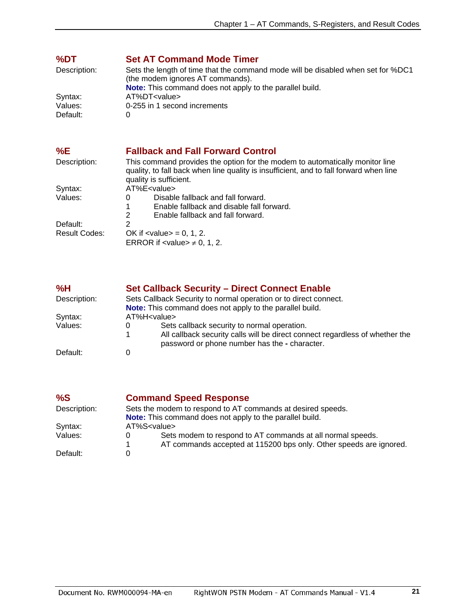<span id="page-21-0"></span>

| %DT          | <b>Set AT Command Mode Timer</b>                                                                                                                                                                 |
|--------------|--------------------------------------------------------------------------------------------------------------------------------------------------------------------------------------------------|
| Description: | Sets the length of time that the command mode will be disabled when set for %DC1<br>(the modem ignores AT commands).                                                                             |
|              | Note: This command does not apply to the parallel build.                                                                                                                                         |
| Syntax:      | AT%DT <value></value>                                                                                                                                                                            |
| Values:      | 0-255 in 1 second increments                                                                                                                                                                     |
| Default:     | 0                                                                                                                                                                                                |
| %E           | <b>Fallback and Fall Forward Control</b>                                                                                                                                                         |
| Description: | This command provides the option for the modem to automatically monitor line<br>quality, to fall back when line quality is insufficient, and to fall forward when line<br>quality is sufficient. |

<span id="page-21-1"></span>

| Syntax:       | AT%E <value></value>                               |
|---------------|----------------------------------------------------|
| Values:       | Disable fallback and fall forward.                 |
|               | Enable fallback and disable fall forward.<br>1     |
|               | Enable fallback and fall forward.<br>$\mathcal{P}$ |
| Default:      | 2                                                  |
| Result Codes: | OK if $\langle$ value $\rangle$ = 0, 1, 2.         |
|               | ERROR if $\lt$ value $\gt \neq 0, 1, 2$ .          |

<span id="page-21-2"></span>

| %H           | <b>Set Callback Security - Direct Connect Enable</b>                                                                                                                              |
|--------------|-----------------------------------------------------------------------------------------------------------------------------------------------------------------------------------|
| Description: | Sets Callback Security to normal operation or to direct connect.<br><b>Note:</b> This command does not apply to the parallel build.                                               |
| Syntax:      | AT%H <value></value>                                                                                                                                                              |
| Values:      | Sets callback security to normal operation.<br>0<br>All callback security calls will be direct connect regardless of whether the<br>password or phone number has the - character. |
| Default:     |                                                                                                                                                                                   |

<span id="page-21-3"></span>

| %S           | <b>Command Speed Response</b>                                                                                                         |
|--------------|---------------------------------------------------------------------------------------------------------------------------------------|
| Description: | Sets the modem to respond to AT commands at desired speeds.                                                                           |
|              | <b>Note:</b> This command does not apply to the parallel build.                                                                       |
| Syntax:      | AT%S <value></value>                                                                                                                  |
| Values:      | Sets modem to respond to AT commands at all normal speeds.<br>0<br>AT commands accepted at 115200 bps only. Other speeds are ignored. |
| Default:     |                                                                                                                                       |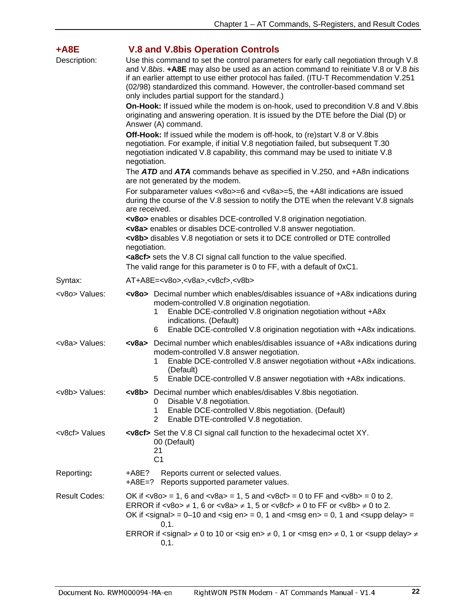<span id="page-22-0"></span>

| +A8E                 | <b>V.8 and V.8bis Operation Controls</b>                                                                                                                                                                                                                                                                                                                                                                                                                                                                                                                      |  |
|----------------------|---------------------------------------------------------------------------------------------------------------------------------------------------------------------------------------------------------------------------------------------------------------------------------------------------------------------------------------------------------------------------------------------------------------------------------------------------------------------------------------------------------------------------------------------------------------|--|
| Description:         | Use this command to set the control parameters for early call negotiation through V.8<br>and V.8bis. +A8E may also be used as an action command to reinitiate V.8 or V.8 bis<br>if an earlier attempt to use either protocol has failed. (ITU-T Recommendation V.251<br>(02/98) standardized this command. However, the controller-based command set<br>only includes partial support for the standard.)                                                                                                                                                      |  |
|                      | <b>On-Hook:</b> If issued while the modem is on-hook, used to precondition V.8 and V.8bis<br>originating and answering operation. It is issued by the DTE before the Dial (D) or<br>Answer (A) command.                                                                                                                                                                                                                                                                                                                                                       |  |
|                      | <b>Off-Hook:</b> If issued while the modem is off-hook, to (re)start V.8 or V.8bis<br>negotiation. For example, if initial V.8 negotiation failed, but subsequent T.30<br>negotiation indicated V.8 capability, this command may be used to initiate V.8<br>negotiation.                                                                                                                                                                                                                                                                                      |  |
|                      | The ATD and ATA commands behave as specified in V.250, and +A8n indications                                                                                                                                                                                                                                                                                                                                                                                                                                                                                   |  |
|                      | are not generated by the modem.<br>For subparameter values < $v8o>=6$ and < $v8a>=5$ , the +A8I indications are issued<br>during the course of the V.8 session to notify the DTE when the relevant V.8 signals<br>are received.                                                                                                                                                                                                                                                                                                                               |  |
|                      | <v8o> enables or disables DCE-controlled V.8 origination negotiation.<br/><v8a> enables or disables DCE-controlled V.8 answer negotiation.<br/><v8b> disables V.8 negotiation or sets it to DCE controlled or DTE controlled<br/>negotiation.</v8b></v8a></v8o>                                                                                                                                                                                                                                                                                               |  |
|                      | <a8cf> sets the V.8 CI signal call function to the value specified.<br/>The valid range for this parameter is 0 to FF, with a default of 0xC1.</a8cf>                                                                                                                                                                                                                                                                                                                                                                                                         |  |
| Syntax:              | AT+A8E= <v8o>,<v8a>,<v8cf>,<v8b></v8b></v8cf></v8a></v8o>                                                                                                                                                                                                                                                                                                                                                                                                                                                                                                     |  |
| <v8o> Values:</v8o>  | <v8o> Decimal number which enables/disables issuance of +A8x indications during<br/>modem-controlled V.8 origination negotiation.<br/>Enable DCE-controlled V.8 origination negotiation without +A8x<br/>1<br/>indications. (Default)<br/>Enable DCE-controlled V.8 origination negotiation with +A8x indications.<br/>6</v8o>                                                                                                                                                                                                                                |  |
| <v8a> Values:</v8a>  | <v8a> Decimal number which enables/disables issuance of +A8x indications during<br/>modem-controlled V.8 answer negotiation.<br/>Enable DCE-controlled V.8 answer negotiation without +A8x indications.<br/>1<br/>(Default)<br/>Enable DCE-controlled V.8 answer negotiation with +A8x indications.<br/>5</v8a>                                                                                                                                                                                                                                               |  |
| <v8b> Values:</v8b>  | <v8b> Decimal number which enables/disables V.8bis negotiation.<br/>Disable V.8 negotiation.<br/>0<br/>Enable DCE-controlled V.8bis negotiation. (Default)<br/>1<br/>Enable DTE-controlled V.8 negotiation.<br/>2</v8b>                                                                                                                                                                                                                                                                                                                                       |  |
| <v8cf> Values</v8cf> | <v8cf> Set the V.8 CI signal call function to the hexadecimal octet XY.<br/>00 (Default)<br/>21<br/>C<sub>1</sub></v8cf>                                                                                                                                                                                                                                                                                                                                                                                                                                      |  |
| Reporting:           | +A8E?<br>Reports current or selected values.<br>+A8E=?<br>Reports supported parameter values.                                                                                                                                                                                                                                                                                                                                                                                                                                                                 |  |
| <b>Result Codes:</b> | OK if $\langle \sqrt{8} \cos 2 \rangle = 1$ , 6 and $\langle \sqrt{8} \cos 2 \rangle = 1$ , 5 and $\langle \sqrt{8} \cos 2 \rangle = 0$ to FF and $\langle \sqrt{8} \cos 2 \rangle = 0$ to 2.<br>ERROR if <v8o> <math>\neq</math> 1, 6 or <v8a> <math>\neq</math> 1, 5 or <v8cf> <math>\neq</math> 0 to FF or <v8b> <math>\neq</math> 0 to 2.<br/>OK if <math>\langle</math>signal&gt; = 0–10 and <math>\langle</math>sig en&gt; = 0, 1 and <math>\langle</math>msg en&gt; = 0, 1 and <math>\langle</math>supp delay&gt; =<br/>0, 1.</v8b></v8cf></v8a></v8o> |  |
|                      | ERROR if <signal> <math>\neq</math> 0 to 10 or <sig en=""> <math>\neq</math> 0, 1 or <msg en=""> <math>\neq</math> 0, 1 or <supp delay=""> <math>\neq</math><br/>0,1.</supp></msg></sig></signal>                                                                                                                                                                                                                                                                                                                                                             |  |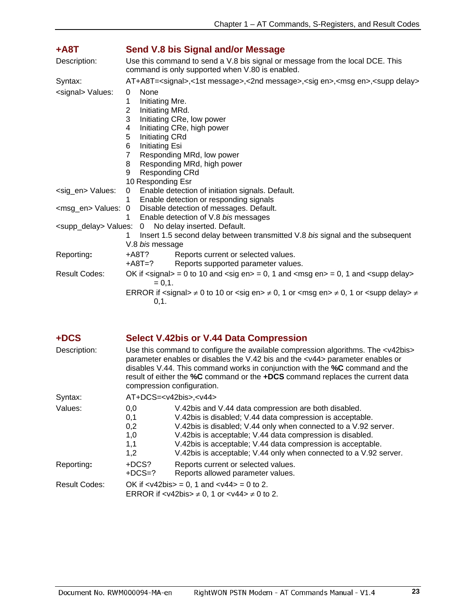<span id="page-23-0"></span>

| +A8T                              | Send V.8 bis Signal and/or Message                                                                                                                                                                                                                                                                                                       |  |  |  |
|-----------------------------------|------------------------------------------------------------------------------------------------------------------------------------------------------------------------------------------------------------------------------------------------------------------------------------------------------------------------------------------|--|--|--|
| Description:                      | Use this command to send a V.8 bis signal or message from the local DCE. This<br>command is only supported when V.80 is enabled.                                                                                                                                                                                                         |  |  |  |
| Syntax:                           | AT+A8T= <signal>,&lt;1st message&gt;,&lt;2nd message&gt;,<sig en="">,<msg en="">,<supp delay=""></supp></msg></sig></signal>                                                                                                                                                                                                             |  |  |  |
| <signal> Values:</signal>         | None<br>0<br>Initiating Mre.<br>1<br>Initiating MRd.<br>2<br>3<br>Initiating CRe, low power<br>Initiating CRe, high power<br>4<br>5<br><b>Initiating CRd</b><br>Initiating Esi<br>6<br>Responding MRd, low power<br>7<br>Responding MRd, high power<br>8                                                                                 |  |  |  |
|                                   | 9<br><b>Responding CRd</b>                                                                                                                                                                                                                                                                                                               |  |  |  |
|                                   | 10 Responding Esr                                                                                                                                                                                                                                                                                                                        |  |  |  |
| <sig_en> Values:</sig_en>         | Enable detection of initiation signals. Default.<br>$\mathbf{0}$<br>Enable detection or responding signals<br>1                                                                                                                                                                                                                          |  |  |  |
| <msg_en> Values: 0</msg_en>       | Disable detection of messages. Default.<br>Enable detection of V.8 bis messages<br>1                                                                                                                                                                                                                                                     |  |  |  |
| <supp_delay> Values:</supp_delay> | No delay inserted. Default.<br>$\overline{0}$<br>Insert 1.5 second delay between transmitted V.8 bis signal and the subsequent<br>1.<br>V.8 bis message                                                                                                                                                                                  |  |  |  |
| Reporting:                        | +A8T?<br>Reports current or selected values.<br>Reports supported parameter values.<br>+A8T=?                                                                                                                                                                                                                                            |  |  |  |
| <b>Result Codes:</b>              | OK if $\langle$ signal> = 0 to 10 and $\langle$ sig en> = 0, 1 and $\langle$ msg en> = 0, 1 and $\langle$ supp delay><br>$= 0, 1.$<br>ERROR if <signal> <math>\neq</math> 0 to 10 or <sig en=""> <math>\neq</math> 0, 1 or <msg en=""> <math>\neq</math> 0, 1 or <supp delay=""> <math>\neq</math><br/>0, 1.</supp></msg></sig></signal> |  |  |  |

| +DCS | <b>Select V.42bis or V.44 Data Compression</b> |
|------|------------------------------------------------|
|------|------------------------------------------------|

<span id="page-23-1"></span>

| Description:         | Use this command to configure the available compression algorithms. The <v42bis><br/>parameter enables or disables the V.42 bis and the <v44> parameter enables or<br/>disables V.44. This command works in conjunction with the <b>%C</b> command and the<br/>result of either the %C command or the +DCS command replaces the current data<br/>compression configuration.</v44></v42bis> |                                                                                                                                                                                                                                                                                                                                                                                       |
|----------------------|--------------------------------------------------------------------------------------------------------------------------------------------------------------------------------------------------------------------------------------------------------------------------------------------------------------------------------------------------------------------------------------------|---------------------------------------------------------------------------------------------------------------------------------------------------------------------------------------------------------------------------------------------------------------------------------------------------------------------------------------------------------------------------------------|
| Syntax:              | $AT+DCS=$                                                                                                                                                                                                                                                                                                                                                                                  |                                                                                                                                                                                                                                                                                                                                                                                       |
| Values:              | 0.0<br>0,1<br>0,2<br>1,0<br>1,1<br>1,2                                                                                                                                                                                                                                                                                                                                                     | V.42bis and V.44 data compression are both disabled.<br>V.42bis is disabled; V.44 data compression is acceptable.<br>V.42bis is disabled; V.44 only when connected to a V.92 server.<br>V.42bis is acceptable; V.44 data compression is disabled.<br>V.42bis is acceptable; V.44 data compression is acceptable.<br>V.42bis is acceptable; V.44 only when connected to a V.92 server. |
| Reporting:           | +DCS?<br>Reports current or selected values.<br>$+DCS=?$<br>Reports allowed parameter values.                                                                                                                                                                                                                                                                                              |                                                                                                                                                                                                                                                                                                                                                                                       |
| <b>Result Codes:</b> | OK if $\langle \frac{1}{2} \times 42 \times 5 \rangle = 0$ , 1 and $\langle \frac{1}{4} \times 44 \rangle = 0$ to 2.<br>ERROR if $\langle \sqrt{42} \rangle = 0$ , 1 or $\langle \sqrt{44} \rangle \neq 0$ to 2.                                                                                                                                                                           |                                                                                                                                                                                                                                                                                                                                                                                       |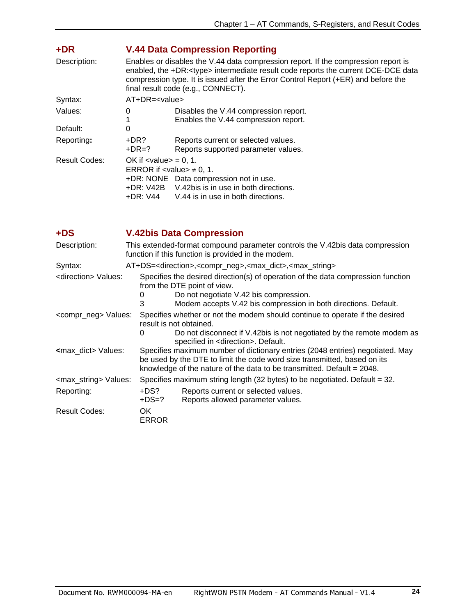<span id="page-24-0"></span>

| +DR                  | <b>V.44 Data Compression Reporting</b>                                                                                                                                                                                                                                                                        |                                                                               |
|----------------------|---------------------------------------------------------------------------------------------------------------------------------------------------------------------------------------------------------------------------------------------------------------------------------------------------------------|-------------------------------------------------------------------------------|
| Description:         | Enables or disables the V.44 data compression report. If the compression report is<br>enabled, the +DR: <type> intermediate result code reports the current DCE-DCE data<br/>compression type. It is issued after the Error Control Report (+ER) and before the<br/>final result code (e.g., CONNECT).</type> |                                                                               |
| Syntax:              | $AT+DR = < value>$                                                                                                                                                                                                                                                                                            |                                                                               |
| Values:              | 0                                                                                                                                                                                                                                                                                                             | Disables the V.44 compression report.<br>Enables the V.44 compression report. |
| Default:             | 0                                                                                                                                                                                                                                                                                                             |                                                                               |
| Reporting:           | +DR?<br>$+DR=?$                                                                                                                                                                                                                                                                                               | Reports current or selected values.<br>Reports supported parameter values.    |
| <b>Result Codes:</b> | OK if $\langle$ value $\rangle$ = 0, 1.<br>ERROR if $\lt$ value $\gt \neq 0, 1$ .<br>+DR: NONE Data compression not in use.<br>+DR: V42B V.42bis is in use in both directions.<br>+DR: V44<br>V.44 is in use in both directions.                                                                              |                                                                               |

<span id="page-24-1"></span>**+DS V.42bis Data Compression** 

| Description:                       | This extended-format compound parameter controls the V.42bis data compression<br>function if this function is provided in the modem.                                                                                                    |                                                                                                                                                                                                                                        |  |  |
|------------------------------------|-----------------------------------------------------------------------------------------------------------------------------------------------------------------------------------------------------------------------------------------|----------------------------------------------------------------------------------------------------------------------------------------------------------------------------------------------------------------------------------------|--|--|
| Syntax:                            |                                                                                                                                                                                                                                         | AT+DS= <direction>,<compr_neg>,<max_dict>,<max_string></max_string></max_dict></compr_neg></direction>                                                                                                                                 |  |  |
| <direction> Values:</direction>    | Specifies the desired direction(s) of operation of the data compression function<br>from the DTE point of view.<br>Do not negotiate V.42 bis compression.<br>0<br>Modem accepts V.42 bis compression in both directions. Default.<br>3  |                                                                                                                                                                                                                                        |  |  |
| <compr_neg> Values:</compr_neg>    | Specifies whether or not the modem should continue to operate if the desired<br>result is not obtained.<br>Do not disconnect if V.42bis is not negotiated by the remote modem as<br>0<br>specified in <direction>. Default.</direction> |                                                                                                                                                                                                                                        |  |  |
| <b><max dict=""> Values:</max></b> |                                                                                                                                                                                                                                         | Specifies maximum number of dictionary entries (2048 entries) negotiated. May<br>be used by the DTE to limit the code word size transmitted, based on its<br>knowledge of the nature of the data to be transmitted. Default $= 2048$ . |  |  |
| <max_string> Values:</max_string>  |                                                                                                                                                                                                                                         | Specifies maximum string length (32 bytes) to be negotiated. Default $=$ 32.                                                                                                                                                           |  |  |
| Reporting:                         | +DS?<br>$+DS=?$                                                                                                                                                                                                                         | Reports current or selected values.<br>Reports allowed parameter values.                                                                                                                                                               |  |  |
| <b>Result Codes:</b>               | OK.<br><b>ERROR</b>                                                                                                                                                                                                                     |                                                                                                                                                                                                                                        |  |  |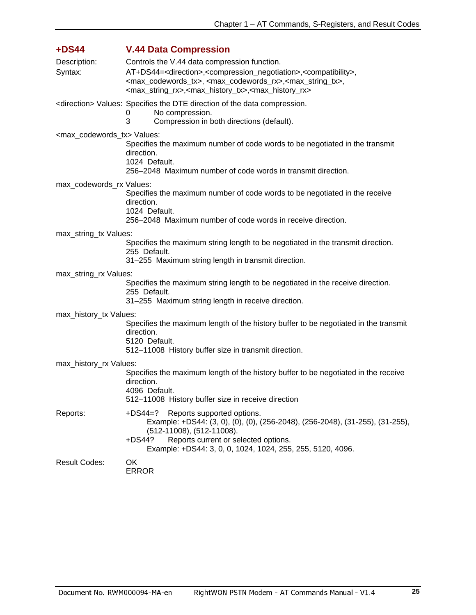<span id="page-25-0"></span>

| $+DS44$                                       | <b>V.44 Data Compression</b>                                                                                                                                                                                                                                                                                                                    |  |  |
|-----------------------------------------------|-------------------------------------------------------------------------------------------------------------------------------------------------------------------------------------------------------------------------------------------------------------------------------------------------------------------------------------------------|--|--|
| Description:                                  | Controls the V.44 data compression function.                                                                                                                                                                                                                                                                                                    |  |  |
| Syntax:                                       | AT+DS44= <direction>,<compression_negotiation>,<compatibility>,<br/><max_codewords_tx>, <max_codewords_rx>,<max_string_tx>,<br/><max_string_rx>,<max_history_tx>,<max_history_rx></max_history_rx></max_history_tx></max_string_rx></max_string_tx></max_codewords_rx></max_codewords_tx></compatibility></compression_negotiation></direction> |  |  |
|                                               | <direction> Values: Specifies the DTE direction of the data compression.<br/>No compression.<br/>0<br/>3<br/>Compression in both directions (default).</direction>                                                                                                                                                                              |  |  |
| <max_codewords_tx> Values:</max_codewords_tx> |                                                                                                                                                                                                                                                                                                                                                 |  |  |
|                                               | Specifies the maximum number of code words to be negotiated in the transmit<br>direction.<br>1024 Default.                                                                                                                                                                                                                                      |  |  |
|                                               | 256–2048 Maximum number of code words in transmit direction.                                                                                                                                                                                                                                                                                    |  |  |
| max_codewords_rx Values:                      |                                                                                                                                                                                                                                                                                                                                                 |  |  |
|                                               | Specifies the maximum number of code words to be negotiated in the receive<br>direction.<br>1024 Default.                                                                                                                                                                                                                                       |  |  |
|                                               | 256-2048 Maximum number of code words in receive direction.                                                                                                                                                                                                                                                                                     |  |  |
| max_string_tx Values:                         |                                                                                                                                                                                                                                                                                                                                                 |  |  |
|                                               | Specifies the maximum string length to be negotiated in the transmit direction.<br>255 Default.<br>31-255 Maximum string length in transmit direction.                                                                                                                                                                                          |  |  |
|                                               |                                                                                                                                                                                                                                                                                                                                                 |  |  |
| max_string_rx Values:                         | Specifies the maximum string length to be negotiated in the receive direction.<br>255 Default.                                                                                                                                                                                                                                                  |  |  |
|                                               | 31-255 Maximum string length in receive direction.                                                                                                                                                                                                                                                                                              |  |  |
| max_history_tx Values:                        |                                                                                                                                                                                                                                                                                                                                                 |  |  |
|                                               | Specifies the maximum length of the history buffer to be negotiated in the transmit<br>direction.<br>5120 Default.                                                                                                                                                                                                                              |  |  |
|                                               | 512-11008 History buffer size in transmit direction.                                                                                                                                                                                                                                                                                            |  |  |
| max_history_rx Values:                        |                                                                                                                                                                                                                                                                                                                                                 |  |  |
|                                               | Specifies the maximum length of the history buffer to be negotiated in the receive<br>direction.<br>4096 Default.<br>512-11008 History buffer size in receive direction                                                                                                                                                                         |  |  |
| Reports:                                      | +DS44=? Reports supported options.<br>Example: +DS44: (3, 0), (0), (0), (256-2048), (256-2048), (31-255), (31-255),<br>(512-11008), (512-11008).<br>Reports current or selected options.<br>$+DS44?$                                                                                                                                            |  |  |
|                                               | Example: +DS44: 3, 0, 0, 1024, 1024, 255, 255, 5120, 4096.                                                                                                                                                                                                                                                                                      |  |  |
| <b>Result Codes:</b>                          | OK<br><b>ERROR</b>                                                                                                                                                                                                                                                                                                                              |  |  |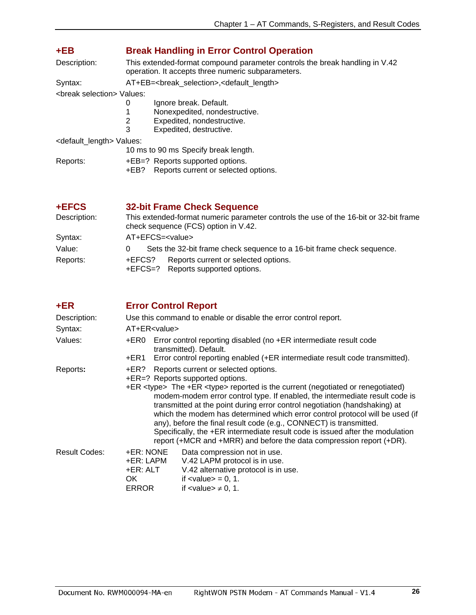<span id="page-26-0"></span>

| +EB                                       | <b>Break Handling in Error Control Operation</b>                                                                                                  |  |  |
|-------------------------------------------|---------------------------------------------------------------------------------------------------------------------------------------------------|--|--|
| Description:                              | This extended-format compound parameter controls the break handling in V.42<br>operation. It accepts three numeric subparameters.                 |  |  |
| Syntax:                                   | AT+EB= <break_selection>,<default_length></default_length></break_selection>                                                                      |  |  |
| <break selection=""> Values:</break>      |                                                                                                                                                   |  |  |
|                                           | Ignore break. Default.<br>0<br>1<br>Nonexpedited, nondestructive.<br>$\overline{c}$<br>Expedited, nondestructive.<br>3<br>Expedited, destructive. |  |  |
| <default_length> Values:</default_length> |                                                                                                                                                   |  |  |
|                                           | 10 ms to 90 ms Specify break length.                                                                                                              |  |  |
| Reports:                                  | +EB=? Reports supported options.<br>Reports current or selected options.<br>+EB?                                                                  |  |  |
| +EFCS                                     | <b>32-bit Frame Check Sequence</b>                                                                                                                |  |  |
| Description:                              | This extended-format numeric parameter controls the use of the 16-bit or 32-bit frame<br>check sequence (FCS) option in V.42.                     |  |  |
| Syntax:                                   | AT+EFCS= <value></value>                                                                                                                          |  |  |
| Value:                                    | Sets the 32-bit frame check sequence to a 16-bit frame check sequence.<br>0                                                                       |  |  |
|                                           |                                                                                                                                                   |  |  |

- <span id="page-26-1"></span>Reports: +EFCS? Reports current or selected options.
- +EFCS=? Reports supported options.

## <span id="page-26-2"></span>**+ER Error Control Report**

| Description:         | Use this command to enable or disable the error control report.                                                                                                                                                                                                                                                                                                                                                                                                                                                                                                                                                                                                    |                                                                                                                                                                                           |  |
|----------------------|--------------------------------------------------------------------------------------------------------------------------------------------------------------------------------------------------------------------------------------------------------------------------------------------------------------------------------------------------------------------------------------------------------------------------------------------------------------------------------------------------------------------------------------------------------------------------------------------------------------------------------------------------------------------|-------------------------------------------------------------------------------------------------------------------------------------------------------------------------------------------|--|
| Syntax:              | AT+ER <value></value>                                                                                                                                                                                                                                                                                                                                                                                                                                                                                                                                                                                                                                              |                                                                                                                                                                                           |  |
| Values:              | +ER0                                                                                                                                                                                                                                                                                                                                                                                                                                                                                                                                                                                                                                                               | Error control reporting disabled (no +ER intermediate result code<br>transmitted). Default.                                                                                               |  |
|                      | +ER1                                                                                                                                                                                                                                                                                                                                                                                                                                                                                                                                                                                                                                                               | Error control reporting enabled (+ER intermediate result code transmitted).                                                                                                               |  |
| Reports:             | Reports current or selected options.<br>+ER?<br>+ER=? Reports supported options.<br>+ER <type> The +ER <type> reported is the current (negotiated or renegotiated)<br/>modem-modem error control type. If enabled, the intermediate result code is<br/>transmitted at the point during error control negotiation (handshaking) at<br/>which the modem has determined which error control protocol will be used (if<br/>any), before the final result code (e.g., CONNECT) is transmitted.<br/>Specifically, the +ER intermediate result code is issued after the modulation<br/>report (+MCR and +MRR) and before the data compression report (+DR).</type></type> |                                                                                                                                                                                           |  |
| <b>Result Codes:</b> | +ER: NONE<br>+ER: LAPM<br>+ER: ALT<br>OK.<br>ERROR                                                                                                                                                                                                                                                                                                                                                                                                                                                                                                                                                                                                                 | Data compression not in use.<br>V.42 LAPM protocol is in use.<br>V.42 alternative protocol is in use.<br>if $\langle$ value $\rangle$ = 0, 1.<br>if $\langle$ value $\rangle \neq 0, 1$ . |  |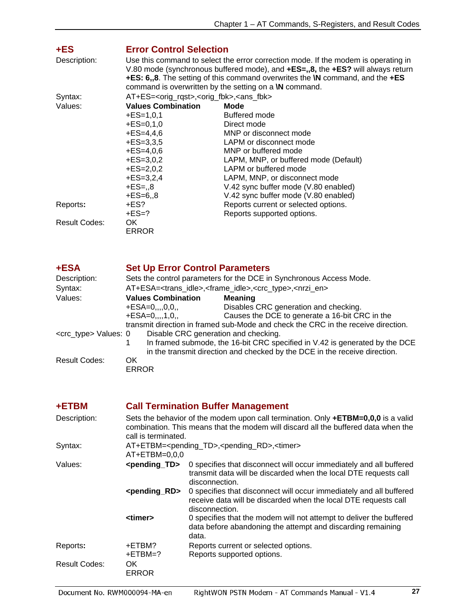<span id="page-27-0"></span>

| $+ES$                | <b>Error Control Selection</b>                                                                                                                                                                                                                                                                                                         |                                       |  |
|----------------------|----------------------------------------------------------------------------------------------------------------------------------------------------------------------------------------------------------------------------------------------------------------------------------------------------------------------------------------|---------------------------------------|--|
| Description:         | Use this command to select the error correction mode. If the modem is operating in<br>V.80 mode (synchronous buffered mode), and +ES=,,8, the +ES? will always return<br><b>+ES: 6,,8.</b> The setting of this command overwrites the <b>\N</b> command, and the $+ES$<br>command is overwritten by the setting on a <b>W</b> command. |                                       |  |
| Syntax:              | AT+ES= <orig_rqst>,<orig_fbk>,<ans_fbk></ans_fbk></orig_fbk></orig_rqst>                                                                                                                                                                                                                                                               |                                       |  |
| Values:              | <b>Values Combination</b>                                                                                                                                                                                                                                                                                                              | Mode                                  |  |
|                      | $+ES=1,0,1$                                                                                                                                                                                                                                                                                                                            | Buffered mode                         |  |
|                      | $+ES=0,1,0$                                                                                                                                                                                                                                                                                                                            | Direct mode                           |  |
|                      | $+ES=4,4,6$                                                                                                                                                                                                                                                                                                                            | MNP or disconnect mode                |  |
|                      | $+ES=3,3,5$                                                                                                                                                                                                                                                                                                                            | LAPM or disconnect mode               |  |
|                      | $+ES=4.0.6$                                                                                                                                                                                                                                                                                                                            | MNP or buffered mode                  |  |
|                      | $+ES=3,0,2$                                                                                                                                                                                                                                                                                                                            | LAPM, MNP, or buffered mode (Default) |  |
|                      | $+ES=2,0,2$                                                                                                                                                                                                                                                                                                                            | LAPM or buffered mode                 |  |
|                      | $+ES=3,2,4$                                                                                                                                                                                                                                                                                                                            | LAPM, MNP, or disconnect mode         |  |
|                      | $+ES = 0.8$                                                                                                                                                                                                                                                                                                                            | V.42 sync buffer mode (V.80 enabled)  |  |
|                      | $+ES=6, 8$                                                                                                                                                                                                                                                                                                                             | V.42 sync buffer mode (V.80 enabled)  |  |
| Reports:             | +ES?                                                                                                                                                                                                                                                                                                                                   | Reports current or selected options.  |  |
|                      | $+ES=?$                                                                                                                                                                                                                                                                                                                                | Reports supported options.            |  |
| <b>Result Codes:</b> | OK.                                                                                                                                                                                                                                                                                                                                    |                                       |  |
|                      | <b>ERROR</b>                                                                                                                                                                                                                                                                                                                           |                                       |  |

<span id="page-27-1"></span>

| +ESA                            | <b>Set Up Error Control Parameters</b>                              |                                                                                                       |
|---------------------------------|---------------------------------------------------------------------|-------------------------------------------------------------------------------------------------------|
| Description:                    | Sets the control parameters for the DCE in Synchronous Access Mode. |                                                                                                       |
| Syntax:                         |                                                                     | AT+ESA= <trans_idle>,<frame_idle>,<crc_type>,<nrzi_en></nrzi_en></crc_type></frame_idle></trans_idle> |
| Values:                         | <b>Values Combination</b>                                           | <b>Meaning</b>                                                                                        |
|                                 | $+ESA=0, , 0, 0,$                                                   | Disables CRC generation and checking.                                                                 |
|                                 | $+ESA=0, , 1, 0,$                                                   | Causes the DCE to generate a 16-bit CRC in the                                                        |
|                                 |                                                                     | transmit direction in framed sub-Mode and check the CRC in the receive direction.                     |
| <crc_type> Values: 0</crc_type> | Disable CRC generation and checking.                                |                                                                                                       |
|                                 | 1                                                                   | In framed submode, the 16-bit CRC specified in V.42 is generated by the DCE                           |
|                                 |                                                                     | in the transmit direction and checked by the DCE in the receive direction.                            |
| Result Codes:                   | OK                                                                  |                                                                                                       |
|                                 | <b>ERROR</b>                                                        |                                                                                                       |

<span id="page-27-2"></span>

| +ETBM         | <b>Call Termination Buffer Management</b>                                                                                                                                                        |                                                                                                                                                           |  |  |
|---------------|--------------------------------------------------------------------------------------------------------------------------------------------------------------------------------------------------|-----------------------------------------------------------------------------------------------------------------------------------------------------------|--|--|
| Description:  | Sets the behavior of the modem upon call termination. Only $+ETHM=0,0,0$ is a valid<br>combination. This means that the modem will discard all the buffered data when the<br>call is terminated. |                                                                                                                                                           |  |  |
| Syntax:       |                                                                                                                                                                                                  | AT+ETBM= <pending_td>,<pending_rd>,<timer><br/><math>AT + ETBM = 0,0,0</math></timer></pending_rd></pending_td>                                           |  |  |
| Values:       | <pending_td></pending_td>                                                                                                                                                                        | 0 specifies that disconnect will occur immediately and all buffered<br>transmit data will be discarded when the local DTE requests call<br>disconnection. |  |  |
|               | <pending_rd></pending_rd>                                                                                                                                                                        | 0 specifies that disconnect will occur immediately and all buffered<br>receive data will be discarded when the local DTE requests call<br>disconnection.  |  |  |
|               | <timer></timer>                                                                                                                                                                                  | 0 specifies that the modem will not attempt to deliver the buffered<br>data before abandoning the attempt and discarding remaining<br>data.               |  |  |
| Reports:      | +ETBM?<br>+ETBM=?                                                                                                                                                                                | Reports current or selected options.<br>Reports supported options.                                                                                        |  |  |
| Result Codes: | OK.<br>ERROR                                                                                                                                                                                     |                                                                                                                                                           |  |  |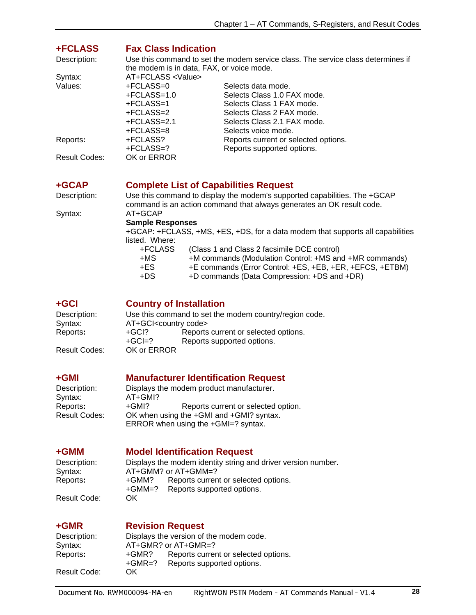<span id="page-28-0"></span>

| <b>+FCLASS</b><br>Description:<br>Syntax: | <b>Fax Class Indication</b><br>the modem is in data, FAX, or voice mode.<br>AT+FCLASS <value></value> | Use this command to set the modem service class. The service class determines if                                                                                  |
|-------------------------------------------|-------------------------------------------------------------------------------------------------------|-------------------------------------------------------------------------------------------------------------------------------------------------------------------|
| Values:                                   | +FCLASS=0<br>$+FCLAS = 1.0$<br>+FCLASS=1<br>+FCLASS=2<br>$+FCLASS=2.1$<br>+FCLASS=8                   | Selects data mode.<br>Selects Class 1.0 FAX mode.<br>Selects Class 1 FAX mode.<br>Selects Class 2 FAX mode.<br>Selects Class 2.1 FAX mode.<br>Selects voice mode. |
| Reports:                                  | +FCLASS?<br>+FCLASS=?                                                                                 | Reports current or selected options.<br>Reports supported options.                                                                                                |
| Result Codes:                             | OK or ERROR                                                                                           |                                                                                                                                                                   |
| +GCAP                                     | <b>Complete List of Capabilities Request</b>                                                          |                                                                                                                                                                   |

<span id="page-28-1"></span>

Description: Use this command to display the modem's supported capabilities. The +GCAP command is an action command that always generates an OK result code. Syntax: AT+GCAP

 **Sample Responses** 

 +GCAP: +FCLASS, +MS, +ES, +DS, for a data modem that supports all capabilities listed. Where:

| +FCLASS | (Class 1 and Class 2 facsimile DCE control)              |
|---------|----------------------------------------------------------|
| +MS     | +M commands (Modulation Control: +MS and +MR commands)   |
| +ES.    | +E commands (Error Control: +ES, +EB, +ER, +EFCS, +ETBM) |
| +DS     | +D commands (Data Compression: +DS and +DR)              |

### <span id="page-28-2"></span>**+GCI Country of Installation**

| Description:  |                                    | Use this command to set the modem country/region code. |
|---------------|------------------------------------|--------------------------------------------------------|
| Syntax:       | AT+GCI <country code=""></country> |                                                        |
| Reports:      | $+GCI?$                            | Reports current or selected options.                   |
|               | $+GCI=?$                           | Reports supported options.                             |
| Result Codes: | OK or ERROR                        |                                                        |

#### <span id="page-28-3"></span>**+GMI Manufacturer Identification Request**

Description: Displays the modem product manufacturer.<br>Syntax: AT+GMI? Syntax: AT+GMI?<br>Reports: +GMI? Reports: +GMI? Reports current or selected option.<br>Result Codes: OK when using the +GMI and +GMI? syntax. OK when using the +GMI and +GMI? syntax. ERROR when using the +GMI=? syntax.

#### <span id="page-28-4"></span>**+GMM Model Identification Request**

Description: Displays the modem identity string and driver version number. Syntax:  $AT+GMM?$  or  $AT+GMM=?$ <br>Reports:  $+GMM?$  Reports curren Reports current or selected options. +GMM=? Reports supported options.

Result Code:OK

### <span id="page-28-5"></span>**+GMR Revision Request**

| Description: |          | Displays the version of the modem code. |
|--------------|----------|-----------------------------------------|
| Syntax:      |          | $AT+GMR$ ? or $AT+GMR=?$                |
| Reports:     | +GMR?    | Reports current or selected options.    |
|              | $+GMR=?$ | Reports supported options.              |
| Result Code: | OK       |                                         |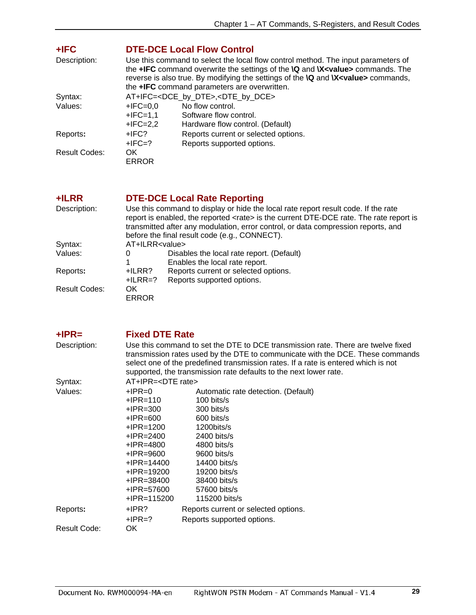<span id="page-29-0"></span>

| +IFC<br>Description: |                                        | <b>DTE-DCE Local Flow Control</b><br>Use this command to select the local flow control method. The input parameters of<br>the +IFC command overwrite the settings of the <b>\Q</b> and <b>\X</b> <value> commands. The<br/>reverse is also true. By modifying the settings of the <b>\Q</b> and <b>\X<value></value></b> commands,<br/>the +IFC command parameters are overwritten.</value> |
|----------------------|----------------------------------------|---------------------------------------------------------------------------------------------------------------------------------------------------------------------------------------------------------------------------------------------------------------------------------------------------------------------------------------------------------------------------------------------|
| Syntax:<br>Values:   | $+IFC=0.0$<br>$+IFC=1,1$<br>$+IFC=2,2$ | AT+IFC= <dce_by_dte>,<dte_by_dce><br/>No flow control.<br/>Software flow control.<br/>Hardware flow control. (Default)</dte_by_dce></dce_by_dte>                                                                                                                                                                                                                                            |
| Reports:             | $+$ IFC?<br>$+$ IFC=?                  | Reports current or selected options.<br>Reports supported options.                                                                                                                                                                                                                                                                                                                          |
| <b>Result Codes:</b> | OK.<br><b>ERROR</b>                    |                                                                                                                                                                                                                                                                                                                                                                                             |
| +ILRR                |                                        | <b>DTE-DCE Local Rate Reporting</b>                                                                                                                                                                                                                                                                                                                                                         |
| Description:         |                                        | Use this command to display or hide the local rate report result code. If the rate<br>report is enabled, the reported <rate> is the current DTE-DCE rate. The rate report is<br/>transmitted after any modulation, error control, or data compression reports, and<br/>before the final result code (e.g., CONNECT).</rate>                                                                 |
| Syntax:              | AT+ILRR <value></value>                |                                                                                                                                                                                                                                                                                                                                                                                             |
| Values:              | 0<br>1                                 | Disables the local rate report. (Default)<br>Enables the local rate report.                                                                                                                                                                                                                                                                                                                 |
| Reports:             | +ILRR?<br>$+ILRR=?$                    | Reports current or selected options.<br>Reports supported options.                                                                                                                                                                                                                                                                                                                          |
| <b>Result Codes:</b> | OK.<br><b>ERROR</b>                    |                                                                                                                                                                                                                                                                                                                                                                                             |

<span id="page-29-2"></span><span id="page-29-1"></span>

| $+IPR=$      | <b>Fixed DTE Rate</b>                                                                                                                                                                                                                                                                                                         |                                      |  |  |
|--------------|-------------------------------------------------------------------------------------------------------------------------------------------------------------------------------------------------------------------------------------------------------------------------------------------------------------------------------|--------------------------------------|--|--|
| Description: | Use this command to set the DTE to DCE transmission rate. There are twelve fixed<br>transmission rates used by the DTE to communicate with the DCE. These commands<br>select one of the predefined transmission rates. If a rate is entered which is not<br>supported, the transmission rate defaults to the next lower rate. |                                      |  |  |
| Syntax:      |                                                                                                                                                                                                                                                                                                                               | AT+IPR= <dte rate=""></dte>          |  |  |
| Values:      | $+$ IPR=0                                                                                                                                                                                                                                                                                                                     | Automatic rate detection. (Default)  |  |  |
|              | $+$ IPR $=$ 110                                                                                                                                                                                                                                                                                                               | $100 \text{ bits/s}$                 |  |  |
|              | +IPR=300                                                                                                                                                                                                                                                                                                                      | 300 bits/s                           |  |  |
|              | +IPR=600                                                                                                                                                                                                                                                                                                                      | 600 bits/s                           |  |  |
|              | +IPR=1200                                                                                                                                                                                                                                                                                                                     | 1200bits/s                           |  |  |
|              | +IPR=2400                                                                                                                                                                                                                                                                                                                     | $2400$ bits/s                        |  |  |
|              | +IPR=4800                                                                                                                                                                                                                                                                                                                     | $4800$ bits/s                        |  |  |
|              | +IPR=9600                                                                                                                                                                                                                                                                                                                     | 9600 bits/s                          |  |  |
|              | $+$ IPR=14400                                                                                                                                                                                                                                                                                                                 | 14400 bits/s                         |  |  |
|              | +IPR=19200                                                                                                                                                                                                                                                                                                                    | 19200 bits/s                         |  |  |
|              | +IPR=38400                                                                                                                                                                                                                                                                                                                    | 38400 bits/s                         |  |  |
|              | $+$ IPR=57600                                                                                                                                                                                                                                                                                                                 | 57600 bits/s                         |  |  |
|              | +IPR=115200                                                                                                                                                                                                                                                                                                                   | 115200 bits/s                        |  |  |
| Reports:     | $+$ IPR?                                                                                                                                                                                                                                                                                                                      | Reports current or selected options. |  |  |
|              | $+$ IPR=?                                                                                                                                                                                                                                                                                                                     | Reports supported options.           |  |  |
| Result Code: | OK.                                                                                                                                                                                                                                                                                                                           |                                      |  |  |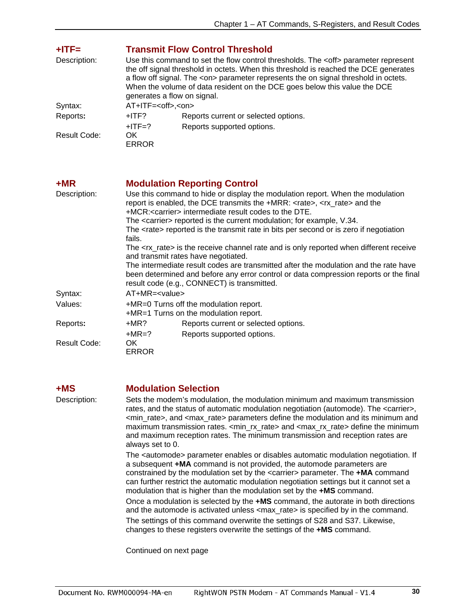<span id="page-30-0"></span>

| $+$ ITF=     | <b>Transmit Flow Control Threshold</b>                                                                                                                                                                                                                                                                                                                                                       |                            |  |
|--------------|----------------------------------------------------------------------------------------------------------------------------------------------------------------------------------------------------------------------------------------------------------------------------------------------------------------------------------------------------------------------------------------------|----------------------------|--|
| Description: | Use this command to set the flow control thresholds. The <off> parameter represent<br/>the off signal threshold in octets. When this threshold is reached the DCE generates<br/>a flow off signal. The <on> parameter represents the on signal threshold in octets.<br/>When the volume of data resident on the DCE goes below this value the DCE<br/>generates a flow on signal.</on></off> |                            |  |
| Syntax:      | AT+ITF= <off>,<on></on></off>                                                                                                                                                                                                                                                                                                                                                                |                            |  |
| Reports:     | Reports current or selected options.<br>$+$ ITF?                                                                                                                                                                                                                                                                                                                                             |                            |  |
|              | $+$ ITF=?                                                                                                                                                                                                                                                                                                                                                                                    | Reports supported options. |  |
| Result Code: | OK.<br><b>ERROR</b>                                                                                                                                                                                                                                                                                                                                                                          |                            |  |

<span id="page-30-1"></span>

| $+MR$        | <b>Modulation Reporting Control</b>                                                                                                                                                                                                          |                                                                                |  |  |  |
|--------------|----------------------------------------------------------------------------------------------------------------------------------------------------------------------------------------------------------------------------------------------|--------------------------------------------------------------------------------|--|--|--|
| Description: | Use this command to hide or display the modulation report. When the modulation<br>report is enabled, the DCE transmits the +MRR: <rate>, <rx rate=""> and the<br/>+MCR:<carrier> intermediate result codes to the DTE.</carrier></rx></rate> |                                                                                |  |  |  |
|              |                                                                                                                                                                                                                                              | The <carrier> reported is the current modulation; for example, V.34.</carrier> |  |  |  |
|              | The <rate> reported is the transmit rate in bits per second or is zero if negotiation<br/>fails.</rate>                                                                                                                                      |                                                                                |  |  |  |
|              | The <rx_rate> is the receive channel rate and is only reported when different receive<br/>and transmit rates have negotiated.</rx_rate>                                                                                                      |                                                                                |  |  |  |
|              | The intermediate result codes are transmitted after the modulation and the rate have<br>been determined and before any error control or data compression reports or the final<br>result code (e.g., CONNECT) is transmitted.                 |                                                                                |  |  |  |
| Syntax:      | $AT+MR=<$ value>                                                                                                                                                                                                                             |                                                                                |  |  |  |
| Values:      | +MR=0 Turns off the modulation report.<br>+MR=1 Turns on the modulation report.                                                                                                                                                              |                                                                                |  |  |  |
| Reports:     | $+MR?$                                                                                                                                                                                                                                       | Reports current or selected options.                                           |  |  |  |
|              | $+MR=?$                                                                                                                                                                                                                                      | Reports supported options.                                                     |  |  |  |
| Result Code: | OK.<br><b>ERROR</b>                                                                                                                                                                                                                          |                                                                                |  |  |  |

<span id="page-30-2"></span>**+MS Modulation Selection** 

Description: Sets the modem's modulation, the modulation minimum and maximum transmission rates, and the status of automatic modulation negotiation (automode). The <carrier>, <min\_rate>, and <max\_rate> parameters define the modulation and its minimum and maximum transmission rates. <min\_rx\_rate> and <max\_rx\_rate> define the minimum and maximum reception rates. The minimum transmission and reception rates are always set to 0.

> The <automode> parameter enables or disables automatic modulation negotiation. If a subsequent **+MA** command is not provided, the automode parameters are constrained by the modulation set by the <carrier> parameter. The **+MA** command can further restrict the automatic modulation negotiation settings but it cannot set a modulation that is higher than the modulation set by the **+MS** command.

> Once a modulation is selected by the **+MS** command, the autorate in both directions and the automode is activated unless <max\_rate> is specified by in the command. The settings of this command overwrite the settings of S28 and S37. Likewise, changes to these registers overwrite the settings of the **+MS** command.

Continued on next page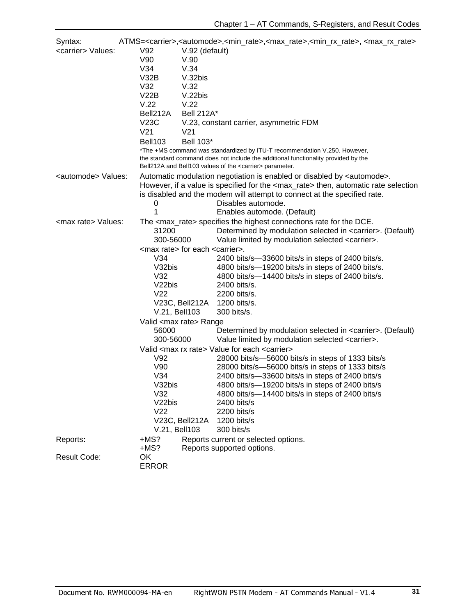| Syntax:                       |                                                   |                                                                           | ATMS= <carrier>,<automode>,<min_rate>,<max_rate>,<min_rx_rate>,<max_rx_rate></max_rx_rate></min_rx_rate></max_rate></min_rate></automode></carrier>     |  |
|-------------------------------|---------------------------------------------------|---------------------------------------------------------------------------|---------------------------------------------------------------------------------------------------------------------------------------------------------|--|
| <carrier> Values:</carrier>   | V92                                               | V.92 (default)                                                            |                                                                                                                                                         |  |
|                               | V90                                               | V.90                                                                      |                                                                                                                                                         |  |
|                               | V34                                               | V.34                                                                      |                                                                                                                                                         |  |
|                               | V32B                                              | V.32bis                                                                   |                                                                                                                                                         |  |
|                               | V32                                               | V.32                                                                      |                                                                                                                                                         |  |
|                               | V22B                                              | V.22bis                                                                   |                                                                                                                                                         |  |
|                               | V.22                                              | V.22                                                                      |                                                                                                                                                         |  |
|                               | Bell212A                                          | <b>Bell 212A*</b>                                                         |                                                                                                                                                         |  |
|                               | V23C                                              |                                                                           | V.23, constant carrier, asymmetric FDM                                                                                                                  |  |
|                               | V <sub>21</sub>                                   | V <sub>21</sub>                                                           |                                                                                                                                                         |  |
|                               | <b>Bell103</b>                                    | Bell 103*                                                                 |                                                                                                                                                         |  |
|                               |                                                   | *The +MS command was standardized by ITU-T recommendation V.250. However, |                                                                                                                                                         |  |
|                               |                                                   |                                                                           | the standard command does not include the additional functionality provided by the<br>Bell212A and Bell103 values of the <carrier> parameter.</carrier> |  |
| <automode> Values:</automode> |                                                   |                                                                           | Automatic modulation negotiation is enabled or disabled by <automode>.</automode>                                                                       |  |
|                               |                                                   |                                                                           | However, if a value is specified for the <max_rate> then, automatic rate selection</max_rate>                                                           |  |
|                               |                                                   |                                                                           | is disabled and the modem will attempt to connect at the specified rate.                                                                                |  |
|                               | 0                                                 |                                                                           | Disables automode.                                                                                                                                      |  |
|                               | 1                                                 |                                                                           | Enables automode. (Default)                                                                                                                             |  |
| <max rate=""> Values:</max>   |                                                   |                                                                           | The <max_rate> specifies the highest connections rate for the DCE.</max_rate>                                                                           |  |
|                               | 31200                                             |                                                                           | Determined by modulation selected in <carrier>. (Default)</carrier>                                                                                     |  |
|                               | 300-56000                                         |                                                                           | Value limited by modulation selected <carrier>.</carrier>                                                                                               |  |
|                               | <max rate=""> for each <carrier>.</carrier></max> |                                                                           |                                                                                                                                                         |  |
|                               | V34                                               |                                                                           | 2400 bits/s-33600 bits/s in steps of 2400 bits/s.                                                                                                       |  |
|                               | V32bis                                            |                                                                           | 4800 bits/s-19200 bits/s in steps of 2400 bits/s.                                                                                                       |  |
|                               | V32                                               |                                                                           | 4800 bits/s-14400 bits/s in steps of 2400 bits/s.                                                                                                       |  |
|                               | V <sub>2</sub> 2bis                               |                                                                           | 2400 bits/s.                                                                                                                                            |  |
|                               | V <sub>22</sub>                                   |                                                                           | 2200 bits/s.                                                                                                                                            |  |
|                               |                                                   | V23C, Bell212A                                                            | 1200 bits/s.                                                                                                                                            |  |
|                               | V.21, Bell103                                     |                                                                           | 300 bits/s.                                                                                                                                             |  |
|                               | Valid <max rate=""> Range</max>                   |                                                                           |                                                                                                                                                         |  |
|                               | 56000                                             |                                                                           | Determined by modulation selected in <carrier>. (Default)</carrier>                                                                                     |  |
|                               | 300-56000                                         |                                                                           | Value limited by modulation selected <carrier>.</carrier>                                                                                               |  |
|                               |                                                   |                                                                           | Valid <max rate="" rx=""> Value for each <carrier></carrier></max>                                                                                      |  |
|                               | V92                                               |                                                                           | 28000 bits/s-56000 bits/s in steps of 1333 bits/s                                                                                                       |  |
|                               | V90                                               |                                                                           | 28000 bits/s-56000 bits/s in steps of 1333 bits/s                                                                                                       |  |
|                               | V34                                               |                                                                           | 2400 bits/s-33600 bits/s in steps of 2400 bits/s                                                                                                        |  |
|                               | V32bis                                            |                                                                           | 4800 bits/s-19200 bits/s in steps of 2400 bits/s                                                                                                        |  |
|                               | V32                                               |                                                                           | 4800 bits/s-14400 bits/s in steps of 2400 bits/s                                                                                                        |  |
|                               | V22bis                                            |                                                                           | $2400$ bits/s                                                                                                                                           |  |
|                               | V <sub>22</sub><br>V23C, Bell212A                 |                                                                           | 2200 bits/s                                                                                                                                             |  |
|                               |                                                   |                                                                           | 1200 bits/s                                                                                                                                             |  |
|                               | V.21, Bell103                                     |                                                                           | 300 bits/s                                                                                                                                              |  |
| Reports:                      | +MS?                                              |                                                                           | Reports current or selected options.                                                                                                                    |  |
|                               | +MS?                                              |                                                                           | Reports supported options.                                                                                                                              |  |
| <b>Result Code:</b>           | OK                                                |                                                                           |                                                                                                                                                         |  |
|                               | <b>ERROR</b>                                      |                                                                           |                                                                                                                                                         |  |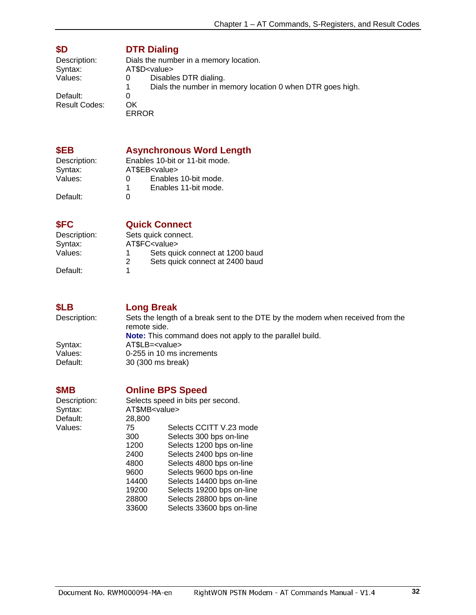### <span id="page-32-0"></span>**\$D DTR Dialing**

| Description:  | Dials the number in a memory location.                         |  |  |
|---------------|----------------------------------------------------------------|--|--|
| Syntax:       | AT\$D <value></value>                                          |  |  |
| Values:       | Disables DTR dialing.<br>O                                     |  |  |
|               | Dials the number in memory location 0 when DTR goes high.<br>1 |  |  |
| Default:      |                                                                |  |  |
| Result Codes: | OK                                                             |  |  |
|               | ERROR                                                          |  |  |

### <span id="page-32-1"></span>**\$EB Asynchronous Word Length**

Syntax: AT\$EB<value><br>
Values: 0 Enables

Description: Enables 10-bit or 11-bit mode.<br>Syntax: AT\$EB<value> 0 Enables 10-bit mode.<br>1 Enables 11-bit mode. 1 Enables 11-bit mode.

Default:

### <span id="page-32-2"></span>**\$FC Quick Connect**

| Description: |   | Sets quick connect.             |
|--------------|---|---------------------------------|
| Syntax:      |   | AT\$FC <value></value>          |
| Values:      |   | Sets quick connect at 1200 baud |
|              | 2 | Sets quick connect at 2400 baud |
| Default:     |   |                                 |

Default:

# <span id="page-32-3"></span>**\$LB Long Break**<br>Description: Sets the length

Sets the length of a break sent to the DTE by the modem when received from the remote side. **Note:** This command does not apply to the parallel build.<br>Syntax: AT\$LB=<value>

Syntax: AT\$LB=<value><br>Values: 0-255 in 10 ms in Default: 30 (300 ms break)

## <span id="page-32-4"></span>**\$MB Online BPS Speed**

0-255 in 10 ms increments

Description: Selects speed in bits per second. Syntax: Default: Values:

| Syntax:  | AT\$MB <value></value> |                           |
|----------|------------------------|---------------------------|
| Default: | 28,800                 |                           |
| Values:  | 75                     | Selects CCITT V.23 mode   |
|          | 300                    | Selects 300 bps on-line   |
|          | 1200                   | Selects 1200 bps on-line  |
|          | 2400                   | Selects 2400 bps on-line  |
|          | 4800                   | Selects 4800 bps on-line  |
|          | 9600                   | Selects 9600 bps on-line  |
|          | 14400                  | Selects 14400 bps on-line |
|          | 19200                  | Selects 19200 bps on-line |
|          | 28800                  | Selects 28800 bps on-line |
|          | 33600                  | Selects 33600 bps on-line |
|          |                        |                           |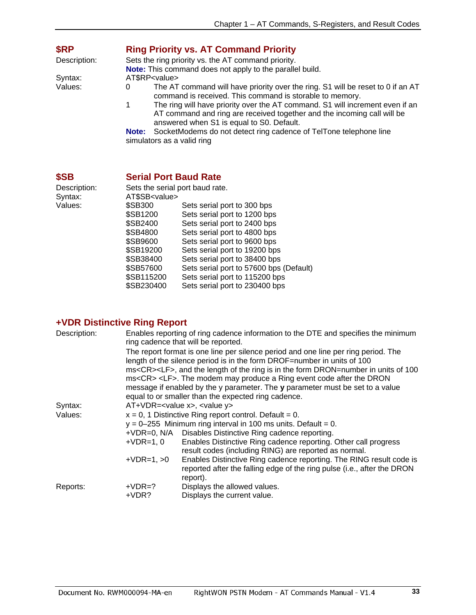<span id="page-33-0"></span>

| \$RP         | <b>Ring Priority vs. AT Command Priority</b>                                                                                                                                                               |  |  |  |
|--------------|------------------------------------------------------------------------------------------------------------------------------------------------------------------------------------------------------------|--|--|--|
| Description: | Sets the ring priority vs. the AT command priority.                                                                                                                                                        |  |  |  |
|              | Note: This command does not apply to the parallel build.                                                                                                                                                   |  |  |  |
| Syntax:      | AT\$RP <value></value>                                                                                                                                                                                     |  |  |  |
| Values:      | The AT command will have priority over the ring. S1 will be reset to 0 if an AT<br>0<br>command is received. This command is storable to memory.                                                           |  |  |  |
|              | The ring will have priority over the AT command. S1 will increment even if an<br>1<br>AT command and ring are received together and the incoming call will be<br>answered when S1 is equal to S0. Default. |  |  |  |
|              | SocketModems do not detect ring cadence of TelTone telephone line<br>Note:<br>simulators as a valid ring                                                                                                   |  |  |  |
|              |                                                                                                                                                                                                            |  |  |  |

### <span id="page-33-1"></span>**\$SB Serial Port Baud Rate**

| Sets the serial port baud rate. |                                         |  |  |  |
|---------------------------------|-----------------------------------------|--|--|--|
| AT\$SB <value></value>          |                                         |  |  |  |
| <b>\$SB300</b>                  | Sets serial port to 300 bps             |  |  |  |
| \$SB1200                        | Sets serial port to 1200 bps            |  |  |  |
| \$SB2400                        | Sets serial port to 2400 bps            |  |  |  |
| \$SB4800                        | Sets serial port to 4800 bps            |  |  |  |
| \$SB9600                        | Sets serial port to 9600 bps            |  |  |  |
| \$SB19200                       | Sets serial port to 19200 bps           |  |  |  |
| \$SB38400                       | Sets serial port to 38400 bps           |  |  |  |
| \$SB57600                       | Sets serial port to 57600 bps (Default) |  |  |  |
| \$SB115200                      | Sets serial port to 115200 bps          |  |  |  |
| \$SB230400                      | Sets serial port to 230400 bps          |  |  |  |
|                                 |                                         |  |  |  |

## <span id="page-33-2"></span>**+VDR Distinctive Ring Report**

| Description: |              | Enables reporting of ring cadence information to the DTE and specifies the minimum<br>ring cadence that will be reported.                                                      |  |  |  |
|--------------|--------------|--------------------------------------------------------------------------------------------------------------------------------------------------------------------------------|--|--|--|
|              |              | The report format is one line per silence period and one line per ring period. The                                                                                             |  |  |  |
|              |              | length of the silence period is in the form DROF=number in units of 100                                                                                                        |  |  |  |
|              |              | ms <cr><lf>, and the length of the ring is in the form DRON=number in units of 100<br/>ms<cr> <lf>. The modem may produce a Ring event code after the DRON</lf></cr></lf></cr> |  |  |  |
|              |              | message if enabled by the y parameter. The y parameter must be set to a value                                                                                                  |  |  |  |
|              |              | equal to or smaller than the expected ring cadence.                                                                                                                            |  |  |  |
| Syntax:      |              | AT+VDR= <value x="">, <value y=""></value></value>                                                                                                                             |  |  |  |
| Values:      |              | $x = 0$ , 1 Distinctive Ring report control. Default = 0.                                                                                                                      |  |  |  |
|              |              | $y = 0-255$ Minimum ring interval in 100 ms units. Default = 0.                                                                                                                |  |  |  |
|              |              | +VDR=0, N/A Disables Distinctive Ring cadence reporting.                                                                                                                       |  |  |  |
|              | $+VDR=1, 0$  | Enables Distinctive Ring cadence reporting. Other call progress                                                                                                                |  |  |  |
|              |              | result codes (including RING) are reported as normal.                                                                                                                          |  |  |  |
|              | $+VDR=1, >0$ | Enables Distinctive Ring cadence reporting. The RING result code is                                                                                                            |  |  |  |
|              |              | reported after the falling edge of the ring pulse (i.e., after the DRON                                                                                                        |  |  |  |
|              |              | report).                                                                                                                                                                       |  |  |  |
| Reports:     | $+VDR=?$     | Displays the allowed values.                                                                                                                                                   |  |  |  |
|              | +VDR?        | Displays the current value.                                                                                                                                                    |  |  |  |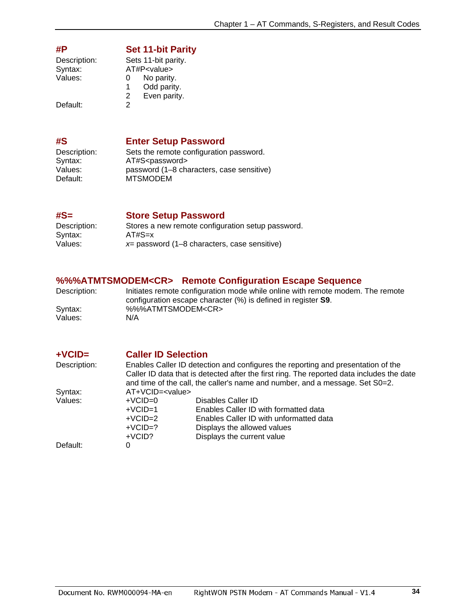<span id="page-34-0"></span>

| #P           | <b>Set 11-bit Parity</b> |
|--------------|--------------------------|
| Description: | Sets 11-bit parity.      |
| Syntax:      | AT#P <value></value>     |
| Values:      | No parity.<br>0          |
|              | Odd parity.<br>1.        |
|              | Even parity.<br>2        |
| Default:     | 2                        |

Default:

### <span id="page-34-1"></span>**#S Enter Setup Password**

| Description: | Sets the remote configuration password.   |
|--------------|-------------------------------------------|
| Syntax:      | AT#S <password></password>                |
| Values:      | password (1-8 characters, case sensitive) |
| Default:     | <b>MTSMODEM</b>                           |
|              |                                           |

<span id="page-34-2"></span>**#S= Store Setup Password** 

| Description: | Stores a new remote configuration setup password. |
|--------------|---------------------------------------------------|
| Syntax:      | $AT#S=x$                                          |
| Values:      | $x=$ password (1–8 characters, case sensitive)    |

### <span id="page-34-3"></span>**%%%ATMTSMODEM<CR> Remote Configuration Escape Sequence**

| Description: | Initiates remote configuration mode while online with remote modem. The remote<br>configuration escape character $(\%)$ is defined in register S9. |
|--------------|----------------------------------------------------------------------------------------------------------------------------------------------------|
| Syntax:      | %%%ATMTSMODEM <cr></cr>                                                                                                                            |
| Values:      | N/A                                                                                                                                                |

<span id="page-34-4"></span>

| $+VCID=$     | <b>Caller ID Selection</b>                                                                                                                                                                                                                                    |                                         |  |
|--------------|---------------------------------------------------------------------------------------------------------------------------------------------------------------------------------------------------------------------------------------------------------------|-----------------------------------------|--|
| Description: | Enables Caller ID detection and configures the reporting and presentation of the<br>Caller ID data that is detected after the first ring. The reported data includes the date<br>and time of the call, the caller's name and number, and a message. Set S0=2. |                                         |  |
| Syntax:      | $AT+VCID=$                                                                                                                                                                                                                                                    |                                         |  |
| Values:      | $+VCID=0$                                                                                                                                                                                                                                                     | Disables Caller ID                      |  |
|              | $+VCID=1$                                                                                                                                                                                                                                                     | Enables Caller ID with formatted data   |  |
|              | $+VCID=2$                                                                                                                                                                                                                                                     | Enables Caller ID with unformatted data |  |
|              | $+VCID=?$                                                                                                                                                                                                                                                     | Displays the allowed values             |  |
|              | $+VCID?$                                                                                                                                                                                                                                                      | Displays the current value              |  |
| Default:     | 0                                                                                                                                                                                                                                                             |                                         |  |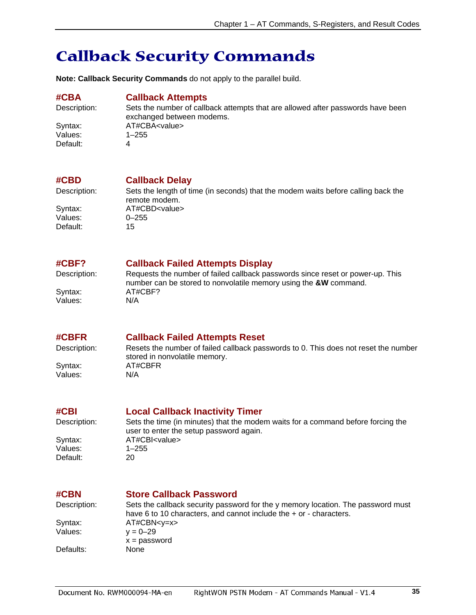# <span id="page-35-0"></span>**Callback Security Commands**

**Note: Callback Security Commands** do not apply to the parallel build.

#### <span id="page-35-1"></span>**#CBA Callback Attempts**

Values: Default: 4

Description: Sets the number of callback attempts that are allowed after passwords have been exchanged between modems. Syntax: AT#CBA<value><br>Values: 1–255

#### <span id="page-35-2"></span>**#CBD Callback Delay**

 $V$ alues: Default: 15

Description: Sets the length of time (in seconds) that the modem waits before calling back the remote modem. Syntax: AT#CBD<value><br>Values: 0–255

#### <span id="page-35-3"></span>**#CBF? Callback Failed Attempts Display**

Description: Requests the number of failed callback passwords since reset or power-up. This number can be stored to nonvolatile memory using the **&W** command. Syntax: AT#CBF? Values: N/A

#### <span id="page-35-4"></span>**#CBFR Callback Failed Attempts Reset**

Description: Resets the number of failed callback passwords to 0. This does not reset the number stored in nonvolatile memory. Syntax: AT#CBFR Values: N/A

### <span id="page-35-5"></span>**#CBI Local Callback Inactivity Timer**

Default:

Description: Sets the time (in minutes) that the modem waits for a command before forcing the user to enter the setup password again. Syntax: AT#CBI<value> Values: 1–255<br>Default: 20

### <span id="page-35-6"></span>**#CBN Store Callback Password**

Description: Sets the callback security password for the y memory location. The password must have 6 to 10 characters, and cannot include the + or - characters. Syntax:  $AT#CBN < y = x >$ <br>Values:  $y = 0 - 29$  $y = 0 - 29$  $x =$  password Defaults: None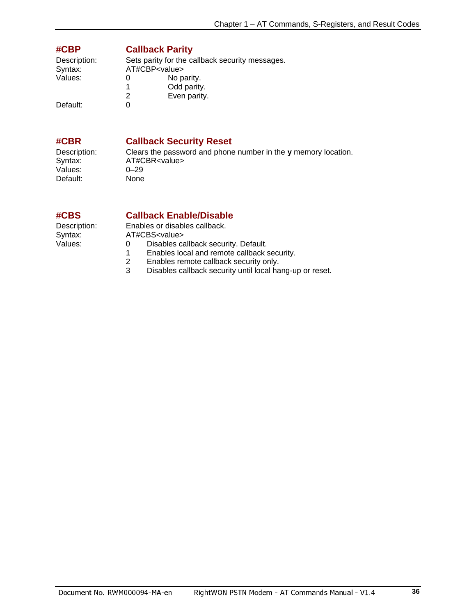### <span id="page-36-0"></span>**#CBP Callback Parity**

| Description:<br>Syntax: |   | Sets parity for the callback security messages.<br>AT#CBP <value></value> |
|-------------------------|---|---------------------------------------------------------------------------|
|                         |   |                                                                           |
| Values:                 |   | No parity.                                                                |
|                         |   | Odd parity.                                                               |
|                         | 2 | Even parity.                                                              |
| Default:                |   |                                                                           |

### <span id="page-36-1"></span>**#CBR Callback Security Reset**

Values: 0–29<br>Default: None Default:

Description: Clears the password and phone number in the **y** memory location. AT#CBR<value><br>0-29

### <span id="page-36-2"></span>**#CBS Callback Enable/Disable**

Description: Enables or disables callback.<br>Syntax: AT#CBS<value> Syntax: AT#CBS<value><br>Values: 0 Disables ca 0 Disables callback security. Default.<br>1 Enables local and remote callback s

- 1 Enables local and remote callback security.<br>2 Enables remote callback security only.
- 2 Enables remote callback security only.<br>3 Disables callback security until local ha
- Disables callback security until local hang-up or reset.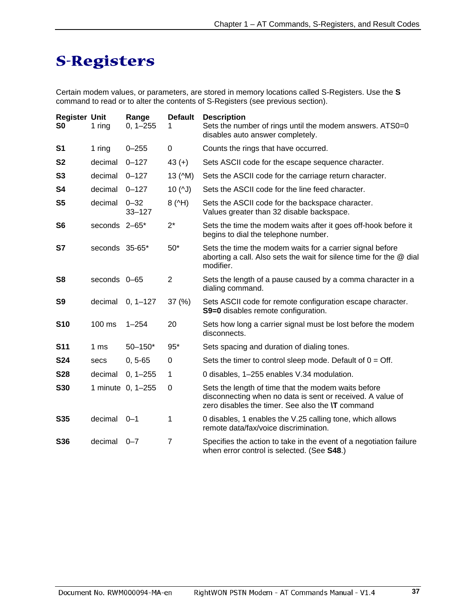# <span id="page-37-0"></span>**S-Registers**

Certain modem values, or parameters, are stored in memory locations called S-Registers. Use the **S** command to read or to alter the contents of S-Registers (see previous section).

| <b>Register Unit</b><br>S0 | 1 ring          | Range<br>$0, 1 - 255$  | <b>Default</b>   | <b>Description</b><br>Sets the number of rings until the modem answers. ATS0=0<br>disables auto answer completely.                                                           |
|----------------------------|-----------------|------------------------|------------------|------------------------------------------------------------------------------------------------------------------------------------------------------------------------------|
| S <sub>1</sub>             | 1 ring          | $0 - 255$              | 0                | Counts the rings that have occurred.                                                                                                                                         |
| <b>S2</b>                  | decimal         | $0 - 127$              | $43 (+)$         | Sets ASCII code for the escape sequence character.                                                                                                                           |
| S <sub>3</sub>             | decimal         | $0 - 127$              | 13 (^M)          | Sets the ASCII code for the carriage return character.                                                                                                                       |
| S4                         | decimal         | $0 - 127$              | $10($ $\sqrt{)}$ | Sets the ASCII code for the line feed character.                                                                                                                             |
| S5                         | decimal         | $0 - 32$<br>$33 - 127$ | 8(4)             | Sets the ASCII code for the backspace character.<br>Values greater than 32 disable backspace.                                                                                |
| S <sub>6</sub>             | seconds 2-65*   |                        | $2^*$            | Sets the time the modem waits after it goes off-hook before it<br>begins to dial the telephone number.                                                                       |
| S7                         | seconds 35-65*  |                        | $50*$            | Sets the time the modem waits for a carrier signal before<br>aborting a call. Also sets the wait for silence time for the @ dial<br>modifier.                                |
| S <sub>8</sub>             | seconds 0-65    |                        | $\overline{2}$   | Sets the length of a pause caused by a comma character in a<br>dialing command.                                                                                              |
| S <sub>9</sub>             | decimal         | $0, 1 - 127$           | 37(%)            | Sets ASCII code for remote configuration escape character.<br>S9=0 disables remote configuration.                                                                            |
| <b>S10</b>                 | 100 ms          | $1 - 254$              | 20               | Sets how long a carrier signal must be lost before the modem<br>disconnects.                                                                                                 |
| <b>S11</b>                 | 1 <sub>ms</sub> | $50 - 150*$            | $95*$            | Sets spacing and duration of dialing tones.                                                                                                                                  |
| <b>S24</b>                 | secs            | $0, 5 - 65$            | 0                | Sets the timer to control sleep mode. Default of $0 = \text{Off}$ .                                                                                                          |
| <b>S28</b>                 | decimal         | $0, 1 - 255$           | 1                | 0 disables, 1-255 enables V.34 modulation.                                                                                                                                   |
| <b>S30</b>                 |                 | 1 minute 0, 1-255      | 0                | Sets the length of time that the modem waits before<br>disconnecting when no data is sent or received. A value of<br>zero disables the timer. See also the <b>\T</b> command |
| S35                        | decimal         | $0 - 1$                | 1                | 0 disables, 1 enables the V.25 calling tone, which allows<br>remote data/fax/voice discrimination.                                                                           |
| S36                        | decimal         | $0 - 7$                | $\overline{7}$   | Specifies the action to take in the event of a negotiation failure<br>when error control is selected. (See S48.)                                                             |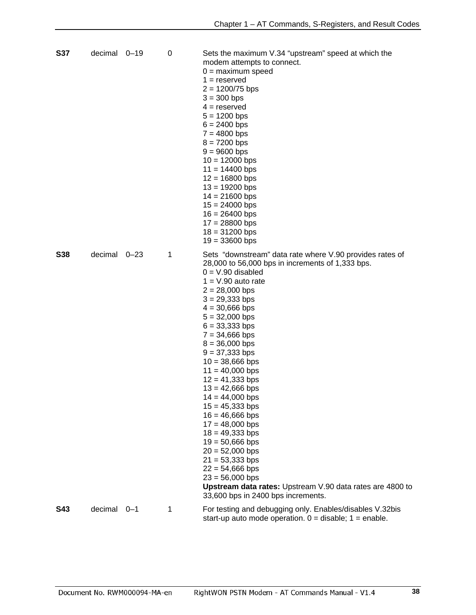| <b>S37</b> | decimal 0-19 |         | 0 | Sets the maximum V.34 "upstream" speed at which the<br>modem attempts to connect.<br>$0 =$ maximum speed<br>$1 =$ reserved<br>$2 = 1200/75$ bps<br>$3 = 300$ bps<br>$4 =$ reserved<br>$5 = 1200$ bps<br>$6 = 2400$ bps<br>$7 = 4800$ bps<br>$8 = 7200$ bps<br>$9 = 9600$ bps<br>$10 = 12000$ bps<br>$11 = 14400$ bps<br>$12 = 16800$ bps<br>$13 = 19200$ bps<br>$14 = 21600$ bps<br>$15 = 24000$ bps<br>$16 = 26400$ bps<br>$17 = 28800$ bps<br>$18 = 31200$ bps<br>$19 = 33600$ bps                                                                                                                                                                                                                                                 |
|------------|--------------|---------|---|--------------------------------------------------------------------------------------------------------------------------------------------------------------------------------------------------------------------------------------------------------------------------------------------------------------------------------------------------------------------------------------------------------------------------------------------------------------------------------------------------------------------------------------------------------------------------------------------------------------------------------------------------------------------------------------------------------------------------------------|
| <b>S38</b> | decimal 0-23 |         | 1 | Sets "downstream" data rate where V.90 provides rates of<br>28,000 to 56,000 bps in increments of 1,333 bps.<br>$0 = V.90$ disabled<br>$1 = V.90$ auto rate<br>$2 = 28,000$ bps<br>$3 = 29,333$ bps<br>$4 = 30,666$ bps<br>$5 = 32,000$ bps<br>$6 = 33,333$ bps<br>$7 = 34,666$ bps<br>$8 = 36,000$ bps<br>$9 = 37,333$ bps<br>$10 = 38,666$ bps<br>$11 = 40,000$ bps<br>$12 = 41,333$ bps<br>$13 = 42,666$ bps<br>$14 = 44,000$ bps<br>$15 = 45,333$ bps<br>$16 = 46,666$ bps<br>$17 = 48,000$ bps<br>$18 = 49,333$ bps<br>$19 = 50,666$ bps<br>$20 = 52,000$ bps<br>$21 = 53,333$ bps<br>$22 = 54,666$ bps<br>$23 = 56,000$ bps<br>Upstream data rates: Upstream V.90 data rates are 4800 to<br>33,600 bps in 2400 bps increments. |
| <b>S43</b> | decimal      | $0 - 1$ | 1 | For testing and debugging only. Enables/disables V.32bis<br>start-up auto mode operation. $0 =$ disable; $1 =$ enable.                                                                                                                                                                                                                                                                                                                                                                                                                                                                                                                                                                                                               |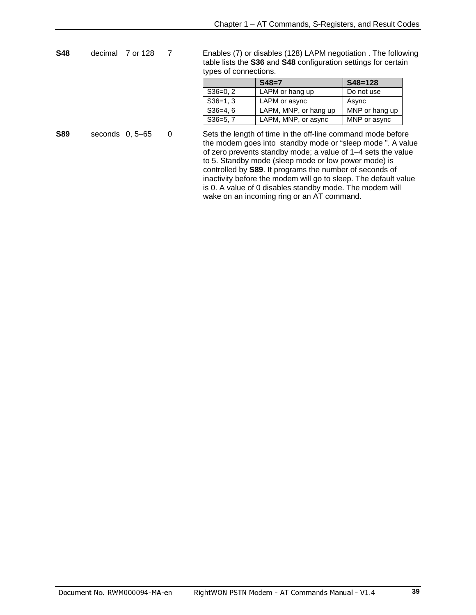to 5. Standby mode (sleep mode or low power mode) is controlled by **S89**. It programs the number of seconds of inactivity before the modem will go to sleep. The default value is 0. A value of 0 disables standby mode. The modem will

wake on an incoming ring or an AT command.

| <b>S48</b><br>decimal<br>7 or 128 |  |                   | Enables (7) or disables (128) LAPM negotiation. The following<br>table lists the S36 and S48 configuration settings for certain<br>types of connections. |            |                                                                                                                                                                                          |                |  |
|-----------------------------------|--|-------------------|----------------------------------------------------------------------------------------------------------------------------------------------------------|------------|------------------------------------------------------------------------------------------------------------------------------------------------------------------------------------------|----------------|--|
|                                   |  |                   |                                                                                                                                                          |            | $S48=7$                                                                                                                                                                                  | $S48 = 128$    |  |
|                                   |  |                   |                                                                                                                                                          | $S36=0, 2$ | LAPM or hang up                                                                                                                                                                          | Do not use     |  |
|                                   |  |                   |                                                                                                                                                          | $S36=1.3$  | LAPM or async                                                                                                                                                                            | Async          |  |
|                                   |  |                   |                                                                                                                                                          | $S36=4.6$  | LAPM, MNP, or hang up                                                                                                                                                                    | MNP or hang up |  |
|                                   |  |                   |                                                                                                                                                          | $S36=5, 7$ | LAPM, MNP, or async                                                                                                                                                                      | MNP or async   |  |
| <b>S89</b>                        |  | seconds $0, 5-65$ | 0                                                                                                                                                        |            | Sets the length of time in the off-line command mode before<br>the modem goes into standby mode or "sleep mode". A value<br>of zero prevents standby mode; a value of 1–4 sets the value |                |  |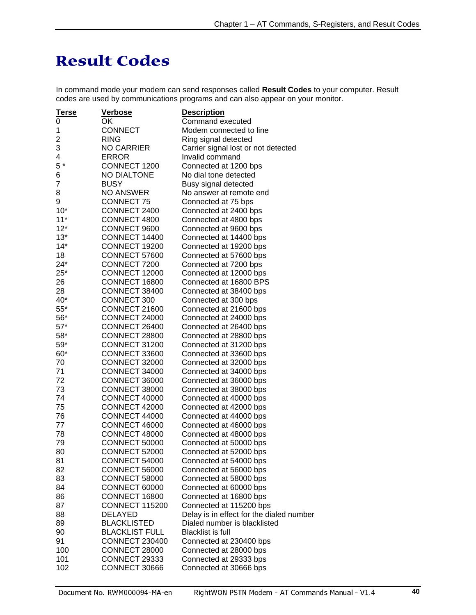# <span id="page-40-0"></span>**Result Codes**

In command mode your modem can send responses called **Result Codes** to your computer. Result codes are used by communications programs and can also appear on your monitor.

| <u>Terse</u> | <u>Verbose</u>        | <b>Description</b>                       |
|--------------|-----------------------|------------------------------------------|
| 0            | ΟK                    | Command executed                         |
| 1            | <b>CONNECT</b>        | Modem connected to line                  |
| 2            | <b>RING</b>           | Ring signal detected                     |
| 3            | <b>NO CARRIER</b>     | Carrier signal lost or not detected      |
| 4            | <b>ERROR</b>          | Invalid command                          |
| $5*$         | CONNECT 1200          | Connected at 1200 bps                    |
| 6            | <b>NO DIALTONE</b>    | No dial tone detected                    |
| 7            | <b>BUSY</b>           | Busy signal detected                     |
| 8            | <b>NO ANSWER</b>      | No answer at remote end                  |
| 9            | <b>CONNECT 75</b>     | Connected at 75 bps                      |
| $10*$        | CONNECT 2400          |                                          |
|              | CONNECT 4800          | Connected at 2400 bps                    |
| $11*$        |                       | Connected at 4800 bps                    |
| $12*$        | CONNECT 9600          | Connected at 9600 bps                    |
| $13*$        | CONNECT 14400         | Connected at 14400 bps                   |
| $14*$        | CONNECT 19200         | Connected at 19200 bps                   |
| 18           | CONNECT 57600         | Connected at 57600 bps                   |
| $24*$        | CONNECT 7200          | Connected at 7200 bps                    |
| $25*$        | CONNECT 12000         | Connected at 12000 bps                   |
| 26           | CONNECT 16800         | Connected at 16800 BPS                   |
| 28           | CONNECT 38400         | Connected at 38400 bps                   |
| 40*          | CONNECT 300           | Connected at 300 bps                     |
| $55*$        | CONNECT 21600         | Connected at 21600 bps                   |
| 56*          | CONNECT 24000         | Connected at 24000 bps                   |
| $57*$        | CONNECT 26400         | Connected at 26400 bps                   |
| 58*          | <b>CONNECT 28800</b>  | Connected at 28800 bps                   |
| $59*$        | CONNECT 31200         | Connected at 31200 bps                   |
| $60*$        | CONNECT 33600         | Connected at 33600 bps                   |
| 70           | CONNECT 32000         | Connected at 32000 bps                   |
| 71           | CONNECT 34000         | Connected at 34000 bps                   |
| 72           | CONNECT 36000         | Connected at 36000 bps                   |
| 73           | CONNECT 38000         | Connected at 38000 bps                   |
| 74           | <b>CONNECT 40000</b>  | Connected at 40000 bps                   |
| 75           | <b>CONNECT 42000</b>  | Connected at 42000 bps                   |
| 76           | <b>CONNECT 44000</b>  | Connected at 44000 bps                   |
| 77           | <b>CONNECT 46000</b>  |                                          |
|              |                       | Connected at 46000 bps                   |
| 78           | CONNECT 48000         | Connected at 48000 bps                   |
| 79           | <b>CONNECT 50000</b>  | Connected at 50000 bps                   |
| 80           | CONNECT 52000         | Connected at 52000 bps                   |
| 81           | CONNECT 54000         | Connected at 54000 bps                   |
| 82           | <b>CONNECT 56000</b>  | Connected at 56000 bps                   |
| 83           | <b>CONNECT 58000</b>  | Connected at 58000 bps                   |
| 84           | CONNECT 60000         | Connected at 60000 bps                   |
| 86           | CONNECT 16800         | Connected at 16800 bps                   |
| 87           | <b>CONNECT 115200</b> | Connected at 115200 bps                  |
| 88           | <b>DELAYED</b>        | Delay is in effect for the dialed number |
| 89           | <b>BLACKLISTED</b>    | Dialed number is blacklisted             |
| 90           | <b>BLACKLIST FULL</b> | <b>Blacklist is full</b>                 |
| 91           | <b>CONNECT 230400</b> | Connected at 230400 bps                  |
| 100          | CONNECT 28000         | Connected at 28000 bps                   |
| 101          | CONNECT 29333         | Connected at 29333 bps                   |
| 102          | CONNECT 30666         | Connected at 30666 bps                   |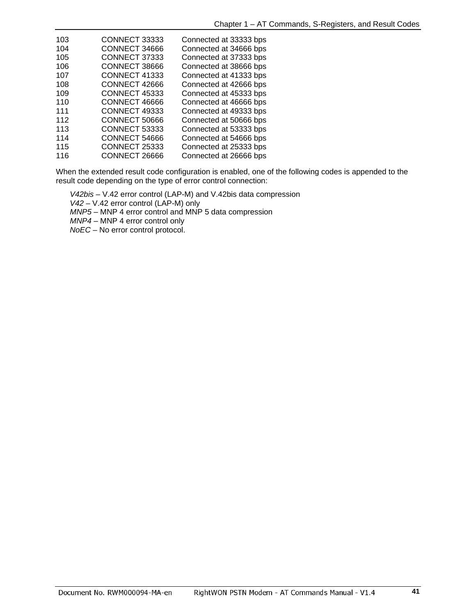| 103 | CONNECT 33333 | Connected at 33333 bps |
|-----|---------------|------------------------|
| 104 | CONNECT 34666 | Connected at 34666 bps |
| 105 | CONNECT 37333 | Connected at 37333 bps |
| 106 | CONNECT 38666 | Connected at 38666 bps |
| 107 | CONNECT 41333 | Connected at 41333 bps |
| 108 | CONNECT 42666 | Connected at 42666 bps |
| 109 | CONNECT 45333 | Connected at 45333 bps |
| 110 | CONNECT 46666 | Connected at 46666 bps |
| 111 | CONNECT 49333 | Connected at 49333 bps |
| 112 | CONNECT 50666 | Connected at 50666 bps |
| 113 | CONNECT 53333 | Connected at 53333 bps |
| 114 | CONNECT 54666 | Connected at 54666 bps |
| 115 | CONNECT 25333 | Connected at 25333 bps |
| 116 | CONNECT 26666 | Connected at 26666 bps |

When the extended result code configuration is enabled, one of the following codes is appended to the result code depending on the type of error control connection:

 *V42bis* – V.42 error control (LAP-M) and V.42bis data compression

 *V42* – V.42 error control (LAP-M) only

 *MNP5* – MNP 4 error control and MNP 5 data compression

 *MNP4* – MNP 4 error control only

 *NoEC* – No error control protocol.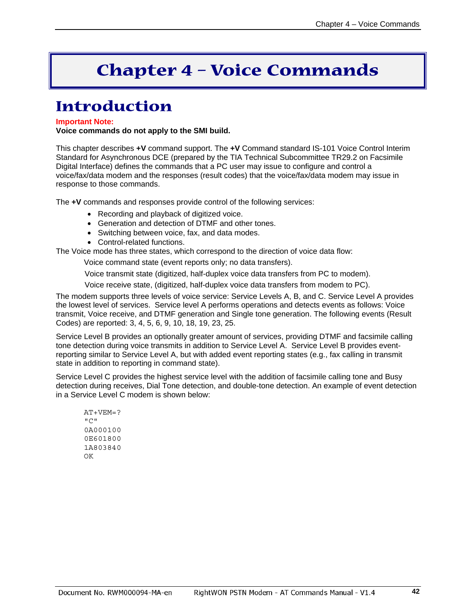# **Chapter 4 – Voice Commands**

# <span id="page-42-1"></span><span id="page-42-0"></span>**Introduction**

#### **Important Note:**

**Voice commands do not apply to the SMI build.** 

This chapter describes **+V** command support. The **+V** Command standard IS-101 Voice Control Interim Standard for Asynchronous DCE (prepared by the TIA Technical Subcommittee TR29.2 on Facsimile Digital Interface) defines the commands that a PC user may issue to configure and control a voice/fax/data modem and the responses (result codes) that the voice/fax/data modem may issue in response to those commands.

The **+V** commands and responses provide control of the following services:

- Recording and playback of digitized voice.
- Generation and detection of DTMF and other tones.
- Switching between voice, fax, and data modes.
- Control-related functions.

The Voice mode has three states, which correspond to the direction of voice data flow:

Voice command state (event reports only; no data transfers).

Voice transmit state (digitized, half-duplex voice data transfers from PC to modem).

Voice receive state, (digitized, half-duplex voice data transfers from modem to PC).

The modem supports three levels of voice service: Service Levels A, B, and C. Service Level A provides the lowest level of services. Service level A performs operations and detects events as follows: Voice transmit, Voice receive, and DTMF generation and Single tone generation. The following events (Result Codes) are reported: 3, 4, 5, 6, 9, 10, 18, 19, 23, 25.

Service Level B provides an optionally greater amount of services, providing DTMF and facsimile calling tone detection during voice transmits in addition to Service Level A. Service Level B provides eventreporting similar to Service Level A, but with added event reporting states (e.g., fax calling in transmit state in addition to reporting in command state).

Service Level C provides the highest service level with the addition of facsimile calling tone and Busy detection during receives, Dial Tone detection, and double-tone detection. An example of event detection in a Service Level C modem is shown below:

 AT+VEM=?  $"C"$  0A000100 0E601800 1A803840  $\bigcap K$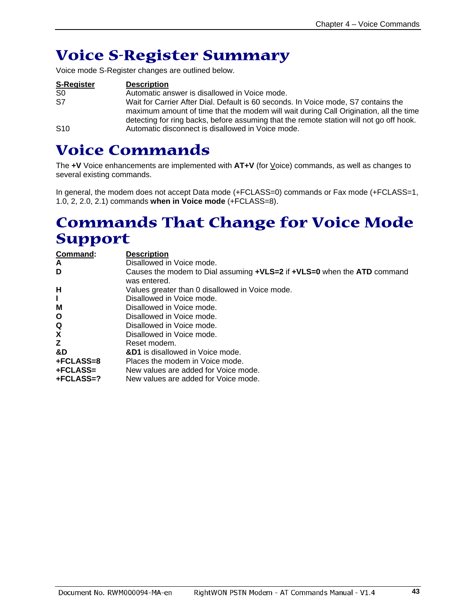# <span id="page-43-0"></span>**Voice S-Register Summary**

Voice mode S-Register changes are outlined below.

| <b>S-Register</b> | <b>Description</b>                                                                                                                                                                                                                                                     |
|-------------------|------------------------------------------------------------------------------------------------------------------------------------------------------------------------------------------------------------------------------------------------------------------------|
| S0                | Automatic answer is disallowed in Voice mode.                                                                                                                                                                                                                          |
| S7                | Wait for Carrier After Dial. Default is 60 seconds. In Voice mode, S7 contains the<br>maximum amount of time that the modem will wait during Call Origination, all the time<br>detecting for ring backs, before assuming that the remote station will not go off hook. |
| S <sub>10</sub>   | Automatic disconnect is disallowed in Voice mode.                                                                                                                                                                                                                      |

# <span id="page-43-1"></span>**Voice Commands**

The **+V** Voice enhancements are implemented with **AT+V** (for Voice) commands, as well as changes to several existing commands.

In general, the modem does not accept Data mode (+FCLASS=0) commands or Fax mode (+FCLASS=1, 1.0, 2, 2.0, 2.1) commands **when in Voice mode** (+FCLASS=8).

# <span id="page-43-2"></span>**Commands That Change for Voice Mode Support**

| Command:     | <b>Description</b>                                                                      |
|--------------|-----------------------------------------------------------------------------------------|
| A            | Disallowed in Voice mode.                                                               |
| D            | Causes the modem to Dial assuming +VLS=2 if +VLS=0 when the ATD command<br>was entered. |
| H            | Values greater than 0 disallowed in Voice mode.                                         |
| L            | Disallowed in Voice mode.                                                               |
| м            | Disallowed in Voice mode.                                                               |
| $\mathbf{o}$ | Disallowed in Voice mode.                                                               |
| Q            | Disallowed in Voice mode.                                                               |
| X            | Disallowed in Voice mode.                                                               |
| z            | Reset modem.                                                                            |
| &D           | &D1 is disallowed in Voice mode.                                                        |
| +FCLASS=8    | Places the modem in Voice mode.                                                         |
| +FCLASS=     | New values are added for Voice mode.                                                    |
| $+FCLASS=?$  | New values are added for Voice mode.                                                    |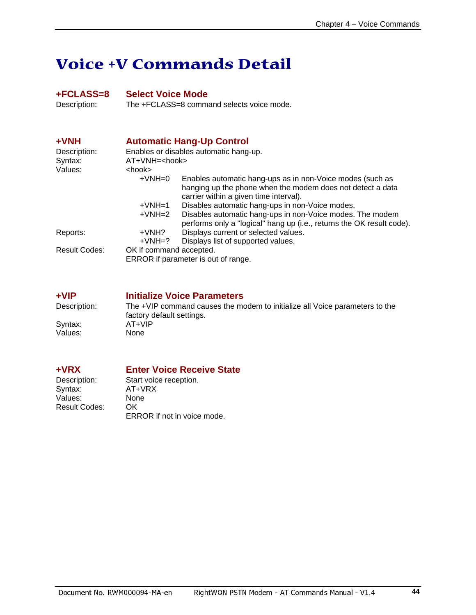# <span id="page-44-0"></span>**Voice +V Commands Detail**

<span id="page-44-1"></span>**+FCLASS=8 Select Voice Mode**  The +FCLASS=8 command selects voice mode.

<span id="page-44-2"></span>

| $+VNH$                              | <b>Automatic Hang-Up Control</b>       |                                                                                                                                                                   |  |  |
|-------------------------------------|----------------------------------------|-------------------------------------------------------------------------------------------------------------------------------------------------------------------|--|--|
| Description:                        | Enables or disables automatic hang-up. |                                                                                                                                                                   |  |  |
| Syntax:                             |                                        | AT+VNH= <hook></hook>                                                                                                                                             |  |  |
| Values:                             | <hook></hook>                          |                                                                                                                                                                   |  |  |
|                                     | $+VNH=0$                               | Enables automatic hang-ups as in non-Voice modes (such as<br>hanging up the phone when the modem does not detect a data<br>carrier within a given time interval). |  |  |
|                                     | $+VMH=1$                               | Disables automatic hang-ups in non-Voice modes.                                                                                                                   |  |  |
|                                     | $+VMH=2$                               | Disables automatic hang-ups in non-Voice modes. The modem<br>performs only a "logical" hang up (i.e., returns the OK result code).                                |  |  |
| Reports:                            | +VNH?                                  | Displays current or selected values.                                                                                                                              |  |  |
|                                     | $+VMH=?$                               | Displays list of supported values.                                                                                                                                |  |  |
| <b>Result Codes:</b>                | OK if command accepted.                |                                                                                                                                                                   |  |  |
| ERROR if parameter is out of range. |                                        |                                                                                                                                                                   |  |  |

<span id="page-44-3"></span>**+VIP Initialize Voice Parameters**  Description: The +VIP command causes the modem to initialize all Voice parameters to the factory default settings.<br>AT+VIP Syntax: AT+V<br>Values: None Values:

Values: Non<br>Result Codes: OK Result Codes:

# <span id="page-44-4"></span>**+VRX Enter Voice Receive State**

Description: Start voice reception.<br>Syntax: AT+VRX AT+VRX<br>None ERROR if not in voice mode.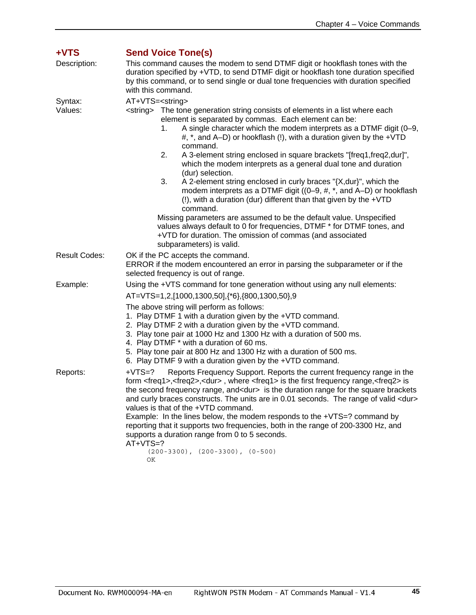<span id="page-45-0"></span>

| +VTS                 | <b>Send Voice Tone(s)</b>                                                                                                                                                                                                                                                                                                                                                                                                                                                                                                                                                                                                                                                                                                                                                                                                                                                                                                                                                                                                                |  |  |
|----------------------|------------------------------------------------------------------------------------------------------------------------------------------------------------------------------------------------------------------------------------------------------------------------------------------------------------------------------------------------------------------------------------------------------------------------------------------------------------------------------------------------------------------------------------------------------------------------------------------------------------------------------------------------------------------------------------------------------------------------------------------------------------------------------------------------------------------------------------------------------------------------------------------------------------------------------------------------------------------------------------------------------------------------------------------|--|--|
| Description:         | This command causes the modem to send DTMF digit or hookflash tones with the<br>duration specified by +VTD, to send DTMF digit or hookflash tone duration specified<br>by this command, or to send single or dual tone frequencies with duration specified<br>with this command.                                                                                                                                                                                                                                                                                                                                                                                                                                                                                                                                                                                                                                                                                                                                                         |  |  |
| Syntax:<br>Values:   | AT+VTS= <string><br/><string> The tone generation string consists of elements in a list where each<br/>element is separated by commas. Each element can be:<br/>A single character which the modem interprets as a DTMF digit (0-9,<br/>1.<br/>#, *, and A-D) or hookflash (!), with a duration given by the +VTD<br/>command.<br/>A 3-element string enclosed in square brackets "[freq1, freq2, dur]",<br/>2.<br/>which the modem interprets as a general dual tone and duration<br/>(dur) selection.<br/>3.<br/>A 2-element string enclosed in curly braces "{X, dur}", which the<br/>modem interprets as a DTMF digit ((0-9, #, *, and A-D) or hookflash<br/><math>(!)</math>, with a duration (dur) different than that given by the <math>+VTD</math><br/>command.<br/>Missing parameters are assumed to be the default value. Unspecified<br/>values always default to 0 for frequencies, DTMF * for DTMF tones, and<br/>+VTD for duration. The omission of commas (and associated<br/>subparameters) is valid.</string></string> |  |  |
| <b>Result Codes:</b> | OK if the PC accepts the command.<br>ERROR if the modem encountered an error in parsing the subparameter or if the<br>selected frequency is out of range.                                                                                                                                                                                                                                                                                                                                                                                                                                                                                                                                                                                                                                                                                                                                                                                                                                                                                |  |  |
| Example:             | Using the +VTS command for tone generation without using any null elements:<br>AT=VTS=1,2,[1000,1300,50],{*6},{800,1300,50},9<br>The above string will perform as follows:<br>1. Play DTMF 1 with a duration given by the +VTD command.<br>2. Play DTMF 2 with a duration given by the +VTD command.<br>3. Play tone pair at 1000 Hz and 1300 Hz with a duration of 500 ms.<br>4. Play DTMF * with a duration of 60 ms.<br>5. Play tone pair at 800 Hz and 1300 Hz with a duration of 500 ms.<br>6. Play DTMF 9 with a duration given by the +VTD command.                                                                                                                                                                                                                                                                                                                                                                                                                                                                               |  |  |
| Reports:             | Reports Frequency Support. Reports the current frequency range in the<br>$+VTS=?$<br>form <freq1>,<freq2>,<dur>, where <freq1> is the first frequency range,<freq2> is<br/>the second frequency range, and<dur> is the duration range for the square brackets<br/>and curly braces constructs. The units are in 0.01 seconds. The range of valid <dur><br/>values is that of the +VTD command.<br/>Example: In the lines below, the modem responds to the +VTS=? command by<br/>reporting that it supports two frequencies, both in the range of 200-3300 Hz, and<br/>supports a duration range from 0 to 5 seconds.<br/><math>AT+VTS=?</math><br/><math>(200-3300)</math>, <math>(200-3300)</math>, <math>(0-500)</math><br/>ΟK</dur></dur></freq2></freq1></dur></freq2></freq1>                                                                                                                                                                                                                                                       |  |  |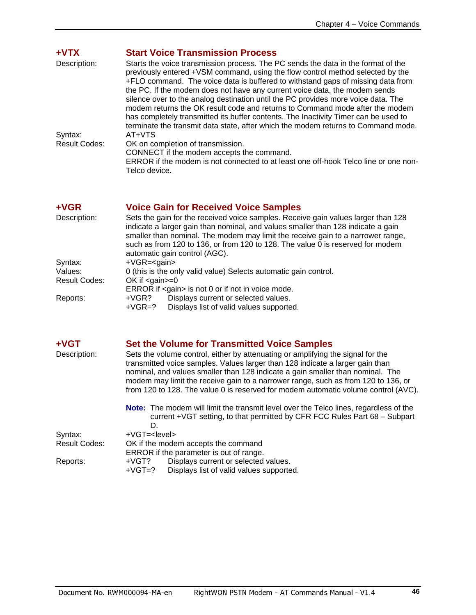<span id="page-46-0"></span>

| $+VTX$               | <b>Start Voice Transmission Process</b>                                                                                                                                                                                                                                                                                                                                                                                                                                                                                                                                                          |
|----------------------|--------------------------------------------------------------------------------------------------------------------------------------------------------------------------------------------------------------------------------------------------------------------------------------------------------------------------------------------------------------------------------------------------------------------------------------------------------------------------------------------------------------------------------------------------------------------------------------------------|
| Description:         | Starts the voice transmission process. The PC sends the data in the format of the<br>previously entered +VSM command, using the flow control method selected by the<br>+FLO command. The voice data is buffered to withstand gaps of missing data from<br>the PC. If the modem does not have any current voice data, the modem sends<br>silence over to the analog destination until the PC provides more voice data. The<br>modem returns the OK result code and returns to Command mode after the modem<br>has completely transmitted its buffer contents. The Inactivity Timer can be used to |
| Syntax:              | terminate the transmit data state, after which the modem returns to Command mode.<br>AT+VTS                                                                                                                                                                                                                                                                                                                                                                                                                                                                                                      |
| <b>Result Codes:</b> | OK on completion of transmission.<br>CONNECT if the modem accepts the command.<br>ERROR if the modem is not connected to at least one off-hook Telco line or one non-<br>Telco device.                                                                                                                                                                                                                                                                                                                                                                                                           |

#### <span id="page-46-1"></span>**+VGR Voice Gain for Received Voice Samples**

| Description:  | Sets the gain for the received voice samples. Receive gain values larger than 128<br>indicate a larger gain than nominal, and values smaller than 128 indicate a gain<br>smaller than nominal. The modem may limit the receive gain to a narrower range,<br>such as from 120 to 136, or from 120 to 128. The value 0 is reserved for modem<br>automatic gain control (AGC). |  |  |  |
|---------------|-----------------------------------------------------------------------------------------------------------------------------------------------------------------------------------------------------------------------------------------------------------------------------------------------------------------------------------------------------------------------------|--|--|--|
|               |                                                                                                                                                                                                                                                                                                                                                                             |  |  |  |
| Syntax:       | $+VGR = qain$                                                                                                                                                                                                                                                                                                                                                               |  |  |  |
| Values:       | 0 (this is the only valid value) Selects automatic gain control.                                                                                                                                                                                                                                                                                                            |  |  |  |
| Result Codes: | OK if $<$ gain $>=$ 0                                                                                                                                                                                                                                                                                                                                                       |  |  |  |
|               | ERROR if <gain> is not 0 or if not in voice mode.</gain>                                                                                                                                                                                                                                                                                                                    |  |  |  |
| Reports:      | Displays current or selected values.<br>+VGR?                                                                                                                                                                                                                                                                                                                               |  |  |  |
|               | Displays list of valid values supported.<br>$+VGR=?$                                                                                                                                                                                                                                                                                                                        |  |  |  |

#### <span id="page-46-2"></span>**+VGT Set the Volume for Transmitted Voice Samples**

#### Description: Sets the volume control, either by attenuating or amplifying the signal for the transmitted voice samples. Values larger than 128 indicate a larger gain than nominal, and values smaller than 128 indicate a gain smaller than nominal. The modem may limit the receive gain to a narrower range, such as from 120 to 136, or from 120 to 128. The value 0 is reserved for modem automatic volume control (AVC).

**Note:** The modem will limit the transmit level over the Telco lines, regardless of the current +VGT setting, to that permitted by CFR FCC Rules Part 68 – Subpart D. Syntax: +VGT=<level>

| Result Codes: | OK if the modem accepts the command               |
|---------------|---------------------------------------------------|
|               | <b>FRROO</b> !! the means about a with all agrees |

ERROR if the parameter is out of range.

Reports: +VGT? Displays current or selected values.<br>+VGT=? Displays list of valid values supporte Displays list of valid values supported.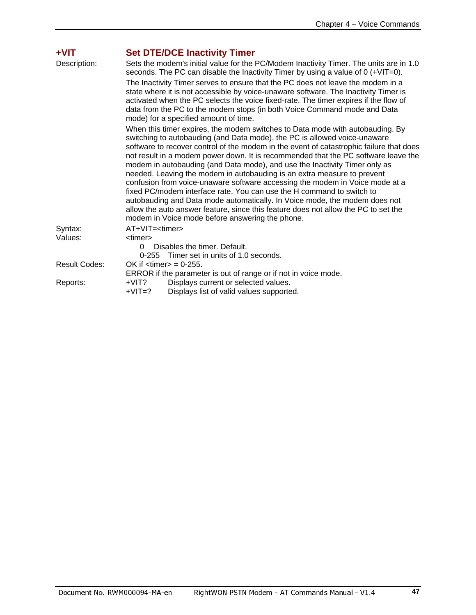<span id="page-47-0"></span>

| +VIT                 | <b>Set DTE/DCE Inactivity Timer</b>                                                                                                                                                                                                                                                                                                                                                                                                                                                                                                                                                                                                                                                                                                                                                                                                                                                  |  |  |  |
|----------------------|--------------------------------------------------------------------------------------------------------------------------------------------------------------------------------------------------------------------------------------------------------------------------------------------------------------------------------------------------------------------------------------------------------------------------------------------------------------------------------------------------------------------------------------------------------------------------------------------------------------------------------------------------------------------------------------------------------------------------------------------------------------------------------------------------------------------------------------------------------------------------------------|--|--|--|
| Description:         | Sets the modem's initial value for the PC/Modem Inactivity Timer. The units are in 1.0<br>seconds. The PC can disable the Inactivity Timer by using a value of 0 (+VIT=0).                                                                                                                                                                                                                                                                                                                                                                                                                                                                                                                                                                                                                                                                                                           |  |  |  |
|                      | The Inactivity Timer serves to ensure that the PC does not leave the modem in a<br>state where it is not accessible by voice-unaware software. The Inactivity Timer is<br>activated when the PC selects the voice fixed-rate. The timer expires if the flow of<br>data from the PC to the modem stops (in both Voice Command mode and Data<br>mode) for a specified amount of time.                                                                                                                                                                                                                                                                                                                                                                                                                                                                                                  |  |  |  |
|                      | When this timer expires, the modem switches to Data mode with autobauding. By<br>switching to autobauding (and Data mode), the PC is allowed voice-unaware<br>software to recover control of the modem in the event of catastrophic failure that does<br>not result in a modem power down. It is recommended that the PC software leave the<br>modem in autobauding (and Data mode), and use the Inactivity Timer only as<br>needed. Leaving the modem in autobauding is an extra measure to prevent<br>confusion from voice-unaware software accessing the modem in Voice mode at a<br>fixed PC/modem interface rate. You can use the H command to switch to<br>autobauding and Data mode automatically. In Voice mode, the modem does not<br>allow the auto answer feature, since this feature does not allow the PC to set the<br>modem in Voice mode before answering the phone. |  |  |  |
| Syntax:              | $AT+VIT=<$ timer>                                                                                                                                                                                                                                                                                                                                                                                                                                                                                                                                                                                                                                                                                                                                                                                                                                                                    |  |  |  |
| Values:              | <timer><br/>Disables the timer. Default.<br/><math>\Omega</math><br/>Timer set in units of 1.0 seconds.<br/><math>0 - 255</math></timer>                                                                                                                                                                                                                                                                                                                                                                                                                                                                                                                                                                                                                                                                                                                                             |  |  |  |
| <b>Result Codes:</b> | OK if $\lt$ timer $>$ = 0-255.<br>ERROR if the parameter is out of range or if not in voice mode.                                                                                                                                                                                                                                                                                                                                                                                                                                                                                                                                                                                                                                                                                                                                                                                    |  |  |  |
| Reports:             | Displays current or selected values.<br>+VIT?<br>$+VIT=?$<br>Displays list of valid values supported.                                                                                                                                                                                                                                                                                                                                                                                                                                                                                                                                                                                                                                                                                                                                                                                |  |  |  |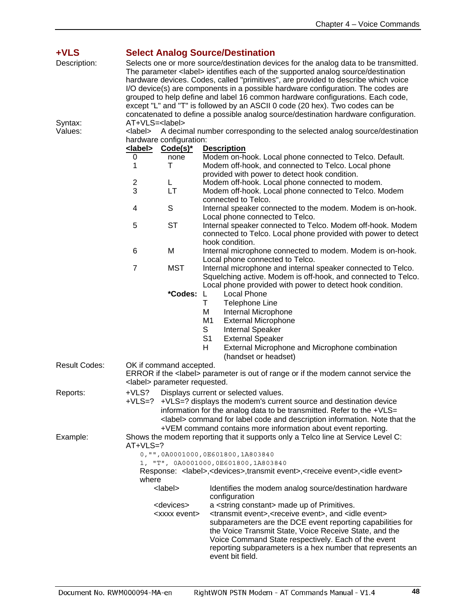<span id="page-48-0"></span>

| +VLS                 |                                                                                                                                                                                                                                                                                                                                                                                                                                                                                                                                                                                                                                                                      |                                                                 |                                                                                                                                                                                            |
|----------------------|----------------------------------------------------------------------------------------------------------------------------------------------------------------------------------------------------------------------------------------------------------------------------------------------------------------------------------------------------------------------------------------------------------------------------------------------------------------------------------------------------------------------------------------------------------------------------------------------------------------------------------------------------------------------|-----------------------------------------------------------------|--------------------------------------------------------------------------------------------------------------------------------------------------------------------------------------------|
| Description:         | <b>Select Analog Source/Destination</b><br>Selects one or more source/destination devices for the analog data to be transmitted.<br>The parameter <label> identifies each of the supported analog source/destination<br/>hardware devices. Codes, called "primitives", are provided to describe which voice<br/>I/O device(s) are components in a possible hardware configuration. The codes are<br/>grouped to help define and label 16 common hardware configurations. Each code,<br/>except "L" and "T" is followed by an ASCII 0 code (20 hex). Two codes can be<br/>concatenated to define a possible analog source/destination hardware configuration.</label> |                                                                 |                                                                                                                                                                                            |
| Syntax:              | AT+VLS= <label></label>                                                                                                                                                                                                                                                                                                                                                                                                                                                                                                                                                                                                                                              |                                                                 |                                                                                                                                                                                            |
| Values:              | <label></label>                                                                                                                                                                                                                                                                                                                                                                                                                                                                                                                                                                                                                                                      |                                                                 | A decimal number corresponding to the selected analog source/destination                                                                                                                   |
|                      |                                                                                                                                                                                                                                                                                                                                                                                                                                                                                                                                                                                                                                                                      | hardware configuration:                                         |                                                                                                                                                                                            |
|                      | <u><label></label></u><br>0                                                                                                                                                                                                                                                                                                                                                                                                                                                                                                                                                                                                                                          | <u>Code(s)*</u><br>none                                         | <b>Description</b><br>Modem on-hook. Local phone connected to Telco. Default.                                                                                                              |
|                      | 1                                                                                                                                                                                                                                                                                                                                                                                                                                                                                                                                                                                                                                                                    | т                                                               | Modem off-hook, and connected to Telco. Local phone<br>provided with power to detect hook condition.                                                                                       |
|                      | 2                                                                                                                                                                                                                                                                                                                                                                                                                                                                                                                                                                                                                                                                    | Г                                                               | Modem off-hook. Local phone connected to modem.                                                                                                                                            |
|                      | 3                                                                                                                                                                                                                                                                                                                                                                                                                                                                                                                                                                                                                                                                    | LT                                                              | Modem off-hook. Local phone connected to Telco. Modem<br>connected to Telco.                                                                                                               |
|                      | 4                                                                                                                                                                                                                                                                                                                                                                                                                                                                                                                                                                                                                                                                    | S                                                               | Internal speaker connected to the modem. Modem is on-hook.<br>Local phone connected to Telco.                                                                                              |
|                      | 5                                                                                                                                                                                                                                                                                                                                                                                                                                                                                                                                                                                                                                                                    | <b>ST</b>                                                       | Internal speaker connected to Telco. Modem off-hook. Modem<br>connected to Telco. Local phone provided with power to detect<br>hook condition.                                             |
|                      | 6                                                                                                                                                                                                                                                                                                                                                                                                                                                                                                                                                                                                                                                                    | M                                                               | Internal microphone connected to modem. Modem is on-hook.<br>Local phone connected to Telco.                                                                                               |
|                      | 7                                                                                                                                                                                                                                                                                                                                                                                                                                                                                                                                                                                                                                                                    | <b>MST</b>                                                      | Internal microphone and internal speaker connected to Telco.<br>Squelching active. Modem is off-hook, and connected to Telco.<br>Local phone provided with power to detect hook condition. |
|                      |                                                                                                                                                                                                                                                                                                                                                                                                                                                                                                                                                                                                                                                                      | *Codes: L                                                       | <b>Local Phone</b>                                                                                                                                                                         |
|                      |                                                                                                                                                                                                                                                                                                                                                                                                                                                                                                                                                                                                                                                                      |                                                                 | т<br>Telephone Line                                                                                                                                                                        |
|                      |                                                                                                                                                                                                                                                                                                                                                                                                                                                                                                                                                                                                                                                                      |                                                                 | Internal Microphone<br>М                                                                                                                                                                   |
|                      |                                                                                                                                                                                                                                                                                                                                                                                                                                                                                                                                                                                                                                                                      |                                                                 | M1<br><b>External Microphone</b>                                                                                                                                                           |
|                      |                                                                                                                                                                                                                                                                                                                                                                                                                                                                                                                                                                                                                                                                      |                                                                 | S<br>Internal Speaker                                                                                                                                                                      |
|                      |                                                                                                                                                                                                                                                                                                                                                                                                                                                                                                                                                                                                                                                                      |                                                                 | S <sub>1</sub><br><b>External Speaker</b>                                                                                                                                                  |
|                      |                                                                                                                                                                                                                                                                                                                                                                                                                                                                                                                                                                                                                                                                      |                                                                 | H<br>External Microphone and Microphone combination                                                                                                                                        |
|                      |                                                                                                                                                                                                                                                                                                                                                                                                                                                                                                                                                                                                                                                                      |                                                                 | (handset or headset)                                                                                                                                                                       |
| <b>Result Codes:</b> |                                                                                                                                                                                                                                                                                                                                                                                                                                                                                                                                                                                                                                                                      | OK if command accepted.<br><label> parameter requested.</label> | ERROR if the <label> parameter is out of range or if the modem cannot service the</label>                                                                                                  |
| Reports:             |                                                                                                                                                                                                                                                                                                                                                                                                                                                                                                                                                                                                                                                                      |                                                                 | +VLS? Displays current or selected values.                                                                                                                                                 |
|                      | $+VLS=?$                                                                                                                                                                                                                                                                                                                                                                                                                                                                                                                                                                                                                                                             |                                                                 | +VLS=? displays the modem's current source and destination device                                                                                                                          |
|                      |                                                                                                                                                                                                                                                                                                                                                                                                                                                                                                                                                                                                                                                                      |                                                                 | information for the analog data to be transmitted. Refer to the +VLS=                                                                                                                      |
|                      |                                                                                                                                                                                                                                                                                                                                                                                                                                                                                                                                                                                                                                                                      |                                                                 | <label> command for label code and description information. Note that the</label>                                                                                                          |
|                      |                                                                                                                                                                                                                                                                                                                                                                                                                                                                                                                                                                                                                                                                      |                                                                 | +VEM command contains more information about event reporting.                                                                                                                              |
| Example:             | $AT+VLS=?$                                                                                                                                                                                                                                                                                                                                                                                                                                                                                                                                                                                                                                                           |                                                                 | Shows the modem reporting that it supports only a Telco line at Service Level C:                                                                                                           |
|                      |                                                                                                                                                                                                                                                                                                                                                                                                                                                                                                                                                                                                                                                                      |                                                                 | 0, "", 0A0001000, 0E601800, 1A803840                                                                                                                                                       |
|                      | 1, "T", 0A0001000,0E601800,1A803840<br>Response: <label>,<devices>,transmit event&gt;,<receive event="">,<idle event=""><br/>where</idle></receive></devices></label>                                                                                                                                                                                                                                                                                                                                                                                                                                                                                                |                                                                 |                                                                                                                                                                                            |
|                      |                                                                                                                                                                                                                                                                                                                                                                                                                                                                                                                                                                                                                                                                      |                                                                 |                                                                                                                                                                                            |
|                      |                                                                                                                                                                                                                                                                                                                                                                                                                                                                                                                                                                                                                                                                      | <label></label>                                                 | Identifies the modem analog source/destination hardware<br>configuration                                                                                                                   |
|                      |                                                                                                                                                                                                                                                                                                                                                                                                                                                                                                                                                                                                                                                                      | <devices></devices>                                             | a <string constant=""> made up of Primitives.</string>                                                                                                                                     |
|                      |                                                                                                                                                                                                                                                                                                                                                                                                                                                                                                                                                                                                                                                                      | <xxxx event=""></xxxx>                                          | <transmit event="">,<receive event="">, and <idle event=""></idle></receive></transmit>                                                                                                    |
|                      |                                                                                                                                                                                                                                                                                                                                                                                                                                                                                                                                                                                                                                                                      |                                                                 | subparameters are the DCE event reporting capabilities for<br>the Voice Transmit State, Voice Receive State, and the                                                                       |
|                      |                                                                                                                                                                                                                                                                                                                                                                                                                                                                                                                                                                                                                                                                      |                                                                 | Voice Command State respectively. Each of the event<br>reporting subparameters is a hex number that represents an<br>event bit field.                                                      |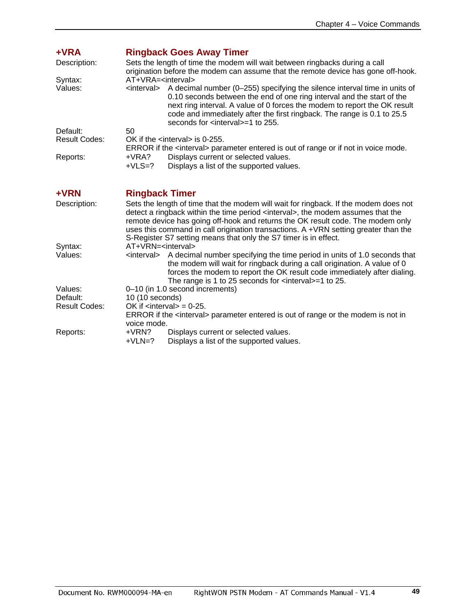<span id="page-49-1"></span><span id="page-49-0"></span>

| +VRA<br>Description:<br>Syntax:<br>Values: | AT+VRA= <interval></interval>                                                                                                                                                                                                                                                                                                                                                                                                       | <b>Ringback Goes Away Timer</b><br>Sets the length of time the modem will wait between ringbacks during a call<br>origination before the modem can assume that the remote device has gone off-hook.<br><interval> A decimal number (0-255) specifying the silence interval time in units of<br/>0.10 seconds between the end of one ring interval and the start of the<br/>next ring interval. A value of 0 forces the modem to report the OK result<br/>code and immediately after the first ringback. The range is 0.1 to 25.5<br/>seconds for <interval>=1 to 255.</interval></interval> |  |  |
|--------------------------------------------|-------------------------------------------------------------------------------------------------------------------------------------------------------------------------------------------------------------------------------------------------------------------------------------------------------------------------------------------------------------------------------------------------------------------------------------|---------------------------------------------------------------------------------------------------------------------------------------------------------------------------------------------------------------------------------------------------------------------------------------------------------------------------------------------------------------------------------------------------------------------------------------------------------------------------------------------------------------------------------------------------------------------------------------------|--|--|
| Default:                                   | 50                                                                                                                                                                                                                                                                                                                                                                                                                                  |                                                                                                                                                                                                                                                                                                                                                                                                                                                                                                                                                                                             |  |  |
| <b>Result Codes:</b>                       |                                                                                                                                                                                                                                                                                                                                                                                                                                     | OK if the $\le$ interval $>$ is 0-255.<br>ERROR if the <interval> parameter entered is out of range or if not in voice mode.</interval>                                                                                                                                                                                                                                                                                                                                                                                                                                                     |  |  |
| Reports:                                   | +VRA?<br>$+VLS=?$                                                                                                                                                                                                                                                                                                                                                                                                                   | Displays current or selected values.<br>Displays a list of the supported values.                                                                                                                                                                                                                                                                                                                                                                                                                                                                                                            |  |  |
| +VRN                                       | <b>Ringback Timer</b>                                                                                                                                                                                                                                                                                                                                                                                                               |                                                                                                                                                                                                                                                                                                                                                                                                                                                                                                                                                                                             |  |  |
| Description:                               | Sets the length of time that the modem will wait for ringback. If the modem does not<br>detect a ringback within the time period <interval>, the modem assumes that the<br/>remote device has going off-hook and returns the OK result code. The modem only<br/>uses this command in call origination transactions. A +VRN setting greater than the<br/>S-Register S7 setting means that only the S7 timer is in effect.</interval> |                                                                                                                                                                                                                                                                                                                                                                                                                                                                                                                                                                                             |  |  |
| Syntax:                                    | AT+VRN= <interval></interval>                                                                                                                                                                                                                                                                                                                                                                                                       |                                                                                                                                                                                                                                                                                                                                                                                                                                                                                                                                                                                             |  |  |
| Values:                                    |                                                                                                                                                                                                                                                                                                                                                                                                                                     | <interval> A decimal number specifying the time period in units of 1.0 seconds that<br/>the modem will wait for ringback during a call origination. A value of 0<br/>forces the modem to report the OK result code immediately after dialing.<br/>The range is 1 to 25 seconds for <math>\lt</math> interval <math>\gt</math> = 1 to 25.</interval>                                                                                                                                                                                                                                         |  |  |
| Values:                                    |                                                                                                                                                                                                                                                                                                                                                                                                                                     | 0-10 (in 1.0 second increments)                                                                                                                                                                                                                                                                                                                                                                                                                                                                                                                                                             |  |  |
| Default:                                   | 10 (10 seconds)                                                                                                                                                                                                                                                                                                                                                                                                                     |                                                                                                                                                                                                                                                                                                                                                                                                                                                                                                                                                                                             |  |  |
| <b>Result Codes:</b>                       | voice mode.                                                                                                                                                                                                                                                                                                                                                                                                                         | OK if $\langle$ interval $>$ = 0-25.<br>ERROR if the <interval> parameter entered is out of range or the modem is not in</interval>                                                                                                                                                                                                                                                                                                                                                                                                                                                         |  |  |
| Reports:                                   | +VRN?                                                                                                                                                                                                                                                                                                                                                                                                                               | Displays current or selected values.                                                                                                                                                                                                                                                                                                                                                                                                                                                                                                                                                        |  |  |
|                                            | $+VLN=?$                                                                                                                                                                                                                                                                                                                                                                                                                            | Displays a list of the supported values.                                                                                                                                                                                                                                                                                                                                                                                                                                                                                                                                                    |  |  |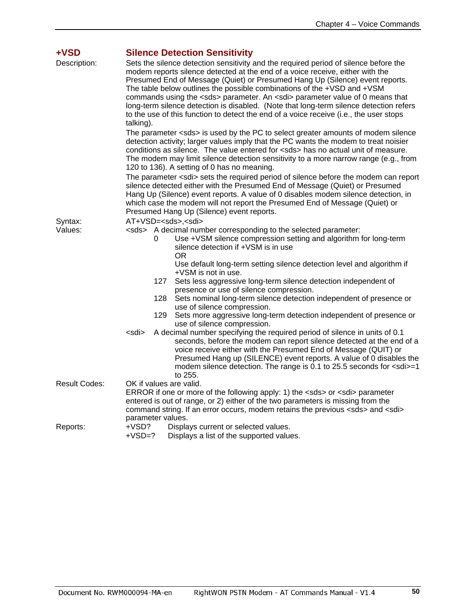<span id="page-50-0"></span>

| +VSD<br>Description: | <b>Silence Detection Sensitivity</b><br>Sets the silence detection sensitivity and the required period of silence before the<br>modem reports silence detected at the end of a voice receive, either with the<br>Presumed End of Message (Quiet) or Presumed Hang Up (Silence) event reports.<br>The table below outlines the possible combinations of the +VSD and +VSM<br>commands using the <sds> parameter. An <sdi> parameter value of 0 means that<br/>long-term silence detection is disabled. (Note that long-term silence detection refers<br/>to the use of this function to detect the end of a voice receive (i.e., the user stops<br/>talking).</sdi></sds>                        |  |  |
|----------------------|-------------------------------------------------------------------------------------------------------------------------------------------------------------------------------------------------------------------------------------------------------------------------------------------------------------------------------------------------------------------------------------------------------------------------------------------------------------------------------------------------------------------------------------------------------------------------------------------------------------------------------------------------------------------------------------------------|--|--|
|                      | The parameter <sds> is used by the PC to select greater amounts of modem silence<br/>detection activity; larger values imply that the PC wants the modem to treat noisier<br/>conditions as silence. The value entered for <sds> has no actual unit of measure.<br/>The modem may limit silence detection sensitivity to a more narrow range (e.g., from<br/>120 to 136). A setting of 0 has no meaning.</sds></sds>                                                                                                                                                                                                                                                                            |  |  |
|                      | The parameter <sdi> sets the required period of silence before the modem can report<br/>silence detected either with the Presumed End of Message (Quiet) or Presumed<br/>Hang Up (Silence) event reports. A value of 0 disables modem silence detection, in<br/>which case the modem will not report the Presumed End of Message (Quiet) or<br/>Presumed Hang Up (Silence) event reports.</sdi>                                                                                                                                                                                                                                                                                                 |  |  |
| Syntax:<br>Values:   | AT+VSD= <sds>,<sdi><br/><sds> A decimal number corresponding to the selected parameter:<br/>Use +VSM silence compression setting and algorithm for long-term<br/>0<br/>silence detection if +VSM is in use<br/>OR.<br/>Use default long-term setting silence detection level and algorithm if<br/>+VSM is not in use.<br/>127<br/>Sets less aggressive long-term silence detection independent of<br/>presence or use of silence compression.<br/>128<br/>Sets nominal long-term silence detection independent of presence or<br/>use of silence compression.<br/>129<br/>Sets more aggressive long-term detection independent of presence or<br/>use of silence compression.</sds></sdi></sds> |  |  |
|                      | A decimal number specifying the required period of silence in units of 0.1<br><sdi><br/>seconds, before the modem can report silence detected at the end of a<br/>voice receive either with the Presumed End of Message (QUIT) or<br/>Presumed Hang up (SILENCE) event reports. A value of 0 disables the<br/>modem silence detection. The range is 0.1 to 25.5 seconds for <sdi>=1<br/>to 255.</sdi></sdi>                                                                                                                                                                                                                                                                                     |  |  |
| <b>Result Codes:</b> | OK if values are valid.<br>ERROR if one or more of the following apply: 1) the <sds> or <sdi> parameter<br/>entered is out of range, or 2) either of the two parameters is missing from the<br/>command string. If an error occurs, modem retains the previous <sds> and <sdi><br/>parameter values.</sdi></sds></sdi></sds>                                                                                                                                                                                                                                                                                                                                                                    |  |  |
| Reports:             | +VSD?<br>Displays current or selected values.<br>$+VSD=?$<br>Displays a list of the supported values.                                                                                                                                                                                                                                                                                                                                                                                                                                                                                                                                                                                           |  |  |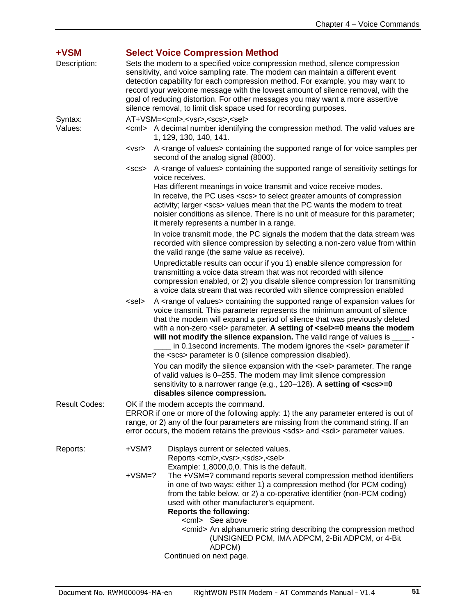<span id="page-51-0"></span>

| +VSM                 |                                                                                                                                                                                                                                                                                                                                                                                                                                                                                          | <b>Select Voice Compression Method</b>                                                                                                                                                                                                                                                                                                                                                                                                                                                                                                                                    |
|----------------------|------------------------------------------------------------------------------------------------------------------------------------------------------------------------------------------------------------------------------------------------------------------------------------------------------------------------------------------------------------------------------------------------------------------------------------------------------------------------------------------|---------------------------------------------------------------------------------------------------------------------------------------------------------------------------------------------------------------------------------------------------------------------------------------------------------------------------------------------------------------------------------------------------------------------------------------------------------------------------------------------------------------------------------------------------------------------------|
| Description:         | Sets the modem to a specified voice compression method, silence compression<br>sensitivity, and voice sampling rate. The modem can maintain a different event<br>detection capability for each compression method. For example, you may want to<br>record your welcome message with the lowest amount of silence removal, with the<br>goal of reducing distortion. For other messages you may want a more assertive<br>silence removal, to limit disk space used for recording purposes. |                                                                                                                                                                                                                                                                                                                                                                                                                                                                                                                                                                           |
| Syntax:<br>Values:   | AT+VSM= <cml>,<vsr>,<scs>,<sel><br/><cml> A decimal number identifying the compression method. The valid values are<br/>1, 129, 130, 140, 141.</cml></sel></scs></vsr></cml>                                                                                                                                                                                                                                                                                                             |                                                                                                                                                                                                                                                                                                                                                                                                                                                                                                                                                                           |
|                      | <vsr></vsr>                                                                                                                                                                                                                                                                                                                                                                                                                                                                              | A <range of="" values=""> containing the supported range of for voice samples per<br/>second of the analog signal (8000).</range>                                                                                                                                                                                                                                                                                                                                                                                                                                         |
|                      | <scs></scs>                                                                                                                                                                                                                                                                                                                                                                                                                                                                              | A <range of="" values=""> containing the supported range of sensitivity settings for<br/>voice receives.<br/>Has different meanings in voice transmit and voice receive modes.<br/>In receive, the PC uses <scs> to select greater amounts of compression<br/>activity; larger <scs> values mean that the PC wants the modem to treat<br/>noisier conditions as silence. There is no unit of measure for this parameter;<br/>it merely represents a number in a range.</scs></scs></range>                                                                                |
|                      |                                                                                                                                                                                                                                                                                                                                                                                                                                                                                          | In voice transmit mode, the PC signals the modem that the data stream was<br>recorded with silence compression by selecting a non-zero value from within<br>the valid range (the same value as receive).                                                                                                                                                                                                                                                                                                                                                                  |
|                      |                                                                                                                                                                                                                                                                                                                                                                                                                                                                                          | Unpredictable results can occur if you 1) enable silence compression for<br>transmitting a voice data stream that was not recorded with silence<br>compression enabled, or 2) you disable silence compression for transmitting<br>a voice data stream that was recorded with silence compression enabled                                                                                                                                                                                                                                                                  |
|                      | <sel></sel>                                                                                                                                                                                                                                                                                                                                                                                                                                                                              | A <range of="" values=""> containing the supported range of expansion values for<br/>voice transmit. This parameter represents the minimum amount of silence<br/>that the modem will expand a period of silence that was previously deleted<br/>with a non-zero <sel> parameter. A setting of <sel>=0 means the modem<br/>will not modify the silence expansion. The valid range of values is _____ -<br/>in 0.1 second increments. The modem ignores the <sel> parameter if<br/>the <scs> parameter is 0 (silence compression disabled).</scs></sel></sel></sel></range> |
|                      |                                                                                                                                                                                                                                                                                                                                                                                                                                                                                          | You can modify the silence expansion with the <sel> parameter. The range<br/>of valid values is 0-255. The modem may limit silence compression<br/>sensitivity to a narrower range (e.g., 120-128). A setting of <scs>=0<br/>disables silence compression.</scs></sel>                                                                                                                                                                                                                                                                                                    |
| <b>Result Codes:</b> |                                                                                                                                                                                                                                                                                                                                                                                                                                                                                          | OK if the modem accepts the command.<br>ERROR if one or more of the following apply: 1) the any parameter entered is out of<br>range, or 2) any of the four parameters are missing from the command string. If an<br>error occurs, the modem retains the previous <sds> and <sdi> parameter values.</sdi></sds>                                                                                                                                                                                                                                                           |
| Reports:             | $+VSM?$                                                                                                                                                                                                                                                                                                                                                                                                                                                                                  | Displays current or selected values.<br>Reports <cml>,<vsr>,<sds>,<sel></sel></sds></vsr></cml>                                                                                                                                                                                                                                                                                                                                                                                                                                                                           |
|                      | $+VSM=?$                                                                                                                                                                                                                                                                                                                                                                                                                                                                                 | Example: 1,8000,0,0. This is the default.<br>The +VSM=? command reports several compression method identifiers<br>in one of two ways: either 1) a compression method (for PCM coding)<br>from the table below, or 2) a co-operative identifier (non-PCM coding)<br>used with other manufacturer's equipment.<br><b>Reports the following:</b>                                                                                                                                                                                                                             |
|                      |                                                                                                                                                                                                                                                                                                                                                                                                                                                                                          | <cml> See above<br/><cmid> An alphanumeric string describing the compression method<br/>(UNSIGNED PCM, IMA ADPCM, 2-Bit ADPCM, or 4-Bit<br/>ADPCM)<br/>Continued on next page.</cmid></cml>                                                                                                                                                                                                                                                                                                                                                                               |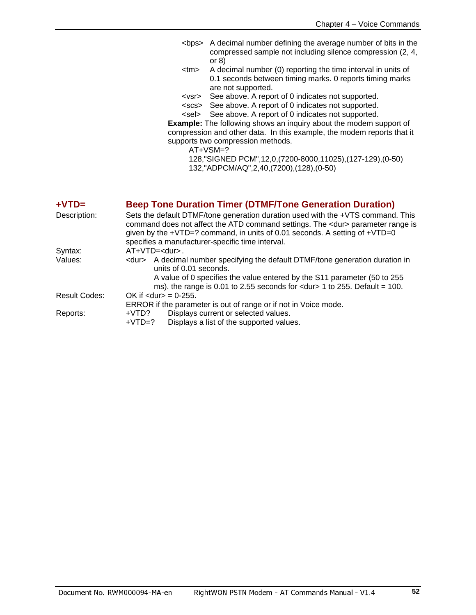- <bps> A decimal number defining the average number of bits in the compressed sample not including silence compression (2, 4, or 8)
- <tm> A decimal number (0) reporting the time interval in units of 0.1 seconds between timing marks. 0 reports timing marks are not supported.
- <vsr> See above. A report of 0 indicates not supported.
- <scs> See above. A report of 0 indicates not supported.
- <sel> See above. A report of 0 indicates not supported.

**Example:** The following shows an inquiry about the modem support of compression and other data. In this example, the modem reports that it supports two compression methods.

AT+VSM=?

128,"SIGNED PCM",12,0,(7200-8000,11025),(127-129),(0-50) 132,"ADPCM/AQ",2,40,(7200),(128),(0-50)

### <span id="page-52-0"></span>**+VTD= Beep Tone Duration Timer (DTMF/Tone Generation Duration)**

| Sets the default DTMF/tone generation duration used with the +VTS command. This<br>command does not affect the ATD command settings. The <dur> parameter range is<br/>given by the +VTD=? command, in units of 0.01 seconds. A setting of +VTD=0<br/>specifies a manufacturer-specific time interval.</dur> |  |  |
|-------------------------------------------------------------------------------------------------------------------------------------------------------------------------------------------------------------------------------------------------------------------------------------------------------------|--|--|
| $AT+VTD=.$                                                                                                                                                                                                                                                                                                  |  |  |
| <dur> A decimal number specifying the default DTMF/tone generation duration in<br/>units of 0.01 seconds.</dur>                                                                                                                                                                                             |  |  |
| A value of 0 specifies the value entered by the S11 parameter (50 to 255)<br>ms). the range is 0.01 to 2.55 seconds for $\langle$ dur> 1 to 255. Default = 100.                                                                                                                                             |  |  |
| OK if $<$ dur $>$ = 0-255.                                                                                                                                                                                                                                                                                  |  |  |
| ERROR if the parameter is out of range or if not in Voice mode.                                                                                                                                                                                                                                             |  |  |
| Displays current or selected values.<br>+VTD?<br>Displays a list of the supported values.<br>$+VTD=?$                                                                                                                                                                                                       |  |  |
|                                                                                                                                                                                                                                                                                                             |  |  |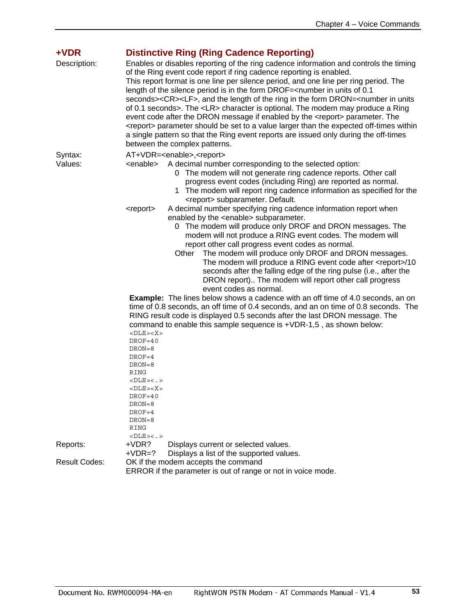<span id="page-53-0"></span>

| +VDR<br>Description:                                         | <b>Distinctive Ring (Ring Cadence Reporting)</b><br>Enables or disables reporting of the ring cadence information and controls the timing<br>of the Ring event code report if ring cadence reporting is enabled.<br>This report format is one line per silence period, and one line per ring period. The<br>length of the silence period is in the form DROF= <number 0.1<br="" in="" of="" units="">seconds&gt;<cr><lf>, and the length of the ring in the form DRON=<number in="" units<br="">of 0.1 seconds&gt;. The <lr> character is optional. The modem may produce a Ring<br/>event code after the DRON message if enabled by the <report> parameter. The<br/><report> parameter should be set to a value larger than the expected off-times within<br/>a single pattern so that the Ring event reports are issued only during the off-times<br/>between the complex patterns.</report></report></lr></number></lf></cr></number> |                                                                                                                                                                                                                                                                                                                                                                                                                                                     |  |
|--------------------------------------------------------------|------------------------------------------------------------------------------------------------------------------------------------------------------------------------------------------------------------------------------------------------------------------------------------------------------------------------------------------------------------------------------------------------------------------------------------------------------------------------------------------------------------------------------------------------------------------------------------------------------------------------------------------------------------------------------------------------------------------------------------------------------------------------------------------------------------------------------------------------------------------------------------------------------------------------------------------|-----------------------------------------------------------------------------------------------------------------------------------------------------------------------------------------------------------------------------------------------------------------------------------------------------------------------------------------------------------------------------------------------------------------------------------------------------|--|
| Syntax:                                                      | AT+VDR= <enable>,<report></report></enable>                                                                                                                                                                                                                                                                                                                                                                                                                                                                                                                                                                                                                                                                                                                                                                                                                                                                                              |                                                                                                                                                                                                                                                                                                                                                                                                                                                     |  |
| Values:                                                      | <enable></enable>                                                                                                                                                                                                                                                                                                                                                                                                                                                                                                                                                                                                                                                                                                                                                                                                                                                                                                                        | A decimal number corresponding to the selected option:<br>0 The modem will not generate ring cadence reports. Other call<br>progress event codes (including Ring) are reported as normal.<br>1 The modem will report ring cadence information as specified for the<br><report> subparameter. Default.</report>                                                                                                                                      |  |
|                                                              | <report></report>                                                                                                                                                                                                                                                                                                                                                                                                                                                                                                                                                                                                                                                                                                                                                                                                                                                                                                                        | A decimal number specifying ring cadence information report when<br>enabled by the <enable> subparameter.</enable>                                                                                                                                                                                                                                                                                                                                  |  |
|                                                              |                                                                                                                                                                                                                                                                                                                                                                                                                                                                                                                                                                                                                                                                                                                                                                                                                                                                                                                                          | 0 The modem will produce only DROF and DRON messages. The<br>modem will not produce a RING event codes. The modem will<br>report other call progress event codes as normal.<br>The modem will produce only DROF and DRON messages.<br>Other<br>The modem will produce a RING event code after <report>/10<br/>seconds after the falling edge of the ring pulse (i.e., after the<br/>DRON report) The modem will report other call progress</report> |  |
|                                                              |                                                                                                                                                                                                                                                                                                                                                                                                                                                                                                                                                                                                                                                                                                                                                                                                                                                                                                                                          | event codes as normal.                                                                                                                                                                                                                                                                                                                                                                                                                              |  |
|                                                              | $<$ DLE> $<$ X><br>$DROF = 40$<br>$DRON = 8$<br>$DROF=4$<br>$DRON = 8$<br><b>RING</b><br>$<$ DLE> $<$ . ><br><dle><x><br/><math>DROF = 40</math><br/><math>DRON = 8</math><br/><math>DROF = 4</math></x></dle>                                                                                                                                                                                                                                                                                                                                                                                                                                                                                                                                                                                                                                                                                                                           | <b>Example:</b> The lines below shows a cadence with an off time of 4.0 seconds, an on<br>time of 0.8 seconds, an off time of 0.4 seconds, and an on time of 0.8 seconds. The<br>RING result code is displayed 0.5 seconds after the last DRON message. The<br>command to enable this sample sequence is +VDR-1,5, as shown below:                                                                                                                  |  |
|                                                              | $DRON = 8$                                                                                                                                                                                                                                                                                                                                                                                                                                                                                                                                                                                                                                                                                                                                                                                                                                                                                                                               |                                                                                                                                                                                                                                                                                                                                                                                                                                                     |  |
|                                                              | <b>RING</b>                                                                                                                                                                                                                                                                                                                                                                                                                                                                                                                                                                                                                                                                                                                                                                                                                                                                                                                              |                                                                                                                                                                                                                                                                                                                                                                                                                                                     |  |
|                                                              | $<$ DLE> $<$ . >                                                                                                                                                                                                                                                                                                                                                                                                                                                                                                                                                                                                                                                                                                                                                                                                                                                                                                                         |                                                                                                                                                                                                                                                                                                                                                                                                                                                     |  |
| Reports:                                                     | $+VDR?$                                                                                                                                                                                                                                                                                                                                                                                                                                                                                                                                                                                                                                                                                                                                                                                                                                                                                                                                  | Displays current or selected values.                                                                                                                                                                                                                                                                                                                                                                                                                |  |
|                                                              | $+VDR=?$                                                                                                                                                                                                                                                                                                                                                                                                                                                                                                                                                                                                                                                                                                                                                                                                                                                                                                                                 | Displays a list of the supported values.                                                                                                                                                                                                                                                                                                                                                                                                            |  |
| <b>Result Codes:</b>                                         |                                                                                                                                                                                                                                                                                                                                                                                                                                                                                                                                                                                                                                                                                                                                                                                                                                                                                                                                          | OK if the modem accepts the command                                                                                                                                                                                                                                                                                                                                                                                                                 |  |
| ERROR if the parameter is out of range or not in voice mode. |                                                                                                                                                                                                                                                                                                                                                                                                                                                                                                                                                                                                                                                                                                                                                                                                                                                                                                                                          |                                                                                                                                                                                                                                                                                                                                                                                                                                                     |  |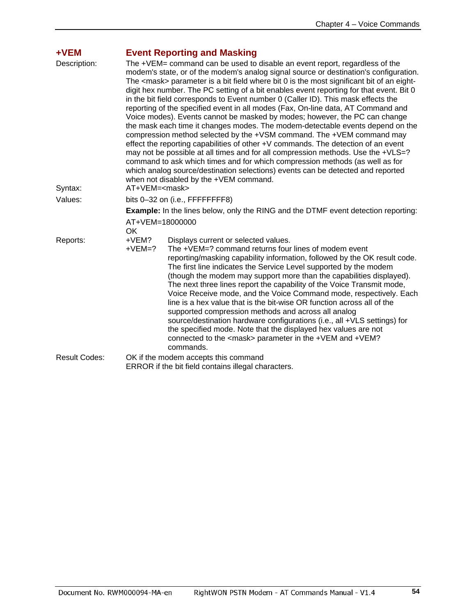<span id="page-54-0"></span>

| $+VEM$<br>Description:<br>Syntax: | <b>Event Reporting and Masking</b><br>The +VEM= command can be used to disable an event report, regardless of the<br>modem's state, or of the modem's analog signal source or destination's configuration.<br>The <mask> parameter is a bit field where bit 0 is the most significant bit of an eight-<br/>digit hex number. The PC setting of a bit enables event reporting for that event. Bit 0<br/>in the bit field corresponds to Event number 0 (Caller ID). This mask effects the<br/>reporting of the specified event in all modes (Fax, On-line data, AT Command and<br/>Voice modes). Events cannot be masked by modes; however, the PC can change<br/>the mask each time it changes modes. The modem-detectable events depend on the<br/>compression method selected by the +VSM command. The +VEM command may<br/>effect the reporting capabilities of other +V commands. The detection of an event<br/>may not be possible at all times and for all compression methods. Use the +VLS=?<br/>command to ask which times and for which compression methods (as well as for<br/>which analog source/destination selections) events can be detected and reported<br/>when not disabled by the +VEM command.<br/>AT+VEM=<mask></mask></mask> |  |  |
|-----------------------------------|------------------------------------------------------------------------------------------------------------------------------------------------------------------------------------------------------------------------------------------------------------------------------------------------------------------------------------------------------------------------------------------------------------------------------------------------------------------------------------------------------------------------------------------------------------------------------------------------------------------------------------------------------------------------------------------------------------------------------------------------------------------------------------------------------------------------------------------------------------------------------------------------------------------------------------------------------------------------------------------------------------------------------------------------------------------------------------------------------------------------------------------------------------------------------------------------------------------------------------------------------|--|--|
| Values:                           |                                                                                                                                                                                                                                                                                                                                                                                                                                                                                                                                                                                                                                                                                                                                                                                                                                                                                                                                                                                                                                                                                                                                                                                                                                                      |  |  |
|                                   | bits 0-32 on (i.e., FFFFFFFF8)                                                                                                                                                                                                                                                                                                                                                                                                                                                                                                                                                                                                                                                                                                                                                                                                                                                                                                                                                                                                                                                                                                                                                                                                                       |  |  |
|                                   | <b>Example:</b> In the lines below, only the RING and the DTMF event detection reporting:<br>AT+VEM=18000000<br>OK.                                                                                                                                                                                                                                                                                                                                                                                                                                                                                                                                                                                                                                                                                                                                                                                                                                                                                                                                                                                                                                                                                                                                  |  |  |
| Reports:                          | $+VEM?$<br>Displays current or selected values.<br>The +VEM=? command returns four lines of modem event<br>$+VEM=?$<br>reporting/masking capability information, followed by the OK result code.<br>The first line indicates the Service Level supported by the modem<br>(though the modem may support more than the capabilities displayed).<br>The next three lines report the capability of the Voice Transmit mode,<br>Voice Receive mode, and the Voice Command mode, respectively. Each<br>line is a hex value that is the bit-wise OR function across all of the<br>supported compression methods and across all analog<br>source/destination hardware configurations (i.e., all +VLS settings) for<br>the specified mode. Note that the displayed hex values are not<br>connected to the <mask> parameter in the +VEM and +VEM?<br/>commands.</mask>                                                                                                                                                                                                                                                                                                                                                                                         |  |  |
| <b>Result Codes:</b>              | OK if the modem accepts this command<br>ERROR if the bit field contains illegal characters.                                                                                                                                                                                                                                                                                                                                                                                                                                                                                                                                                                                                                                                                                                                                                                                                                                                                                                                                                                                                                                                                                                                                                          |  |  |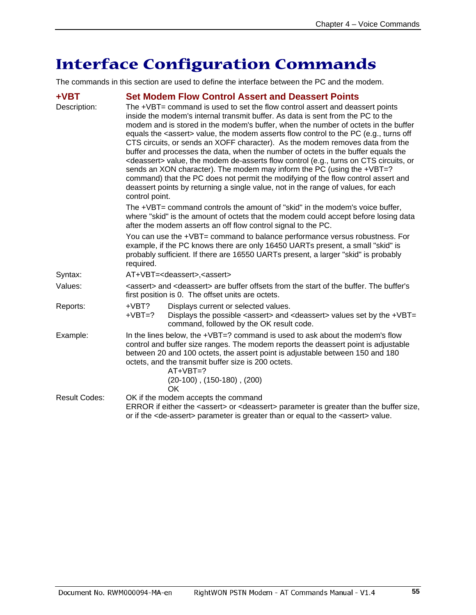# <span id="page-55-0"></span>**Interface Configuration Commands**

The commands in this section are used to define the interface between the PC and the modem.

<span id="page-55-1"></span>

| $+VBT$                         |                                                                                                                                                                                                                                                                                                                                                                | <b>Set Modem Flow Control Assert and Deassert Points</b>                                                                                                                                                                                                                                                                                                                                                                                                                                                                                                                                                                                                                                                                                                                                                                                                                                  |  |  |
|--------------------------------|----------------------------------------------------------------------------------------------------------------------------------------------------------------------------------------------------------------------------------------------------------------------------------------------------------------------------------------------------------------|-------------------------------------------------------------------------------------------------------------------------------------------------------------------------------------------------------------------------------------------------------------------------------------------------------------------------------------------------------------------------------------------------------------------------------------------------------------------------------------------------------------------------------------------------------------------------------------------------------------------------------------------------------------------------------------------------------------------------------------------------------------------------------------------------------------------------------------------------------------------------------------------|--|--|
| Description:<br>control point. |                                                                                                                                                                                                                                                                                                                                                                | The +VBT= command is used to set the flow control assert and deassert points<br>inside the modem's internal transmit buffer. As data is sent from the PC to the<br>modem and is stored in the modem's buffer, when the number of octets in the buffer<br>equals the <assert> value, the modem asserts flow control to the PC (e.g., turns off<br/>CTS circuits, or sends an XOFF character). As the modem removes data from the<br/>buffer and processes the data, when the number of octets in the buffer equals the<br/><deassert> value, the modem de-asserts flow control (e.g., turns on CTS circuits, or<br/>sends an XON character). The modem may inform the PC (using the +VBT=?<br/>command) that the PC does not permit the modifying of the flow control assert and<br/>deassert points by returning a single value, not in the range of values, for each</deassert></assert> |  |  |
|                                | The +VBT= command controls the amount of "skid" in the modem's voice buffer,<br>where "skid" is the amount of octets that the modem could accept before losing data<br>after the modem asserts an off flow control signal to the PC.                                                                                                                           |                                                                                                                                                                                                                                                                                                                                                                                                                                                                                                                                                                                                                                                                                                                                                                                                                                                                                           |  |  |
|                                | You can use the +VBT= command to balance performance versus robustness. For<br>example, if the PC knows there are only 16450 UARTs present, a small "skid" is<br>probably sufficient. If there are 16550 UARTs present, a larger "skid" is probably<br>required.                                                                                               |                                                                                                                                                                                                                                                                                                                                                                                                                                                                                                                                                                                                                                                                                                                                                                                                                                                                                           |  |  |
| Syntax:                        |                                                                                                                                                                                                                                                                                                                                                                | AT+VBT= <deassert>,<assert></assert></deassert>                                                                                                                                                                                                                                                                                                                                                                                                                                                                                                                                                                                                                                                                                                                                                                                                                                           |  |  |
| Values:                        | <assert> and <deassert> are buffer offsets from the start of the buffer. The buffer's<br/>first position is 0. The offset units are octets.</deassert></assert>                                                                                                                                                                                                |                                                                                                                                                                                                                                                                                                                                                                                                                                                                                                                                                                                                                                                                                                                                                                                                                                                                                           |  |  |
| Reports:                       | $+VBT?$<br>$+VBT=?$                                                                                                                                                                                                                                                                                                                                            | Displays current or selected values.<br>Displays the possible <assert> and <deassert> values set by the +VBT=<br/>command, followed by the OK result code.</deassert></assert>                                                                                                                                                                                                                                                                                                                                                                                                                                                                                                                                                                                                                                                                                                            |  |  |
| Example:                       | In the lines below, the +VBT=? command is used to ask about the modem's flow<br>control and buffer size ranges. The modem reports the deassert point is adjustable<br>between 20 and 100 octets, the assert point is adjustable between 150 and 180<br>octets, and the transmit buffer size is 200 octets.<br>$AT+VBT=?$<br>$(20-100)$ , $(150-180)$ , $(200)$ |                                                                                                                                                                                                                                                                                                                                                                                                                                                                                                                                                                                                                                                                                                                                                                                                                                                                                           |  |  |
| <b>Result Codes:</b>           |                                                                                                                                                                                                                                                                                                                                                                | OK<br>OK if the modem accepts the command<br>ERROR if either the <assert> or <deassert> parameter is greater than the buffer size,<br/>or if the <de-assert> parameter is greater than or equal to the <assert> value.</assert></de-assert></deassert></assert>                                                                                                                                                                                                                                                                                                                                                                                                                                                                                                                                                                                                                           |  |  |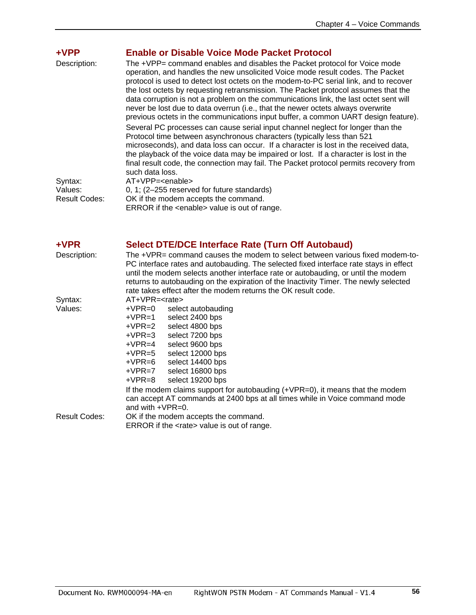<span id="page-56-0"></span>

| +VPP<br>Description:                       | <b>Enable or Disable Voice Mode Packet Protocol</b><br>The +VPP= command enables and disables the Packet protocol for Voice mode<br>operation, and handles the new unsolicited Voice mode result codes. The Packet<br>protocol is used to detect lost octets on the modem-to-PC serial link, and to recover<br>the lost octets by requesting retransmission. The Packet protocol assumes that the<br>data corruption is not a problem on the communications link, the last octet sent will<br>never be lost due to data overrun (i.e., that the newer octets always overwrite                                                                                                                                                |
|--------------------------------------------|------------------------------------------------------------------------------------------------------------------------------------------------------------------------------------------------------------------------------------------------------------------------------------------------------------------------------------------------------------------------------------------------------------------------------------------------------------------------------------------------------------------------------------------------------------------------------------------------------------------------------------------------------------------------------------------------------------------------------|
| Syntax:<br>Values:<br><b>Result Codes:</b> | previous octets in the communications input buffer, a common UART design feature).<br>Several PC processes can cause serial input channel neglect for longer than the<br>Protocol time between asynchronous characters (typically less than 521<br>microseconds), and data loss can occur. If a character is lost in the received data,<br>the playback of the voice data may be impaired or lost. If a character is lost in the<br>final result code, the connection may fail. The Packet protocol permits recovery from<br>such data loss.<br>AT+VPP= <enable><br/>0, 1; (2-255 reserved for future standards)<br/>OK if the modem accepts the command.<br/>ERROR if the <enable> value is out of range.</enable></enable> |

### <span id="page-56-1"></span>**+VPR Select DTE/DCE Interface Rate (Turn Off Autobaud)**

| Description:  | The +VPR= command causes the modem to select between various fixed modem-to-          |  |  |  |
|---------------|---------------------------------------------------------------------------------------|--|--|--|
|               | PC interface rates and autobauding. The selected fixed interface rate stays in effect |  |  |  |
|               | until the modem selects another interface rate or autobauding, or until the modem     |  |  |  |
|               | returns to autobauding on the expiration of the Inactivity Timer. The newly selected  |  |  |  |
|               | rate takes effect after the modem returns the OK result code.                         |  |  |  |
| Syntax:       | AT+VPR= <rate></rate>                                                                 |  |  |  |
| Values:       | +VPR=0<br>select autobauding                                                          |  |  |  |
|               | $+VPR=1$<br>select 2400 bps                                                           |  |  |  |
|               | +VPR=2<br>select 4800 bps                                                             |  |  |  |
|               | +VPR=3<br>select 7200 bps                                                             |  |  |  |
|               | select 9600 bps<br>$+VPR=4$                                                           |  |  |  |
|               | +VPR=5<br>select 12000 bps                                                            |  |  |  |
|               | select 14400 bps<br>+VPR=6                                                            |  |  |  |
|               | select 16800 bps<br>+VPR=7                                                            |  |  |  |
|               | select 19200 bps<br>+VPR=8                                                            |  |  |  |
|               | If the modem claims support for autobauding (+VPR=0), it means that the modem         |  |  |  |
|               | can accept AT commands at 2400 bps at all times while in Voice command mode           |  |  |  |
|               | and with $+VPR=0$ .                                                                   |  |  |  |
| Result Codes: | OK if the modem accepts the command.                                                  |  |  |  |
|               | ERROR if the <rate> value is out of range.</rate>                                     |  |  |  |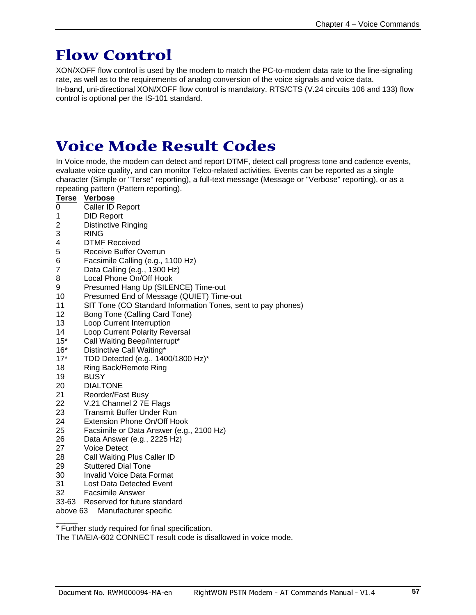# <span id="page-57-0"></span>**Flow Control**

XON/XOFF flow control is used by the modem to match the PC-to-modem data rate to the line-signaling rate, as well as to the requirements of analog conversion of the voice signals and voice data. In-band, uni-directional XON/XOFF flow control is mandatory. RTS/CTS (V.24 circuits 106 and 133) flow control is optional per the IS-101 standard.

# <span id="page-57-1"></span>**Voice Mode Result Codes**

In Voice mode, the modem can detect and report DTMF, detect call progress tone and cadence events, evaluate voice quality, and can monitor Telco-related activities. Events can be reported as a single character (Simple or "Terse" reporting), a full-text message (Message or "Verbose" reporting), or as a repeating pattern (Pattern reporting).

#### **Terse Verbose**

- 0 Caller ID Report
- 1 DID Report
- 2 Distinctive Ringing
- 3 RING<br>4 DTMF
- DTMF Received
- 5 Receive Buffer Overrun
- 6 Facsimile Calling (e.g., 1100 Hz)<br>7 Data Calling (e.g., 1300 Hz)
- Data Calling (e.g., 1300 Hz)
- 8 Local Phone On/Off Hook
- 9 Presumed Hang Up (SILENCE) Time-out
- 10 Presumed End of Message (QUIET) Time-out
- 11 SIT Tone (CO Standard Information Tones, sent to pay phones)
- 12 Bong Tone (Calling Card Tone)
- 13 Loop Current Interruption
- 14 Loop Current Polarity Reversal<br>15\* Call Waiting Beep/Interrupt\*
- Call Waiting Beep/Interrupt\*
- 16\* Distinctive Call Waiting\*
- 17\* TDD Detected (e.g., 1400/1800 Hz)\*<br>18 Ring Back/Remote Ring
- Ring Back/Remote Ring
- 19 BUSY
- 20 DIALTONE<br>21 Reorder/Fa
- Reorder/Fast Busy
- 22 V.21 Channel 2 7E Flags
- 23 Transmit Buffer Under Run<br>24 Extension Phone On/Off Ho
- Extension Phone On/Off Hook
- 25 Facsimile or Data Answer (e.g., 2100 Hz)
- 26 Data Answer (e.g., 2225 Hz)<br>27 Voice Detect
- **Voice Detect**
- 28 Call Waiting Plus Caller ID
- 29 Stuttered Dial Tone
- 30 Invalid Voice Data Format
- 31 Lost Data Detected Event
- 32 Facsimile Answer
- 33-63 Reserved for future standard
- above 63 Manufacturer specific

\_\_\_\_\_ \* Further study required for final specification.

The TIA/EIA-602 CONNECT result code is disallowed in voice mode.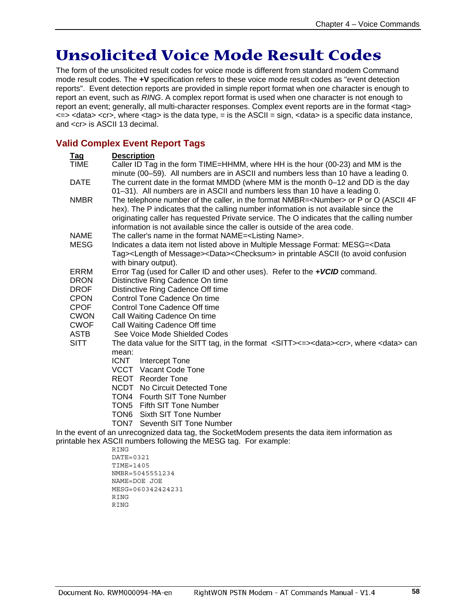# <span id="page-58-0"></span>**Unsolicited Voice Mode Result Codes**

The form of the unsolicited result codes for voice mode is different from standard modem Command mode result codes. The **+V** specification refers to these voice mode result codes as "event detection reports". Event detection reports are provided in simple report format when one character is enough to report an event, such as *RING*. A complex report format is used when one character is not enough to report an event; generally, all multi-character responses. Complex event reports are in the format <tag>  $\epsilon$  <  $\epsilon$  <  $\epsilon$  <  $\epsilon$  /> where  $\epsilon$  tag> is the data type, = is the ASCII = sign,  $\epsilon$  data> is a specific data instance, and <cr> is ASCII 13 decimal.

### <span id="page-58-1"></span>**Valid Complex Event Report Tags**

| <b>Tag</b>                 | <b>Description</b>                                                                                                   |  |  |  |
|----------------------------|----------------------------------------------------------------------------------------------------------------------|--|--|--|
| <b>TIME</b>                | Caller ID Tag in the form TIME=HHMM, where HH is the hour (00-23) and MM is the                                      |  |  |  |
|                            | minute (00–59). All numbers are in ASCII and numbers less than 10 have a leading 0.                                  |  |  |  |
| <b>DATE</b>                | The current date in the format MMDD (where MM is the month 0–12 and DD is the day                                    |  |  |  |
|                            | 01-31). All numbers are in ASCII and numbers less than 10 have a leading 0.                                          |  |  |  |
| <b>NMBR</b>                | The telephone number of the caller, in the format NMBR= <number> or P or O (ASCII 4F</number>                        |  |  |  |
|                            | hex). The P indicates that the calling number information is not available since the                                 |  |  |  |
|                            | originating caller has requested Private service. The O indicates that the calling number                            |  |  |  |
|                            | information is not available since the caller is outside of the area code.                                           |  |  |  |
| <b>NAME</b>                | The caller's name in the format NAME= <listing name="">.</listing>                                                   |  |  |  |
| <b>MESG</b>                | Indicates a data item not listed above in Multiple Message Format: MESG= <data< td=""></data<>                       |  |  |  |
|                            | Tag> <length message="" of=""><data><checksum> in printable ASCII (to avoid confusion</checksum></data></length>     |  |  |  |
|                            | with binary output).                                                                                                 |  |  |  |
| ERRM                       | Error Tag (used for Caller ID and other uses). Refer to the +VCID command.                                           |  |  |  |
| <b>DRON</b>                | Distinctive Ring Cadence On time                                                                                     |  |  |  |
| <b>DROF</b>                | Distinctive Ring Cadence Off time                                                                                    |  |  |  |
| <b>CPON</b>                | Control Tone Cadence On time                                                                                         |  |  |  |
| <b>CPOF</b>                | Control Tone Cadence Off time                                                                                        |  |  |  |
| <b>CWON</b><br><b>CWOF</b> | Call Waiting Cadence On time<br>Call Waiting Cadence Off time                                                        |  |  |  |
| <b>ASTB</b>                | See Voice Mode Shielded Codes                                                                                        |  |  |  |
| <b>SITT</b>                | The data value for the SITT tag, in the format <sitt>&lt;=&gt;<data><cr>, where <data> can</data></cr></data></sitt> |  |  |  |
|                            | mean:                                                                                                                |  |  |  |
|                            | Intercept Tone<br>ICNT                                                                                               |  |  |  |
|                            | VCCT Vacant Code Tone                                                                                                |  |  |  |
|                            | <b>REOT</b> Reorder Tone                                                                                             |  |  |  |
|                            | <b>NCDT</b> No Circuit Detected Tone                                                                                 |  |  |  |
|                            | TON4 Fourth SIT Tone Number                                                                                          |  |  |  |
|                            | TON5 Fifth SIT Tone Number                                                                                           |  |  |  |
|                            | TON6 Sixth SIT Tone Number                                                                                           |  |  |  |
|                            | <b>TON7</b> Seventh SIT Tone Number                                                                                  |  |  |  |
|                            | In the event of an unrecognized data tag, the SocketModem presents the data item information as                      |  |  |  |
|                            | printable hex ASCII numbers following the MESG tag. For example:                                                     |  |  |  |
| <b>RING</b>                |                                                                                                                      |  |  |  |
|                            | DATE=0321                                                                                                            |  |  |  |
|                            | TIME=1405                                                                                                            |  |  |  |

NMBR=5045551234 NAME=DOE JOE MESG=060342424231 **RING** RING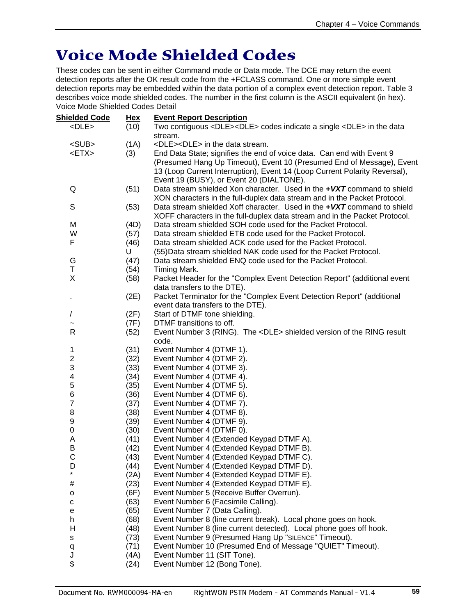# <span id="page-59-0"></span>**Voice Mode Shielded Codes**

These codes can be sent in either Command mode or Data mode. The DCE may return the event detection reports after the OK result code from the +FCLASS command. One or more simple event detection reports may be embedded within the data portion of a complex event detection report. Table 3 describes voice mode shielded codes. The number in the first column is the ASCII equivalent (in hex). Voice Mode Shielded Codes Detail

| <b>Shielded Code</b>                                                                                         | <u>Hex</u> | <b>Event Report Description</b>                                            |  |  |
|--------------------------------------------------------------------------------------------------------------|------------|----------------------------------------------------------------------------|--|--|
| $<$ DLE $>$<br>(10)<br>Two contiguous <dle><dle> codes indicate a single <dle> in the data</dle></dle></dle> |            |                                                                            |  |  |
|                                                                                                              |            | stream.                                                                    |  |  |
| <sub></sub>                                                                                                  | (1A)       | <dle><dle> in the data stream.</dle></dle>                                 |  |  |
| $<$ ETX $>$                                                                                                  | (3)        | End Data State; signifies the end of voice data. Can end with Event 9      |  |  |
|                                                                                                              |            | (Presumed Hang Up Timeout), Event 10 (Presumed End of Message), Event      |  |  |
|                                                                                                              |            | 13 (Loop Current Interruption), Event 14 (Loop Current Polarity Reversal), |  |  |
|                                                                                                              |            | Event 19 (BUSY), or Event 20 (DIALTONE).                                   |  |  |
| Q                                                                                                            | (51)       | Data stream shielded Xon character. Used in the +VXT command to shield     |  |  |
|                                                                                                              |            | XON characters in the full-duplex data stream and in the Packet Protocol.  |  |  |
| S                                                                                                            | (53)       | Data stream shielded Xoff character. Used in the +VXT command to shield    |  |  |
|                                                                                                              |            | XOFF characters in the full-duplex data stream and in the Packet Protocol. |  |  |
| M                                                                                                            | (4D)       | Data stream shielded SOH code used for the Packet Protocol.                |  |  |
| W                                                                                                            | (57)       | Data stream shielded ETB code used for the Packet Protocol.                |  |  |
| F                                                                                                            | (46)       | Data stream shielded ACK code used for the Packet Protocol.                |  |  |
|                                                                                                              | U          | (55) Data stream shielded NAK code used for the Packet Protocol.           |  |  |
| G                                                                                                            | (47)       | Data stream shielded ENQ code used for the Packet Protocol.                |  |  |
| T                                                                                                            | (54)       | Timing Mark.                                                               |  |  |
| X                                                                                                            | (58)       | Packet Header for the "Complex Event Detection Report" (additional event   |  |  |
|                                                                                                              |            | data transfers to the DTE).                                                |  |  |
| ٠                                                                                                            | (2E)       | Packet Terminator for the "Complex Event Detection Report" (additional     |  |  |
|                                                                                                              |            | event data transfers to the DTE).                                          |  |  |
| $\sqrt{2}$                                                                                                   | (2F)       | Start of DTMF tone shielding.                                              |  |  |
|                                                                                                              | (7F)       | DTMF transitions to off.                                                   |  |  |
| R                                                                                                            | (52)       | Event Number 3 (RING). The <dle> shielded version of the RING result</dle> |  |  |
|                                                                                                              |            | code.                                                                      |  |  |
| 1                                                                                                            | (31)       | Event Number 4 (DTMF 1).                                                   |  |  |
| $\overline{\mathbf{c}}$                                                                                      | (32)       | Event Number 4 (DTMF 2).                                                   |  |  |
| 3                                                                                                            | (33)       | Event Number 4 (DTMF 3).                                                   |  |  |
| $\overline{\mathcal{A}}$                                                                                     | (34)       | Event Number 4 (DTMF 4).                                                   |  |  |
| 5                                                                                                            | (35)       | Event Number 4 (DTMF 5).                                                   |  |  |
| 6                                                                                                            | (36)       | Event Number 4 (DTMF 6).                                                   |  |  |
| $\overline{7}$                                                                                               | (37)       | Event Number 4 (DTMF 7).                                                   |  |  |
| 8                                                                                                            | (38)       | Event Number 4 (DTMF 8).                                                   |  |  |
| 9                                                                                                            | (39)       | Event Number 4 (DTMF 9).                                                   |  |  |
| 0                                                                                                            | (30)       | Event Number 4 (DTMF 0).                                                   |  |  |
| A                                                                                                            | (41)       | Event Number 4 (Extended Keypad DTMF A).                                   |  |  |
| B                                                                                                            | (42)       | Event Number 4 (Extended Keypad DTMF B).                                   |  |  |
| C                                                                                                            | (43)       | Event Number 4 (Extended Keypad DTMF C).                                   |  |  |
| D                                                                                                            | (44)       | Event Number 4 (Extended Keypad DTMF D).                                   |  |  |
| *                                                                                                            | (2A)       | Event Number 4 (Extended Keypad DTMF E).                                   |  |  |
| #                                                                                                            | (23)       | Event Number 4 (Extended Keypad DTMF E).                                   |  |  |
| о                                                                                                            | (6F)       | Event Number 5 (Receive Buffer Overrun).                                   |  |  |
| $\mathbf{C}$                                                                                                 | (63)       | Event Number 6 (Facsimile Calling).                                        |  |  |
| е                                                                                                            | (65)       | Event Number 7 (Data Calling).                                             |  |  |
| h                                                                                                            | (68)       | Event Number 8 (line current break). Local phone goes on hook.             |  |  |
| н                                                                                                            | (48)       | Event Number 8 (line current detected). Local phone goes off hook.         |  |  |
| s                                                                                                            | (73)       | Event Number 9 (Presumed Hang Up "SILENCE" Timeout).                       |  |  |
| q                                                                                                            | (71)       | Event Number 10 (Presumed End of Message "QUIET" Timeout).                 |  |  |
| J                                                                                                            | (4A)       | Event Number 11 (SIT Tone).                                                |  |  |
| \$                                                                                                           | (24)       | Event Number 12 (Bong Tone).                                               |  |  |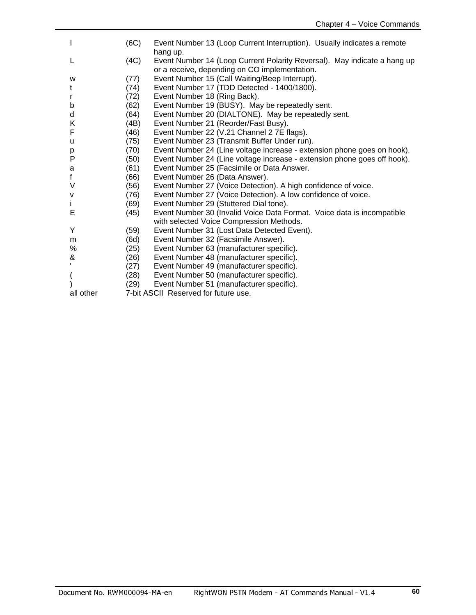| I            | (6C) | Event Number 13 (Loop Current Interruption). Usually indicates a remote  |
|--------------|------|--------------------------------------------------------------------------|
|              |      | hang up.                                                                 |
| L            | (4C) | Event Number 14 (Loop Current Polarity Reversal). May indicate a hang up |
|              |      | or a receive, depending on CO implementation.                            |
| W            | (77) | Event Number 15 (Call Waiting/Beep Interrupt).                           |
| t            | (74) | Event Number 17 (TDD Detected - 1400/1800).                              |
| r            | (72) | Event Number 18 (Ring Back).                                             |
| b            | (62) | Event Number 19 (BUSY). May be repeatedly sent.                          |
| d            | (64) | Event Number 20 (DIALTONE). May be repeatedly sent.                      |
| Κ            | (4B) | Event Number 21 (Reorder/Fast Busy).                                     |
| F            | (46) | Event Number 22 (V.21 Channel 2 7E flags).                               |
| u            | (75) | Event Number 23 (Transmit Buffer Under run).                             |
| p            | (70) | Event Number 24 (Line voltage increase - extension phone goes on hook).  |
| P            | (50) | Event Number 24 (Line voltage increase - extension phone goes off hook). |
| a            | (61) | Event Number 25 (Facsimile or Data Answer.                               |
| f            | (66) | Event Number 26 (Data Answer).                                           |
| V            | (56) | Event Number 27 (Voice Detection). A high confidence of voice.           |
| v            | (76) | Event Number 27 (Voice Detection). A low confidence of voice.            |
| İ.           | (69) | Event Number 29 (Stuttered Dial tone).                                   |
| Е            | (45) | Event Number 30 (Invalid Voice Data Format. Voice data is incompatible   |
|              |      | with selected Voice Compression Methods.                                 |
| Y            | (59) | Event Number 31 (Lost Data Detected Event).                              |
| m            | (6d) | Event Number 32 (Facsimile Answer).                                      |
| %            | (25) | Event Number 63 (manufacturer specific).                                 |
| &            | (26) | Event Number 48 (manufacturer specific).                                 |
| $\mathbf{I}$ | (27) | Event Number 49 (manufacturer specific).                                 |
| (            | (28) | Event Number 50 (manufacturer specific).                                 |
|              | (29) | Event Number 51 (manufacturer specific).                                 |
| all other    |      | 7-bit ASCII Reserved for future use.                                     |
|              |      |                                                                          |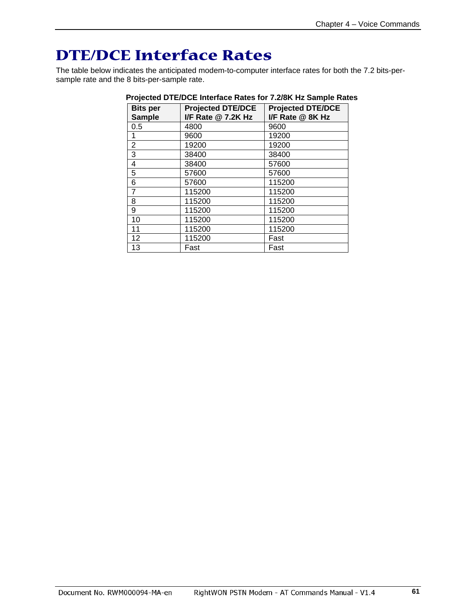# <span id="page-61-0"></span>**DTE/DCE Interface Rates**

The table below indicates the anticipated modem-to-computer interface rates for both the 7.2 bits-persample rate and the 8 bits-per-sample rate.

| <b>Bits per</b><br><b>Sample</b> | <b>Projected DTE/DCE</b><br>I/F Rate @ 7.2K Hz | <b>Projected DTE/DCE</b><br>I/F Rate @ 8K Hz |
|----------------------------------|------------------------------------------------|----------------------------------------------|
| 0.5                              | 4800                                           | 9600                                         |
| 1                                | 9600                                           | 19200                                        |
| $\overline{2}$                   | 19200                                          | 19200                                        |
| 3                                | 38400                                          | 38400                                        |
| 4                                | 38400                                          | 57600                                        |
| 5                                | 57600                                          | 57600                                        |
| 6                                | 57600                                          | 115200                                       |
| $\overline{7}$                   | 115200                                         | 115200                                       |
| 8                                | 115200                                         | 115200                                       |
| 9                                | 115200                                         | 115200                                       |
| 10                               | 115200                                         | 115200                                       |
| 11                               | 115200                                         | 115200                                       |
| 12                               | 115200                                         | Fast                                         |
| 13                               | Fast                                           | Fast                                         |

#### **Projected DTE/DCE Interface Rates for 7.2/8K Hz Sample Rates**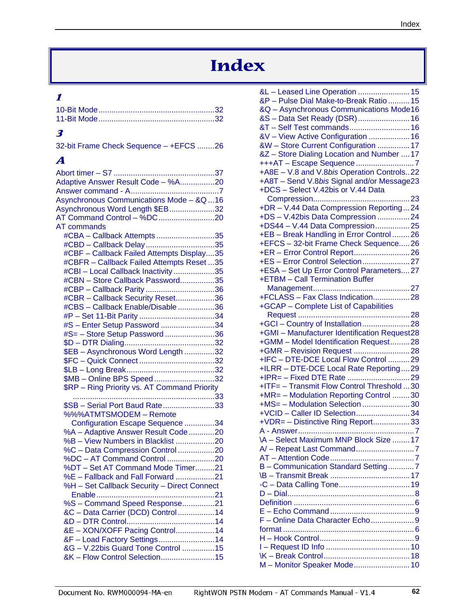# **Index**

## <span id="page-62-0"></span>**1**

## **3**

| 32-bit Frame Check Sequence - +EFCS 26 |  |
|----------------------------------------|--|
|----------------------------------------|--|

## **A**

| Adaptive Answer Result Code - %A20           |  |
|----------------------------------------------|--|
|                                              |  |
| Asynchronous Communications Mode - &Q16      |  |
| Asynchronous Word Length \$EB32              |  |
|                                              |  |
| <b>AT commands</b>                           |  |
|                                              |  |
| #CBA - Callback Attempts 35                  |  |
| #CBD - Callback Delay35                      |  |
| #CBF - Callback Failed Attempts Display35    |  |
| #CBFR - Callback Failed Attempts Reset 35    |  |
| #CBI-Local Callback Inactivity35             |  |
| #CBN - Store Callback Password35             |  |
| #CBP - Callback Parity36                     |  |
| #CBR - Callback Security Reset36             |  |
| #CBS - Callback Enable/Disable36             |  |
|                                              |  |
|                                              |  |
| #S - Enter Setup Password 34                 |  |
| #S= - Store Setup Password36                 |  |
|                                              |  |
| \$EB - Asynchronous Word Length 32           |  |
|                                              |  |
|                                              |  |
| \$MB - Online BPS Speed32                    |  |
| \$RP - Ring Priority vs. AT Command Priority |  |
|                                              |  |
|                                              |  |
| \$SB - Serial Port Baud Rate33               |  |
| %%%ATMTSMODEM - Remote                       |  |
| Configuration Escape Sequence 34             |  |
| %A - Adaptive Answer Result Code20           |  |
| %B - View Numbers in Blacklist 20            |  |
| %C - Data Compression Control 20             |  |
|                                              |  |
| %DT - Set AT Command Mode Timer21            |  |
|                                              |  |
| %E - Fallback and Fall Forward 21            |  |
| %H - Set Callback Security - Direct Connect  |  |
|                                              |  |
| %S - Command Speed Response21                |  |
| &C - Data Carrier (DCD) Control14            |  |
|                                              |  |
| &E - XON/XOFF Pacing Control14               |  |
| &F - Load Factory Settings14                 |  |
| &G - V.22bis Guard Tone Control 15           |  |
|                                              |  |
| &K - Flow Control Selection15                |  |

| &L-Leased Line Operation  15                 |
|----------------------------------------------|
| &P - Pulse Dial Make-to-Break Ratio  15      |
| &Q - Asynchronous Communications Mode16      |
| &S - Data Set Ready (DSR)  16                |
| &T-Self Test commands 16                     |
| &V - View Active Configuration  16           |
|                                              |
| &W - Store Current Configuration  17         |
| &Z - Store Dialing Location and Number  17   |
| +++AT - Escape Sequence 7                    |
| +A8E - V.8 and V.8bis Operation Controls22   |
| +A8T - Send V.8bis Signal and/or Message23   |
| +DCS - Select V.42bis or V.44 Data           |
|                                              |
| +DR - V.44 Data Compression Reporting24      |
|                                              |
| +DS - V.42bis Data Compression 24            |
| +DS44 - V.44 Data Compression25              |
| +EB - Break Handling in Error Control 26     |
| +EFCS - 32-bit Frame Check Sequence26        |
| +ER - Error Control Report26                 |
|                                              |
| +ESA - Set Up Error Control Parameters27     |
|                                              |
| +ETBM - Call Termination Buffer              |
|                                              |
| +FCLASS - Fax Class Indication28             |
| +GCAP - Complete List of Capabilities        |
|                                              |
|                                              |
| +GMI - Manufacturer Identification Request28 |
| +GMM - Model Identification Request28        |
|                                              |
|                                              |
| +IFC - DTE-DCE Local Flow Control 29         |
| +ILRR - DTE-DCE Local Rate Reporting29       |
|                                              |
| +ITF= - Transmit Flow Control Threshold  30  |
| +MR= - Modulation Reporting Control 30       |
| +MS= - Modulation Selection 30               |
| +VCID - Caller ID Selection34                |
|                                              |
| +VDR= - Distinctive Ring Report33            |
| . 7<br>A - Answer                            |
| VA - Select Maximum MNP Block Size  17       |
|                                              |
|                                              |
| B - Communication Standard Setting7          |
|                                              |
|                                              |
|                                              |
|                                              |
|                                              |
|                                              |
| F-Online Data Character Echo9                |
|                                              |
|                                              |
|                                              |
|                                              |
|                                              |
| M - Monitor Speaker Mode 10                  |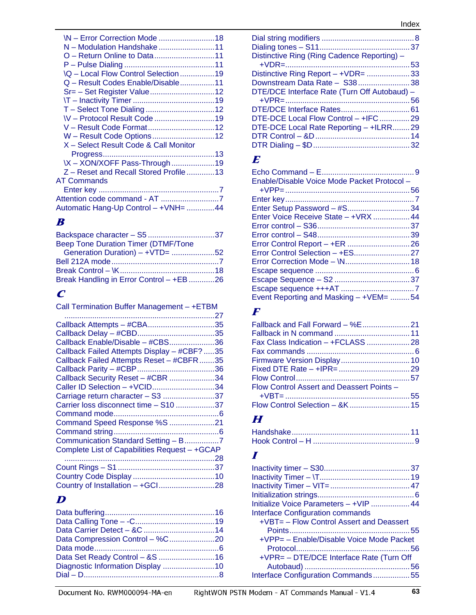| \N - Error Correction Mode 18<br>N – Modulation Handshake 11<br><b>IQ - Local Flow Control Selection 19</b><br>Q - Result Codes Enable/Disable11<br><b>NV-Protocol Result Code 19</b><br>V - Result Code Format12<br>W - Result Code Options12<br>X - Select Result Code & Call Monitor<br>\X - XON/XOFF Pass-Through19 |  |
|-------------------------------------------------------------------------------------------------------------------------------------------------------------------------------------------------------------------------------------------------------------------------------------------------------------------------|--|
|                                                                                                                                                                                                                                                                                                                         |  |
|                                                                                                                                                                                                                                                                                                                         |  |
|                                                                                                                                                                                                                                                                                                                         |  |
| Z-Reset and Recall Stored Profile13                                                                                                                                                                                                                                                                                     |  |
| <b>AT Commands</b>                                                                                                                                                                                                                                                                                                      |  |
|                                                                                                                                                                                                                                                                                                                         |  |
|                                                                                                                                                                                                                                                                                                                         |  |
| Automatic Hang-Up Control - +VNH= 44                                                                                                                                                                                                                                                                                    |  |
|                                                                                                                                                                                                                                                                                                                         |  |

## **B**

| <b>Beep Tone Duration Timer (DTMF/Tone</b> |  |
|--------------------------------------------|--|
| Generation Duration) - +VTD= 52            |  |
|                                            |  |
|                                            |  |
| Break Handling in Error Control - +EB 26   |  |

## **C**

| Call Termination Buffer Management - +ETBM  |  |
|---------------------------------------------|--|
|                                             |  |
| Callback Attempts - #CBA35                  |  |
|                                             |  |
| Callback Enable/Disable - #CBS36            |  |
| Callback Failed Attempts Display - #CBF? 35 |  |
| Callback Failed Attempts Reset - #CBFR35    |  |
|                                             |  |
| Callback Security Reset - #CBR 34           |  |
| Caller ID Selection - +VCID34               |  |
| Carriage return character - S3 37           |  |
| Carrier loss disconnect time - S10 37       |  |
| Command mode by the command mode            |  |

| Command Speed Response %S 21                  |  |
|-----------------------------------------------|--|
|                                               |  |
| Communication Standard Setting - B7           |  |
| Complete List of Capabilities Request - +GCAP |  |
|                                               |  |
|                                               |  |
|                                               |  |
|                                               |  |

## **D**

| Data Compression Control - %C20   |  |
|-----------------------------------|--|
|                                   |  |
|                                   |  |
| Diagnostic Information Display 10 |  |
|                                   |  |
|                                   |  |

| Distinctive Ring (Ring Cadence Reporting) -  |  |
|----------------------------------------------|--|
|                                              |  |
| Distinctive Ring Report - +VDR= 33           |  |
| Downstream Data Rate - S3838                 |  |
| DTE/DCE Interface Rate (Turn Off Autobaud) - |  |
|                                              |  |
|                                              |  |
| DTE-DCE Local Flow Control - +IFC 29         |  |
| DTE-DCE Local Rate Reporting - +ILRR29       |  |
|                                              |  |
|                                              |  |
|                                              |  |

## **E**

| Enable/Disable Voice Mode Packet Protocol - |  |
|---------------------------------------------|--|
|                                             |  |
|                                             |  |
| Enter Setup Password - #S34                 |  |
| Enter Voice Receive State - +VRX  44        |  |
|                                             |  |
|                                             |  |
|                                             |  |
|                                             |  |
|                                             |  |
|                                             |  |
|                                             |  |
|                                             |  |
| Event Reporting and Masking - +VEM= 54      |  |

## **F**

| Flow Control Assert and Deassert Points - |  |
|-------------------------------------------|--|
|                                           |  |
|                                           |  |

## **H**

## **I**

| Initialize Voice Parameters - +VIP  44   |  |
|------------------------------------------|--|
| <b>Interface Configuration commands</b>  |  |
| +VBT= - Flow Control Assert and Deassert |  |
|                                          |  |
| +VPP= - Enable/Disable Voice Mode Packet |  |
|                                          |  |
| +VPR= - DTE/DCE Interface Rate (Turn Off |  |
|                                          |  |
| Interface Configuration Commands55       |  |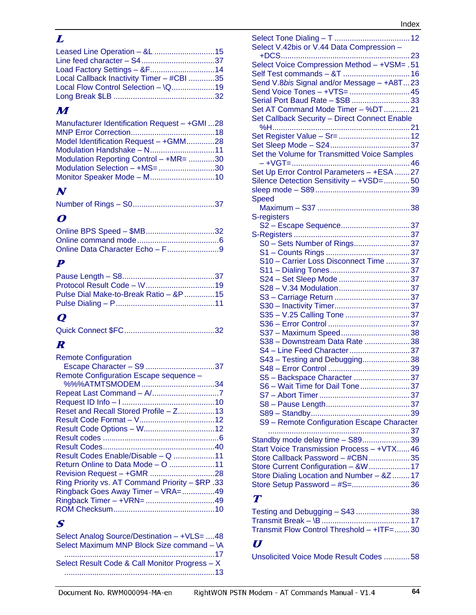## **L**

| Local Callback Inactivity Timer - #CBI 35 |  |
|-------------------------------------------|--|
|                                           |  |
|                                           |  |

## **M**

| Manufacturer Identification Request - +GMI 28 |  |
|-----------------------------------------------|--|
| Model Identification Request - +GMM28         |  |
|                                               |  |
| Modulation Reporting Control - +MR= 30        |  |
| Modulation Selection - +MS= 30                |  |
|                                               |  |
|                                               |  |

# **N**

|--|--|

## **O**

| Online BPS Speed - \$MB32 |  |
|---------------------------|--|
|                           |  |
|                           |  |

## **P**

| Pulse Dial Make-to-Break Ratio – &P 15 |
|----------------------------------------|
|                                        |
|                                        |

# **Q**

# **R**

| <b>Remote Configuration</b>                      |  |
|--------------------------------------------------|--|
| Remote Configuration Escape sequence -           |  |
|                                                  |  |
|                                                  |  |
|                                                  |  |
| Reset and Recall Stored Profile - Z13            |  |
|                                                  |  |
|                                                  |  |
|                                                  |  |
|                                                  |  |
| Result Codes Enable/Disable - Q 11               |  |
| Return Online to Data Mode – O 11                |  |
|                                                  |  |
| Ring Priority vs. AT Command Priority - \$RP .33 |  |
| Ringback Goes Away Timer - VRA=49                |  |
|                                                  |  |
|                                                  |  |

## **S**

| Select Analog Source/Destination - +VLS= 48    |
|------------------------------------------------|
| Select Maximum MNP Block Size command - \A     |
|                                                |
| Select Result Code & Call Monitor Progress - X |
|                                                |

| Select V.42bis or V.44 Data Compression -                     |  |
|---------------------------------------------------------------|--|
|                                                               |  |
| Select Voice Compression Method - +VSM= .51                   |  |
|                                                               |  |
| Send V.8bis Signal and/or Message - +A8T23                    |  |
| Send Voice Tones - +VTS=  45                                  |  |
| Serial Port Baud Rate - \$SB  33                              |  |
| Set AT Command Mode Timer - %DT21                             |  |
| Set Callback Security - Direct Connect Enable                 |  |
|                                                               |  |
|                                                               |  |
| Set the Volume for Transmitted Voice Samples                  |  |
|                                                               |  |
| Set Up Error Control Parameters - +ESA  27                    |  |
| Silence Detection Sensitivity - +VSD=50                       |  |
|                                                               |  |
| <b>Speed</b>                                                  |  |
|                                                               |  |
| S-registers                                                   |  |
| S2 - Escape Sequence 37                                       |  |
|                                                               |  |
| S0 - Sets Number of Rings37                                   |  |
| S10 - Carrier Loss Disconnect Time 37                         |  |
|                                                               |  |
|                                                               |  |
|                                                               |  |
|                                                               |  |
|                                                               |  |
| S35 - V.25 Calling Tone 37                                    |  |
|                                                               |  |
| S37 - Maximum Speed38                                         |  |
| S38 - Downstream Data Rate 38                                 |  |
| S4 - Line Feed Character37                                    |  |
| S43 - Testing and Debugging38                                 |  |
|                                                               |  |
| S5 - Backspace Character 37<br>S6 - Wait Time for Dail Tone37 |  |
|                                                               |  |
|                                                               |  |
|                                                               |  |
| S9 - Remote Configuration Escape Character                    |  |
|                                                               |  |
| Standby mode delay time - S8939                               |  |
| Start Voice Transmission Process - +VTX 46                    |  |
| Store Callback Password - #CBN  35                            |  |
| Store Current Configuration - &W  17                          |  |
| Store Dialing Location and Number - &Z  17                    |  |
| Store Setup Password - #S= 36                                 |  |

## **T**

| Testing and Debugging - S43 38                |  |
|-----------------------------------------------|--|
|                                               |  |
| Transmit Flow Control Threshold $-$ +ITF=  30 |  |

## **U**

Unsolicited Voice Mode Result Codes ............ 58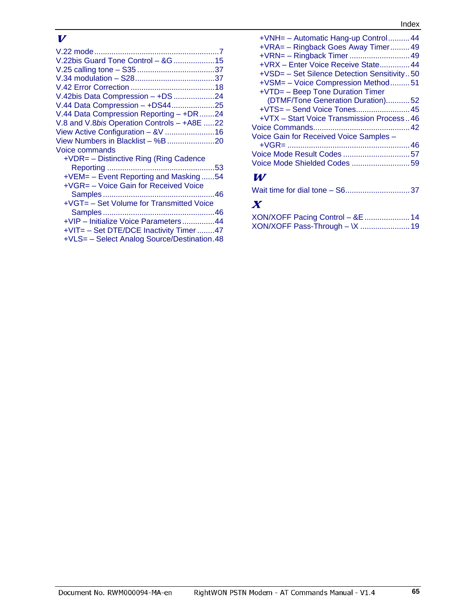#### Index

## **V**

| V.22bis Guard Tone Control - & G15          |  |
|---------------------------------------------|--|
|                                             |  |
|                                             |  |
|                                             |  |
|                                             |  |
| V.42bis Data Compression - +DS 24           |  |
| V.44 Data Compression - +DS4425             |  |
| V.44 Data Compression Reporting - +DR24     |  |
| V.8 and V.8bis Operation Controls - +A8E 22 |  |
| View Active Configuration - &V  16          |  |
|                                             |  |
| Voice commands                              |  |
| +VDR= - Distinctive Ring (Ring Cadence      |  |
|                                             |  |
| +VEM= – Event Reporting and Masking54       |  |
| +VGR= - Voice Gain for Received Voice       |  |
|                                             |  |
| +VGT= - Set Volume for Transmitted Voice    |  |
|                                             |  |
| +VIP - Initialize Voice Parameters44        |  |
| +VIT= - Set DTE/DCE Inactivity Timer 47     |  |
| +VLS= - Select Analog Source/Destination.48 |  |
|                                             |  |

| +VNH = - Automatic Hang-up Control 44       |
|---------------------------------------------|
| +VRA= - Ringback Goes Away Timer49          |
| +VRN= - Ringback Timer  49                  |
| +VRX - Enter Voice Receive State 44         |
| +VSD= - Set Silence Detection Sensitivity50 |
| +VSM= - Voice Compression Method51          |
| +VTD= - Beep Tone Duration Timer            |
| (DTMF/Tone Generation Duration)52           |
| +VTS= - Send Voice Tones 45                 |
| +VTX – Start Voice Transmission Process46   |
|                                             |
| Voice Gain for Received Voice Samples -     |
|                                             |
|                                             |
| Voice Mode Shielded Codes 59                |
|                                             |

#### **W**

## **X**

| XON/XOFF Pacing Control - &E  14 |  |
|----------------------------------|--|
|                                  |  |